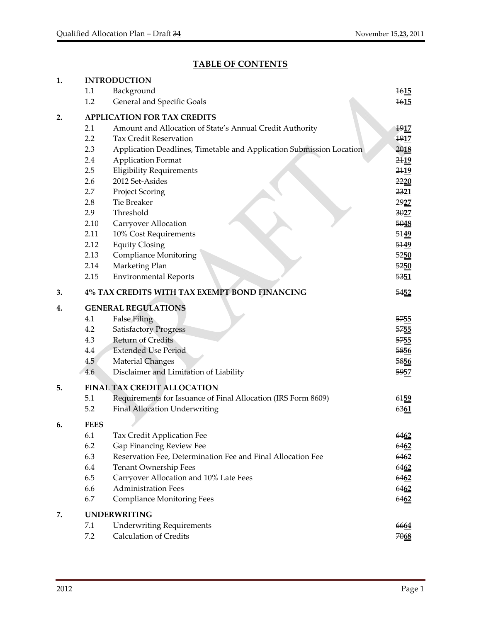# **TABLE OF CONTENTS**

| 1. |             | <b>INTRODUCTION</b>                                                  |                  |
|----|-------------|----------------------------------------------------------------------|------------------|
|    | 1.1         | Background                                                           | 1615             |
|    | 1.2         | General and Specific Goals                                           | 1615             |
| 2. |             | <b>APPLICATION FOR TAX CREDITS</b>                                   |                  |
|    | 2.1         | Amount and Allocation of State's Annual Credit Authority             | 1917             |
|    | 2.2         | <b>Tax Credit Reservation</b>                                        | 1917             |
|    | 2.3         | Application Deadlines, Timetable and Application Submission Location | 2018             |
|    | 2.4         | <b>Application Format</b>                                            | 21 <sub>19</sub> |
|    | 2.5         | <b>Eligibility Requirements</b>                                      | 2119             |
|    | 2.6         | 2012 Set-Asides                                                      | 2220             |
|    | 2.7         | Project Scoring                                                      | 2321             |
|    | 2.8         | <b>Tie Breaker</b>                                                   | 2927             |
|    | 2.9         | Threshold                                                            | 3027             |
|    | 2.10        | Carryover Allocation                                                 | 5048             |
|    | 2.11        | 10% Cost Requirements                                                | 5149             |
|    | 2.12        | <b>Equity Closing</b>                                                | 5149             |
|    | 2.13        | <b>Compliance Monitoring</b>                                         | 5250             |
|    | 2.14        | Marketing Plan                                                       | 5250             |
|    | 2.15        | <b>Environmental Reports</b>                                         | 5351             |
| 3. |             | 4% TAX CREDITS WITH TAX EXEMPT BOND FINANCING                        | 5452             |
| 4. |             | <b>GENERAL REGULATIONS</b>                                           |                  |
|    | 4.1         | <b>False Filing</b>                                                  | 5755             |
|    | 4.2         | <b>Satisfactory Progress</b>                                         | 5755             |
|    | 4.3         | <b>Return of Credits</b>                                             | 5755             |
|    | 4.4         | <b>Extended Use Period</b>                                           | 5856             |
|    | 4.5         | <b>Material Changes</b>                                              | 5856             |
|    | 4.6         | Disclaimer and Limitation of Liability                               | 5957             |
| 5. |             | <b>FINAL TAX CREDIT ALLOCATION</b>                                   |                  |
|    | 5.1         | Requirements for Issuance of Final Allocation (IRS Form 8609)        | 6159             |
|    | 5.2         | <b>Final Allocation Underwriting</b>                                 | 6361             |
| 6. | <b>FEES</b> |                                                                      |                  |
|    | 6.1         | Tax Credit Application Fee                                           | 6462             |
|    | 6.2         | Gap Financing Review Fee                                             | 6462             |
|    | 6.3         | Reservation Fee, Determination Fee and Final Allocation Fee          | 6462             |
|    | 6.4         | Tenant Ownership Fees                                                | 6462             |
|    | 6.5         | Carryover Allocation and 10% Late Fees                               | 6462             |
|    | 6.6         | <b>Administration Fees</b>                                           | 6462             |
|    | 6.7         | <b>Compliance Monitoring Fees</b>                                    | 6462             |
| 7. |             | <b>UNDERWRITING</b>                                                  |                  |
|    | 7.1         | <b>Underwriting Requirements</b>                                     | 6664             |
|    | 7.2         | <b>Calculation of Credits</b>                                        | 7068             |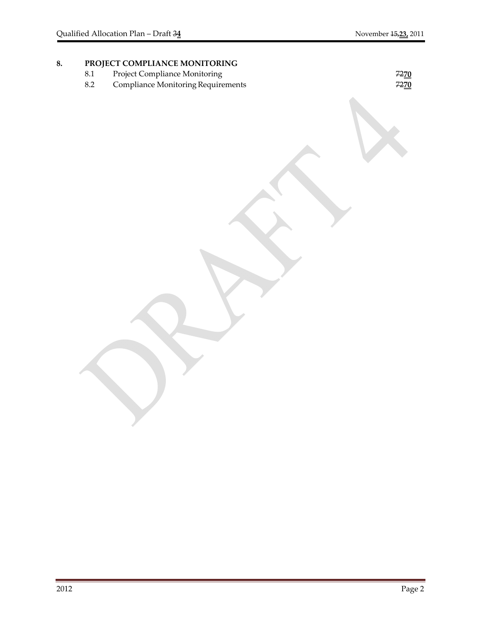# 8. **PROJECT COMPLIANCE MONITORING**<br>8.1 Project Compliance Monitoring

- 8.1 Project Compliance Monitoring 72**70**
- 8.2 Compliance MonitoringRequirements 72**70**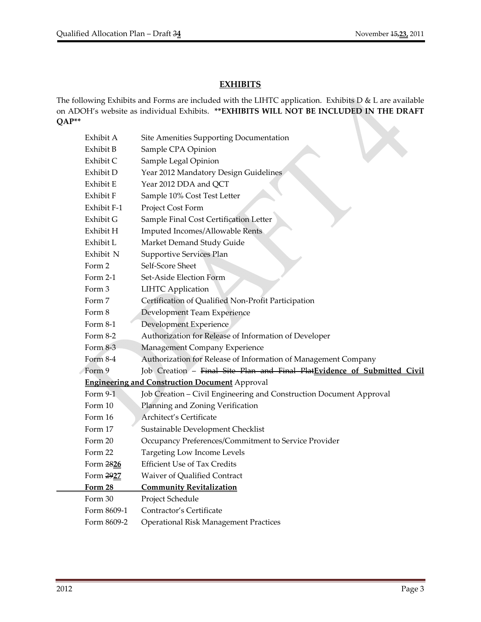۸

# **EXHIBITS**

The following Exhibits and Forms are included with the LIHTC application. Exhibits D & L are available on ADOH's website as individual Exhibits. **\*\*EXHIBITS WILL NOT BE INCLUDED IN THE DRAFT QAP\*\***

| Exhibit A   | Site Amenities Supporting Documentation                                  |
|-------------|--------------------------------------------------------------------------|
| Exhibit B   | Sample CPA Opinion                                                       |
| Exhibit C   | Sample Legal Opinion                                                     |
| Exhibit D   | Year 2012 Mandatory Design Guidelines                                    |
| Exhibit E   | Year 2012 DDA and QCT                                                    |
| Exhibit F   | Sample 10% Cost Test Letter                                              |
| Exhibit F-1 | Project Cost Form                                                        |
| Exhibit G   | Sample Final Cost Certification Letter                                   |
| Exhibit H   | Imputed Incomes/Allowable Rents                                          |
| Exhibit L   | Market Demand Study Guide                                                |
| Exhibit N   | Supportive Services Plan                                                 |
| Form 2      | Self-Score Sheet                                                         |
| Form 2-1    | Set-Aside Election Form                                                  |
| Form 3      | <b>LIHTC Application</b>                                                 |
| Form 7      | Certification of Qualified Non-Profit Participation                      |
| Form 8      | Development Team Experience                                              |
| Form $8-1$  | Development Experience                                                   |
| Form 8-2    | Authorization for Release of Information of Developer                    |
| Form 8-3    | Management Company Experience                                            |
| Form 8-4    | Authorization for Release of Information of Management Company           |
| Form 9      | Job Creation - Final Site Plan and Final PlatEvidence of Submitted Civil |
|             | <b>Engineering and Construction Document</b> Approval                    |
| Form 9-1    | Job Creation - Civil Engineering and Construction Document Approval      |
| Form 10     | Planning and Zoning Verification                                         |
| Form 16     | Architect's Certificate                                                  |
| Form 17     | Sustainable Development Checklist                                        |
| Form 20     | Occupancy Preferences/Commitment to Service Provider                     |
| Form 22     | Targeting Low Income Levels                                              |
| Form 2826   | <b>Efficient Use of Tax Credits</b>                                      |
| Form 2927   | Waiver of Qualified Contract                                             |
| Form 28     | <b>Community Revitalization</b>                                          |
| Form 30     | Project Schedule                                                         |
| Form 8609-1 | Contractor's Certificate                                                 |
| Form 8609-2 | <b>Operational Risk Management Practices</b>                             |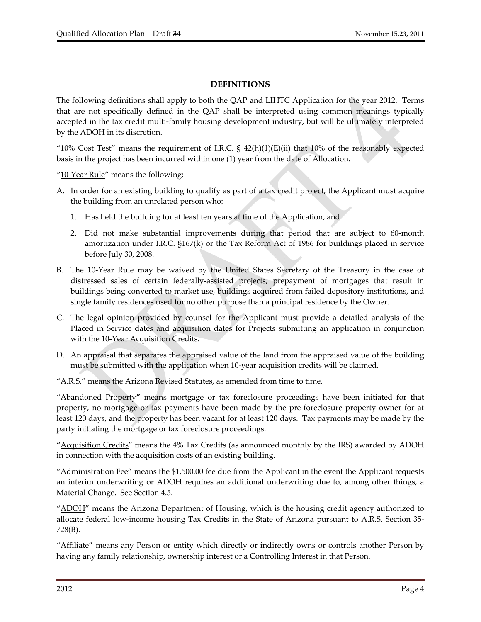# **DEFINITIONS**

The following definitions shall apply to both the QAP and LIHTC Application for the year 2012. Terms that are not specifically defined in the QAP shall be interpreted using common meanings typically accepted in the tax credit multi‐family housing development industry, but will be ultimately interpreted by the ADOH in its discretion.

" $10\%$  Cost Test" means the requirement of I.R.C. §  $42(h)(1)(E)(ii)$  that 10% of the reasonably expected basis in the project has been incurred within one (1) year from the date of Allocation.

"10-Year Rule" means the following:

- A. In order for an existing building to qualify as part of a tax credit project, the Applicant must acquire the building from an unrelated person who:
	- 1. Has held the building for at least ten years at time of the Application, and
	- 2. Did not make substantial improvements during that period that are subject to 60‐month amortization under I.R.C. §167(k) or the Tax Reform Act of 1986 for buildings placed in service before July 30, 2008.
- B. The 10‐Year Rule may be waived by the United States Secretary of the Treasury in the case of distressed sales of certain federally‐assisted projects, prepayment of mortgages that result in buildings being converted to market use, buildings acquired from failed depository institutions, and single family residences used for no other purpose than a principal residence by the Owner.
- C. The legal opinion provided by counsel for the Applicant must provide a detailed analysis of the Placed in Service dates and acquisition dates for Projects submitting an application in conjunction with the 10‐Year Acquisition Credits.
- D. An appraisal that separates the appraised value of the land from the appraised value of the building must be submitted with the application when 10‐year acquisition credits will be claimed.

"A.R.S." means the Arizona Revised Statutes, as amended from time to time.

"Abandoned Property**"** means mortgage or tax foreclosure proceedings have been initiated for that property, no mortgage or tax payments have been made by the pre‐foreclosure property owner for at least 120 days, and the property has been vacant for at least 120 days. Tax payments may be made by the party initiating the mortgage or tax foreclosure proceedings.

"Acquisition Credits" means the 4% Tax Credits (as announced monthly by the IRS) awarded by ADOH in connection with the acquisition costs of an existing building.

" $\Delta$ dministration Fee" means the \$1,500.00 fee due from the Applicant in the event the Applicant requests an interim underwriting or ADOH requires an additional underwriting due to, among other things, a Material Change. See Section 4.5.

"ADOH" means the Arizona Department of Housing, which is the housing credit agency authorized to allocate federal low‐income housing Tax Credits in the State of Arizona pursuant to A.R.S. Section 35‐ 728(B).

"Affiliate" means any Person or entity which directly or indirectly owns or controls another Person by having any family relationship, ownership interest or a Controlling Interest in that Person.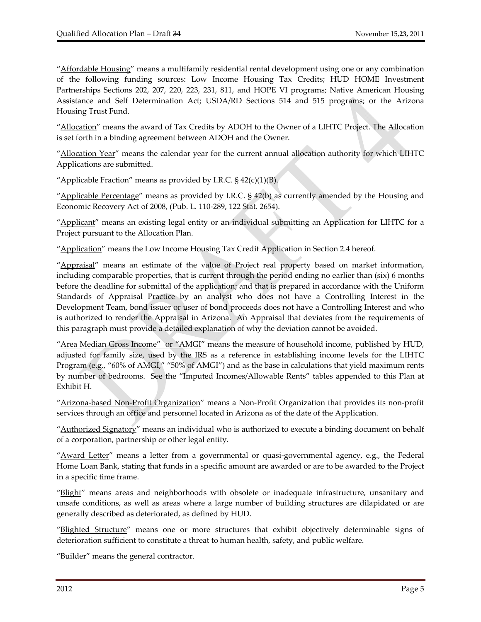"Affordable Housing" means a multifamily residential rental development using one or any combination of the following funding sources: Low Income Housing Tax Credits; HUD HOME Investment Partnerships Sections 202, 207, 220, 223, 231, 811, and HOPE VI programs; Native American Housing Assistance and Self Determination Act; USDA/RD Sections 514 and 515 programs; or the Arizona Housing Trust Fund.

"Allocation" means the award of Tax Credits by ADOH to the Owner of a LIHTC Project. The Allocation is set forth in a binding agreement between ADOH and the Owner.

"Allocation Year" means the calendar year for the current annual allocation authority for which LIHTC Applications are submitted.

"Applicable Fraction" means as provided by I.R.C.  $\S$  42(c)(1)(B).

"Applicable Percentage" means as provided by I.R.C.  $\S$  42(b) as currently amended by the Housing and Economic Recovery Act of 2008, (Pub. L. 110‐289, 122 Stat. 2654).

"Applicant" means an existing legal entity or an individual submitting an Application for LIHTC for a Project pursuant to the Allocation Plan.

"Application" means the Low Income Housing Tax Credit Application in Section 2.4 hereof.

"Appraisal" means an estimate of the value of Project real property based on market information, including comparable properties, that is current through the period ending no earlier than (six) 6 months before the deadline for submittal of the application; and that is prepared in accordance with the Uniform Standards of Appraisal Practice by an analyst who does not have a Controlling Interest in the Development Team, bond issuer or user of bond proceeds does not have a Controlling Interest and who is authorized to render the Appraisal in Arizona. An Appraisal that deviates from the requirements of this paragraph must provide a detailed explanation of why the deviation cannot be avoided.

"Area Median Gross Income" or "AMGI" means the measure of household income, published by HUD, adjusted for family size, used by the IRS as a reference in establishing income levels for the LIHTC Program (e.g., "60% of AMGI," "50% of AMGI") and as the base in calculations that yield maximum rents by number of bedrooms. See the "Imputed Incomes/Allowable Rents" tables appended to this Plan at Exhibit H.

"Arizona‐based Non‐Profit Organization" means a Non‐Profit Organization that provides its non‐profit services through an office and personnel located in Arizona as of the date of the Application.

"Authorized Signatory" means an individual who is authorized to execute a binding document on behalf of a corporation, partnership or other legal entity.

"Award Letter" means a letter from a governmental or quasi-governmental agency, e.g., the Federal Home Loan Bank, stating that funds in a specific amount are awarded or are to be awarded to the Project in a specific time frame.

"Blight" means areas and neighborhoods with obsolete or inadequate infrastructure, unsanitary and unsafe conditions, as well as areas where a large number of building structures are dilapidated or are generally described as deteriorated, as defined by HUD.

"Blighted Structure" means one or more structures that exhibit objectively determinable signs of deterioration sufficient to constitute a threat to human health, safety, and public welfare.

"Builder" means the general contractor.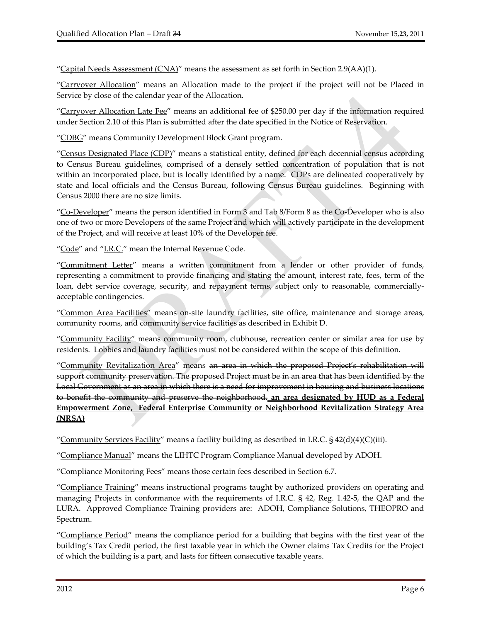"Capital Needs Assessment  $(CNA)$ " means the assessment as set forth in Section 2.9(AA)(1).

"Carryover Allocation" means an Allocation made to the project if the project will not be Placed in Service by close of the calendar year of the Allocation.

"Carryover Allocation Late Fee" means an additional fee of \$250.00 per day if the information required under Section 2.10 of this Plan is submitted after the date specified in the Notice of Reservation.

"CDBG" means Community Development Block Grant program.

"Census Designated Place (CDP)" means a statistical entity, defined for each decennial census according to Census Bureau guidelines, comprised of a densely settled concentration of population that is not within an incorporated place, but is locally identified by a name. CDPs are delineated cooperatively by state and local officials and the Census Bureau, following Census Bureau guidelines. Beginning with Census 2000 there are no size limits.

"Co‐Developer" means the person identified in Form 3 and Tab 8/Form 8 as the Co‐Developer who is also one of two or more Developers of the same Project and which will actively participate in the development of the Project, and will receive at least 10% of the Developer fee.

"Code" and "I.R.C." mean the Internal Revenue Code.

"Commitment Letter" means a written commitment from a lender or other provider of funds, representing a commitment to provide financing and stating the amount, interest rate, fees, term of the loan, debt service coverage, security, and repayment terms, subject only to reasonable, commerciallyacceptable contingencies.

"Common Area Facilities" means on‐site laundry facilities, site office, maintenance and storage areas, community rooms, and community service facilities as described in Exhibit D.

"Community Facility" means community room, clubhouse, recreation center or similar area for use by residents. Lobbies and laundry facilities must not be considered within the scope of this definition.

"Community Revitalization Area" means an area in which the proposed Project's rehabilitation will support community preservation. The proposed Project must be in an area that has been identified by the Local Government as an area in which there is a need for improvement in housing and business locations to benefit the community and preserve the neighborhood. **an area designated by HUD as a Federal Empowerment Zone, Federal Enterprise Community or Neighborhood Revitalization Strategy Area (NRSA)**

"Community Services Facility" means a facility building as described in I.R.C.  $\S$  42(d)(4)(C)(iii).

"Compliance Manual" means the LIHTC Program Compliance Manual developed by ADOH.

"Compliance Monitoring Fees" means those certain fees described in Section 6.7.

"Compliance Training" means instructional programs taught by authorized providers on operating and managing Projects in conformance with the requirements of I.R.C. § 42, Reg. 1.42‐5, the QAP and the LURA. Approved Compliance Training providers are: ADOH, Compliance Solutions, THEOPRO and Spectrum.

"Compliance Period" means the compliance period for a building that begins with the first year of the building's Tax Credit period, the first taxable year in which the Owner claims Tax Credits for the Project of which the building is a part, and lasts for fifteen consecutive taxable years.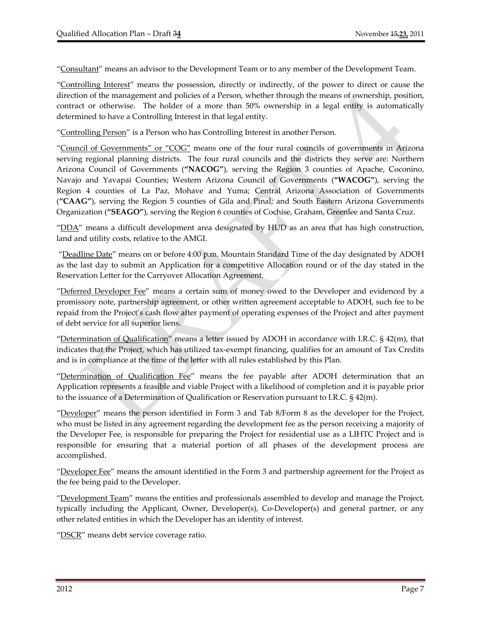"Consultant" means an advisor to the Development Team or to any member of the Development Team.

"Controlling Interest" means the possession, directly or indirectly, of the power to direct or cause the direction of the management and policies of a Person, whether through the means of ownership, position, contract or otherwise. The holder of a more than 50% ownership in a legal entity is automatically determined to have a Controlling Interest in that legal entity.

"Controlling Person" is a Person who has Controlling Interest in another Person.

"Council of Governments" or "COG" means one of the four rural councils of governments in Arizona serving regional planning districts. The four rural councils and the districts they serve are: Northern Arizona Council of Governments (**"NACOG"**), serving the Region 3 counties of Apache, Coconino, Navajo and Yavapai Counties; Western Arizona Council of Governments (**"WACOG"**), serving the Region 4 counties of La Paz, Mohave and Yuma; Central Arizona Association of Governments (**"CAAG"**), serving the Region 5 counties of Gila and Pinal; and South Eastern Arizona Governments Organization (**"SEAGO"**), serving the Region 6 counties of Cochise, Graham, Greenlee and Santa Cruz.

"DDA" means a difficult development area designated by HUD as an area that has high construction, land and utility costs, relative to the AMGI.

"Deadline Date" means on or before 4:00 p.m. Mountain Standard Time of the day designated by ADOH as the last day to submit an Application for a competitive Allocation round or of the day stated in the Reservation Letter for the Carryover Allocation Agreement.

"Deferred Developer Fee" means a certain sum of money owed to the Developer and evidenced by a promissory note, partnership agreement, or other written agreement acceptable to ADOH, such fee to be repaid from the Project's cash flow after payment of operating expenses of the Project and after payment of debt service for all superior liens.

"Determination of Qualification" means a letter issued by ADOH in accordance with I.R.C.  $\S$  42(m), that indicates that the Project, which has utilized tax‐exempt financing, qualifies for an amount of Tax Credits and is in compliance at the time of the letter with all rules established by this Plan.

"Determination of Qualification Fee" means the fee payable after ADOH determination that an Application represents a feasible and viable Project with a likelihood of completion and it is payable prior to the issuance of a Determination of Qualification or Reservation pursuant to I.R.C. § 42(m).

"Developer" means the person identified in Form 3 and Tab 8/Form 8 as the developer for the Project, who must be listed in any agreement regarding the development fee as the person receiving a majority of the Developer Fee, is responsible for preparing the Project for residential use as a LIHTC Project and is responsible for ensuring that a material portion of all phases of the development process are accomplished.

"Developer Fee" means the amount identified in the Form 3 and partnership agreement for the Project as the fee being paid to the Developer.

"Development Team" means the entities and professionals assembled to develop and manage the Project, typically including the Applicant, Owner, Developer(s), Co‐Developer(s) and general partner, or any other related entities in which the Developer has an identity of interest.

"DSCR" means debt service coverage ratio.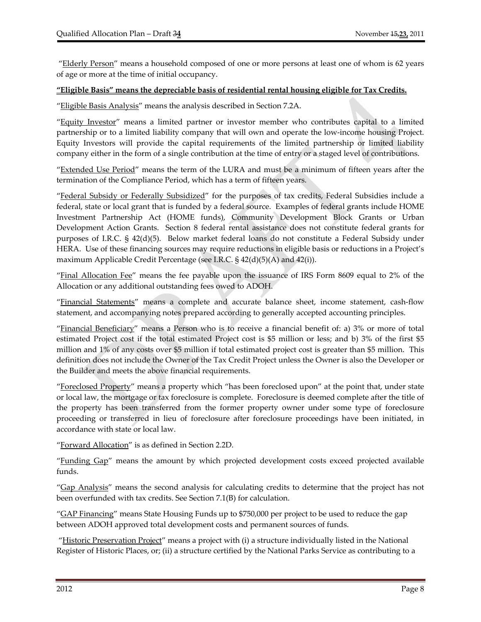"Elderly Person" means a household composed of one or more persons at least one of whom is 62 years of age or more at the time of initial occupancy.

#### **"Eligible Basis" means the depreciable basis of residential rental housing eligible for Tax Credits.**

"Eligible Basis Analysis" means the analysis described in Section 7.2A.

"Equity Investor" means a limited partner or investor member who contributes capital to a limited partnership or to a limited liability company that will own and operate the low‐income housing Project. Equity Investors will provide the capital requirements of the limited partnership or limited liability company either in the form of a single contribution at the time of entry or a staged level of contributions.

"Extended Use Period" means the term of the LURA and must be a minimum of fifteen years after the termination of the Compliance Period, which has a term of fifteen years.

"Federal Subsidy or Federally Subsidized" for the purposes of tax credits, Federal Subsidies include a federal, state or local grant that is funded by a federal source. Examples of federal grants include HOME Investment Partnership Act (HOME funds), Community Development Block Grants or Urban Development Action Grants. Section 8 federal rental assistance does not constitute federal grants for purposes of I.R.C. § 42(d)(5). Below market federal loans do not constitute a Federal Subsidy under HERA. Use of these financing sources may require reductions in eligible basis or reductions in a Project's maximum Applicable Credit Percentage (see I.R.C. § 42(d)(5)(A) and 42(i)).

"Final Allocation Fee" means the fee payable upon the issuance of IRS Form 8609 equal to 2% of the Allocation or any additional outstanding fees owed to ADOH.

"Financial Statements" means a complete and accurate balance sheet, income statement, cash‐flow statement, and accompanying notes prepared according to generally accepted accounting principles.

"Financial Beneficiary" means a Person who is to receive a financial benefit of: a) 3% or more of total estimated Project cost if the total estimated Project cost is \$5 million or less; and b) 3% of the first \$5 million and 1% of any costs over \$5 million if total estimated project cost is greater than \$5 million. This definition does not include the Owner of the Tax Credit Project unless the Owner is also the Developer or the Builder and meets the above financial requirements.

"Foreclosed Property" means a property which "has been foreclosed upon" at the point that, under state or local law, the mortgage or tax foreclosure is complete. Foreclosure is deemed complete after the title of the property has been transferred from the former property owner under some type of foreclosure proceeding or transferred in lieu of foreclosure after foreclosure proceedings have been initiated, in accordance with state or local law.

"Forward Allocation" is as defined in Section 2.2D.

"Funding Gap" means the amount by which projected development costs exceed projected available funds.

"Gap Analysis" means the second analysis for calculating credits to determine that the project has not been overfunded with tax credits. See Section 7.1(B) for calculation.

"**GAP Financing**" means State Housing Funds up to \$750,000 per project to be used to reduce the gap between ADOH approved total development costs and permanent sources of funds.

"Historic Preservation Project" means a project with (i) a structure individually listed in the National Register of Historic Places, or; (ii) a structure certified by the National Parks Service as contributing to a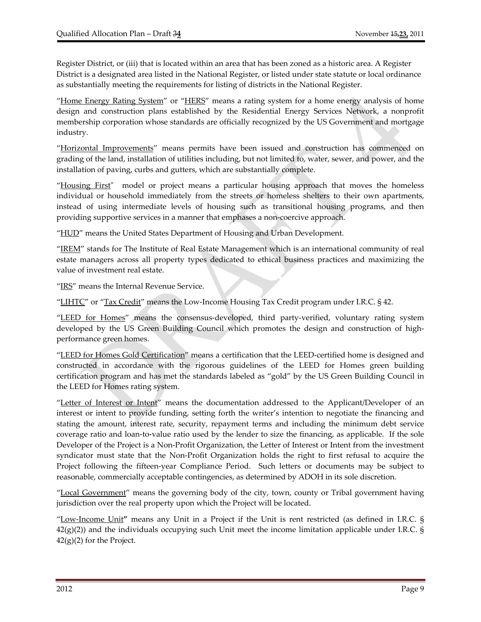Register District, or (iii) that is located within an area that has been zoned as a historic area. A Register District is a designated area listed in the National Register, or listed under state statute or local ordinance as substantially meeting the requirements for listing of districts in the National Register.

"Home Energy Rating System" or "HERS" means a rating system for a home energy analysis of home design and construction plans established by the Residential Energy Services Network, a nonprofit membership corporation whose standards are officially recognized by the US Government and mortgage industry.

"Horizontal Improvements" means permits have been issued and construction has commenced on grading of the land, installation of utilities including, but not limited to, water, sewer, and power, and the installation of paving, curbs and gutters, which are substantially complete.

"Housing First" model or project means a particular housing approach that moves the homeless individual or household immediately from the streets or homeless shelters to their own apartments, instead of using intermediate levels of housing such as transitional housing programs, and then providing supportive services in a manner that emphases a non‐coercive approach.

"HUD" means the United States Department of Housing and Urban Development.

"IREM" stands for The Institute of Real Estate Management which is an international community of real estate managers across all property types dedicated to ethical business practices and maximizing the value of investment real estate.

"IRS" means the Internal Revenue Service.

"LIHTC" or "Tax Credit" means the Low-Income Housing Tax Credit program under I.R.C. § 42.

"LEED for Homes" means the consensus‐developed, third party‐verified, voluntary rating system developed by the US Green Building Council which promotes the design and construction of highperformance green homes.

"LEED for Homes Gold Certification" means a certification that the LEED-certified home is designed and constructed in accordance with the rigorous guidelines of the LEED for Homes green building certification program and has met the standards labeled as "gold" by the US Green Building Council in the LEED for Homes rating system.

"Letter of Interest or Intent" means the documentation addressed to the Applicant/Developer of an interest or intent to provide funding, setting forth the writer's intention to negotiate the financing and stating the amount, interest rate, security, repayment terms and including the minimum debt service coverage ratio and loan‐to‐value ratio used by the lender to size the financing, as applicable. If the sole Developer of the Project is a Non‐Profit Organization, the Letter of Interest or Intent from the investment syndicator must state that the Non-Profit Organization holds the right to first refusal to acquire the Project following the fifteen-year Compliance Period. Such letters or documents may be subject to reasonable, commercially acceptable contingencies, as determined by ADOH in its sole discretion.

"Local Government" means the governing body of the city, town, county or Tribal government having jurisdiction over the real property upon which the Project will be located.

"Low‐Income Unit**"** means any Unit in a Project if the Unit is rent restricted (as defined in I.R.C. §  $42(g)(2)$ ) and the individuals occupying such Unit meet the income limitation applicable under I.R.C. §  $42(g)(2)$  for the Project.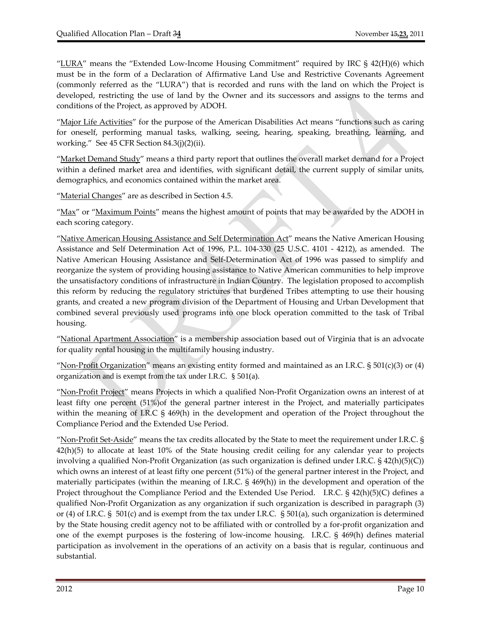"LURA" means the "Extended Low-Income Housing Commitment" required by IRC  $\S$  42(H)(6) which must be in the form of a Declaration of Affirmative Land Use and Restrictive Covenants Agreement (commonly referred as the "LURA") that is recorded and runs with the land on which the Project is developed, restricting the use of land by the Owner and its successors and assigns to the terms and conditions of the Project, as approved by ADOH.

"Major Life Activities" for the purpose of the American Disabilities Act means "functions such as caring for oneself, performing manual tasks, walking, seeing, hearing, speaking, breathing, learning, and working." See 45 CFR Section 84.3(j)(2)(ii).

"Market Demand Study" means a third party report that outlines the overall market demand for a Project within a defined market area and identifies, with significant detail, the current supply of similar units, demographics, and economics contained within the market area.

"Material Changes" are as described in Section 4.5.

"Max" or "Maximum Points" means the highest amount of points that may be awarded by the ADOH in each scoring category.

"Native American Housing Assistance and Self Determination Act" means the Native American Housing Assistance and Self Determination Act of 1996, P.L. 104‐330 (25 U.S.C. 4101 ‐ 4212), as amended. The Native American Housing Assistance and Self‐Determination Act of 1996 was passed to simplify and reorganize the system of providing housing assistance to Native American communities to help improve the unsatisfactory conditions of infrastructure in Indian Country. The legislation proposed to accomplish this reform by reducing the regulatory strictures that burdened Tribes attempting to use their housing grants, and created a new program division of the Department of Housing and Urban Development that combined several previously used programs into one block operation committed to the task of Tribal housing.

"National Apartment Association" is a membership association based out of Virginia that is an advocate for quality rental housing in the multifamily housing industry.

"Non-Profit Organization" means an existing entity formed and maintained as an I.R.C.  $\S 501(c)(3)$  or (4) organization and is exempt from the tax under I.R.C. § 501(a).

"Non‐Profit Project" means Projects in which a qualified Non‐Profit Organization owns an interest of at least fifty one percent (51%)of the general partner interest in the Project, and materially participates within the meaning of I.R.C § 469(h) in the development and operation of the Project throughout the Compliance Period and the Extended Use Period.

"Non-Profit Set-Aside" means the tax credits allocated by the State to meet the requirement under I.R.C. § 42(h)(5) to allocate at least 10% of the State housing credit ceiling for any calendar year to projects involving a qualified Non‐Profit Organization (as such organization is defined under I.R.C. § 42(h)(5)(C)) which owns an interest of at least fifty one percent (51%) of the general partner interest in the Project, and materially participates (within the meaning of I.R.C. § 469(h)) in the development and operation of the Project throughout the Compliance Period and the Extended Use Period. I.R.C. § 42(h)(5)(C) defines a qualified Non‐Profit Organization as any organization if such organization is described in paragraph (3) or (4) of I.R.C. § 501(c) and is exempt from the tax under I.R.C. § 501(a), such organization is determined by the State housing credit agency not to be affiliated with or controlled by a for‐profit organization and one of the exempt purposes is the fostering of low-income housing. I.R.C. § 469(h) defines material participation as involvement in the operations of an activity on a basis that is regular, continuous and substantial.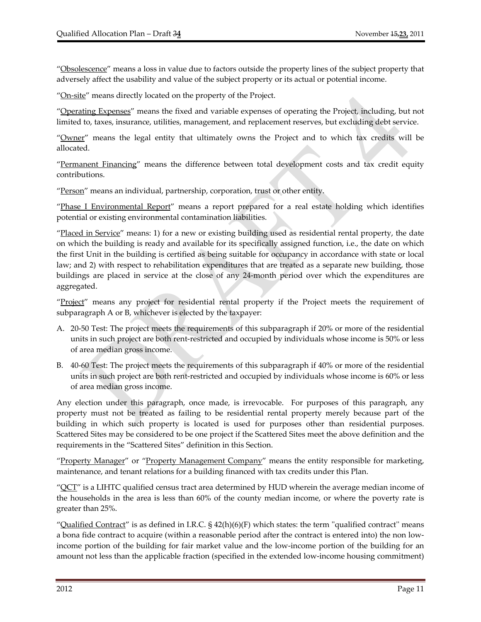"Obsolescence" means a loss in value due to factors outside the property lines of the subject property that adversely affect the usability and value of the subject property or its actual or potential income.

"On-site" means directly located on the property of the Project.

"Operating Expenses" means the fixed and variable expenses of operating the Project, including, but not limited to, taxes, insurance, utilities, management, and replacement reserves, but excluding debt service.

"Owner" means the legal entity that ultimately owns the Project and to which tax credits will be allocated.

"Permanent Financing" means the difference between total development costs and tax credit equity contributions.

"Person" means an individual, partnership, corporation, trust or other entity.

"Phase I Environmental Report" means a report prepared for a real estate holding which identifies potential or existing environmental contamination liabilities.

"Placed in Service" means: 1) for a new or existing building used as residential rental property, the date on which the building is ready and available for its specifically assigned function, i.e., the date on which the first Unit in the building is certified as being suitable for occupancy in accordance with state or local law; and 2) with respect to rehabilitation expenditures that are treated as a separate new building, those buildings are placed in service at the close of any 24-month period over which the expenditures are aggregated.

"Project" means any project for residential rental property if the Project meets the requirement of subparagraph A or B, whichever is elected by the taxpayer:

- A. 20‐50 Test: The project meets the requirements of this subparagraph if 20% or more of the residential units in such project are both rent‐restricted and occupied by individuals whose income is 50% or less of area median gross income.
- B. 40‐60 Test: The project meets the requirements of this subparagraph if 40% or more of the residential units in such project are both rent‐restricted and occupied by individuals whose income is 60% or less of area median gross income.

Any election under this paragraph, once made, is irrevocable. For purposes of this paragraph, any property must not be treated as failing to be residential rental property merely because part of the building in which such property is located is used for purposes other than residential purposes. Scattered Sites may be considered to be one project if the Scattered Sites meet the above definition and the requirements in the "Scattered Sites" definition in this Section.

"Property Manager" or "Property Management Company" means the entity responsible for marketing, maintenance, and tenant relations for a building financed with tax credits under this Plan.

" $QCT$ " is a LIHTC qualified census tract area determined by HUD wherein the average median income of the households in the area is less than 60% of the county median income, or where the poverty rate is greater than 25%.

"Qualified Contract" is as defined in I.R.C.  $\S$  42(h)(6)(F) which states: the term "qualified contract" means a bona fide contract to acquire (within a reasonable period after the contract is entered into) the non low‐ income portion of the building for fair market value and the low‐income portion of the building for an amount not less than the applicable fraction (specified in the extended low-income housing commitment)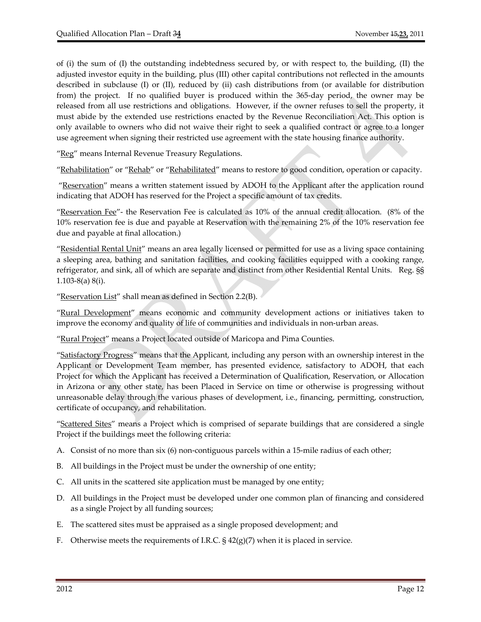of (i) the sum of (I) the outstanding indebtedness secured by, or with respect to, the building, (II) the adjusted investor equity in the building, plus (III) other capital contributions not reflected in the amounts described in subclause (I) or (II), reduced by (ii) cash distributions from (or available for distribution from) the project. If no qualified buyer is produced within the 365-day period, the owner may be released from all use restrictions and obligations. However, if the owner refuses to sell the property, it must abide by the extended use restrictions enacted by the Revenue Reconciliation Act. This option is only available to owners who did not waive their right to seek a qualified contract or agree to a longer use agreement when signing their restricted use agreement with the state housing finance authority.

"Reg" means Internal Revenue Treasury Regulations.

"Rehabilitation" or "Rehab" or "Rehabilitated" means to restore to good condition, operation or capacity.

"Reservation" means a written statement issued by ADOH to the Applicant after the application round indicating that ADOH has reserved for the Project a specific amount of tax credits.

"Reservation Fee"‐ the Reservation Fee is calculated as 10% of the annual credit allocation. (8% of the 10% reservation fee is due and payable at Reservation with the remaining 2% of the 10% reservation fee due and payable at final allocation.)

"Residential Rental Unit" means an area legally licensed or permitted for use as a living space containing a sleeping area, bathing and sanitation facilities, and cooking facilities equipped with a cooking range, refrigerator, and sink, all of which are separate and distinct from other Residential Rental Units. Reg. §§ 1.103‐8(a) 8(i).

"Reservation List" shall mean as defined in Section 2.2(B).

"Rural Development" means economic and community development actions or initiatives taken to improve the economy and quality of life of communities and individuals in non‐urban areas.

"Rural Project" means a Project located outside of Maricopa and Pima Counties.

"Satisfactory Progress" means that the Applicant, including any person with an ownership interest in the Applicant or Development Team member, has presented evidence, satisfactory to ADOH, that each Project for which the Applicant has received a Determination of Qualification, Reservation, or Allocation in Arizona or any other state, has been Placed in Service on time or otherwise is progressing without unreasonable delay through the various phases of development, i.e., financing, permitting, construction, certificate of occupancy, and rehabilitation.

"Scattered Sites" means a Project which is comprised of separate buildings that are considered a single Project if the buildings meet the following criteria:

- A. Consist of no more than six (6) non-contiguous parcels within a 15-mile radius of each other;
- B. All buildings in the Project must be under the ownership of one entity;
- C. All units in the scattered site application must be managed by one entity;
- D. All buildings in the Project must be developed under one common plan of financing and considered as a single Project by all funding sources;
- E. The scattered sites must be appraised as a single proposed development; and
- F. Otherwise meets the requirements of I.R.C.  $\S 42(g)(7)$  when it is placed in service.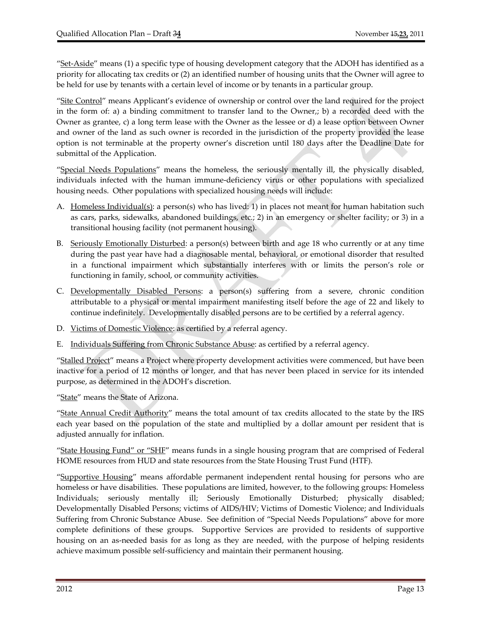"Set-Aside" means (1) a specific type of housing development category that the ADOH has identified as a priority for allocating tax credits or (2) an identified number of housing units that the Owner will agree to be held for use by tenants with a certain level of income or by tenants in a particular group.

"Site Control" means Applicant's evidence of ownership or control over the land required for the project in the form of: a) a binding commitment to transfer land to the Owner,; b) a recorded deed with the Owner as grantee, c) a long term lease with the Owner as the lessee or d) a lease option between Owner and owner of the land as such owner is recorded in the jurisdiction of the property provided the lease option is not terminable at the property owner's discretion until 180 days after the Deadline Date for submittal of the Application.

"Special Needs Populations" means the homeless, the seriously mentally ill, the physically disabled, individuals infected with the human immune‐deficiency virus or other populations with specialized housing needs. Other populations with specialized housing needs will include:

- A. Homeless Individual(s): a person(s) who has lived: 1) in places not meant for human habitation such as cars, parks, sidewalks, abandoned buildings, etc.; 2) in an emergency or shelter facility; or 3) in a transitional housing facility (not permanent housing).
- B. Seriously Emotionally Disturbed: a person(s) between birth and age 18 who currently or at any time during the past year have had a diagnosable mental, behavioral, or emotional disorder that resulted in a functional impairment which substantially interferes with or limits the person's role or functioning in family, school, or community activities.
- C. Developmentally Disabled Persons: a person(s) suffering from a severe, chronic condition attributable to a physical or mental impairment manifesting itself before the age of 22 and likely to continue indefinitely. Developmentally disabled persons are to be certified by a referral agency.
- D. Victims of Domestic Violence: as certified by a referral agency.
- E. Individuals Suffering from Chronic Substance Abuse: as certified by a referral agency.

"Stalled Project" means a Project where property development activities were commenced, but have been inactive for a period of 12 months or longer, and that has never been placed in service for its intended purpose, as determined in the ADOH's discretion.

"State" means the State of Arizona.

"State Annual Credit Authority" means the total amount of tax credits allocated to the state by the IRS each year based on the population of the state and multiplied by a dollar amount per resident that is adjusted annually for inflation.

"State Housing Fund" or "SHF" means funds in a single housing program that are comprised of Federal HOME resources from HUD and state resources from the State Housing Trust Fund (HTF).

"Supportive Housing" means affordable permanent independent rental housing for persons who are homeless or have disabilities. These populations are limited, however, to the following groups: Homeless Individuals; seriously mentally ill; Seriously Emotionally Disturbed; physically disabled; Developmentally Disabled Persons; victims of AIDS/HIV; Victims of Domestic Violence; and Individuals Suffering from Chronic Substance Abuse. See definition of "Special Needs Populations" above for more complete definitions of these groups. Supportive Services are provided to residents of supportive housing on an as-needed basis for as long as they are needed, with the purpose of helping residents achieve maximum possible self‐sufficiency and maintain their permanent housing.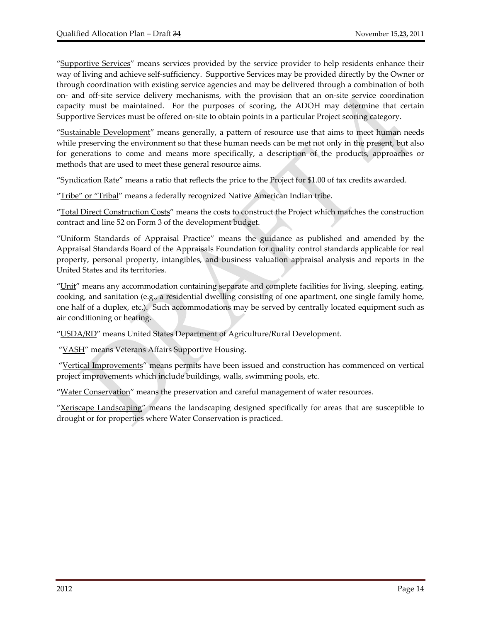"Supportive Services" means services provided by the service provider to help residents enhance their way of living and achieve self‐sufficiency. Supportive Services may be provided directly by the Owner or through coordination with existing service agencies and may be delivered through a combination of both on‐ and off‐site service delivery mechanisms, with the provision that an on‐site service coordination capacity must be maintained. For the purposes of scoring, the ADOH may determine that certain Supportive Services must be offered on‐site to obtain points in a particular Project scoring category.

"Sustainable Development" means generally, a pattern of resource use that aims to meet human needs while preserving the environment so that these human needs can be met not only in the present, but also for generations to come and means more specifically, a description of the products, approaches or methods that are used to meet these general resource aims.

"Syndication Rate" means a ratio that reflects the price to the Project for \$1.00 of tax credits awarded.

"Tribe" or "Tribal" means a federally recognized Native American Indian tribe.

"Total Direct Construction Costs" means the costs to construct the Project which matches the construction contract and line 52 on Form 3 of the development budget.

"Uniform Standards of Appraisal Practice" means the guidance as published and amended by the Appraisal Standards Board of the Appraisals Foundation for quality control standards applicable for real property, personal property, intangibles, and business valuation appraisal analysis and reports in the United States and its territories.

"Unit" means any accommodation containing separate and complete facilities for living, sleeping, eating, cooking, and sanitation (e.g., a residential dwelling consisting of one apartment, one single family home, one half of a duplex, etc.). Such accommodations may be served by centrally located equipment such as air conditioning or heating.

"USDA/RD" means United States Department of Agriculture/Rural Development.

"VASH" means Veterans Affairs Supportive Housing.

"Vertical Improvements" means permits have been issued and construction has commenced on vertical project improvements which include buildings, walls, swimming pools, etc.

"Water Conservation" means the preservation and careful management of water resources.

"Xeriscape Landscaping" means the landscaping designed specifically for areas that are susceptible to drought or for properties where Water Conservation is practiced.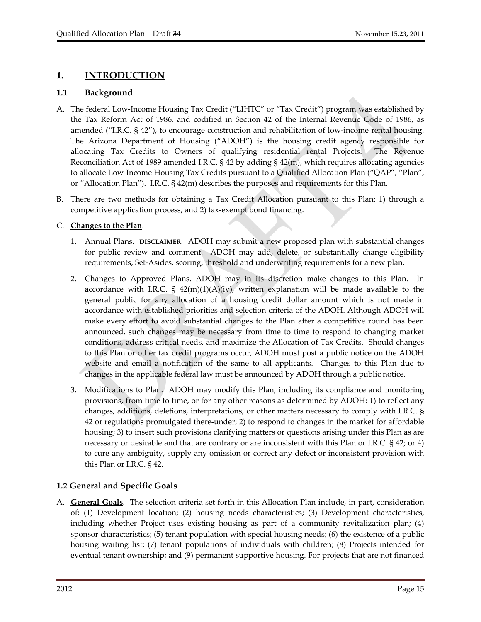# **1. INTRODUCTION**

#### **1.1 Background**

- A. The federal Low‐Income Housing Tax Credit ("LIHTC" or "Tax Credit") program was established by the Tax Reform Act of 1986, and codified in Section 42 of the Internal Revenue Code of 1986, as amended ("I.R.C. § 42"), to encourage construction and rehabilitation of low-income rental housing. The Arizona Department of Housing ("ADOH") is the housing credit agency responsible for allocating Tax Credits to Owners of qualifying residential rental Projects. The Revenue Reconciliation Act of 1989 amended I.R.C. § 42 by adding § 42(m), which requires allocating agencies to allocate Low‐Income Housing Tax Credits pursuant to a Qualified Allocation Plan ("QAP", "Plan", or "Allocation Plan"). I.R.C. § 42(m) describes the purposes and requirements for this Plan.
- B. There are two methods for obtaining a Tax Credit Allocation pursuant to this Plan: 1) through a competitive application process, and 2) tax‐exempt bond financing.

#### C. **Changes to the Plan**.

- 1. Annual Plans. **DISCLAIMER**: ADOH may submit a new proposed plan with substantial changes for public review and comment. ADOH may add, delete, or substantially change eligibility requirements, Set‐Asides, scoring, threshold and underwriting requirements for a new plan.
- 2. Changes to Approved Plans. ADOH may in its discretion make changes to this Plan. In accordance with I.R.C. §  $42(m)(1)(A)(iv)$ , written explanation will be made available to the general public for any allocation of a housing credit dollar amount which is not made in accordance with established priorities and selection criteria of the ADOH. Although ADOH will make every effort to avoid substantial changes to the Plan after a competitive round has been announced, such changes may be necessary from time to time to respond to changing market conditions, address critical needs, and maximize the Allocation of Tax Credits. Should changes to this Plan or other tax credit programs occur, ADOH must post a public notice on the ADOH website and email a notification of the same to all applicants. Changes to this Plan due to changes in the applicable federal law must be announced by ADOH through a public notice.
- 3. Modifications to Plan. ADOH may modify this Plan, including its compliance and monitoring provisions, from time to time, or for any other reasons as determined by ADOH: 1) to reflect any changes, additions, deletions, interpretations, or other matters necessary to comply with I.R.C. § 42 or regulations promulgated there‐under; 2) to respond to changes in the market for affordable housing; 3) to insert such provisions clarifying matters or questions arising under this Plan as are necessary or desirable and that are contrary or are inconsistent with this Plan or I.R.C. § 42; or 4) to cure any ambiguity, supply any omission or correct any defect or inconsistent provision with this Plan or I.R.C. § 42.

# **1.2 General and Specific Goals**

A. **General Goals**. The selection criteria set forth in this Allocation Plan include, in part, consideration of: (1) Development location; (2) housing needs characteristics; (3) Development characteristics, including whether Project uses existing housing as part of a community revitalization plan; (4) sponsor characteristics; (5) tenant population with special housing needs; (6) the existence of a public housing waiting list; (7) tenant populations of individuals with children; (8) Projects intended for eventual tenant ownership; and (9) permanent supportive housing. For projects that are not financed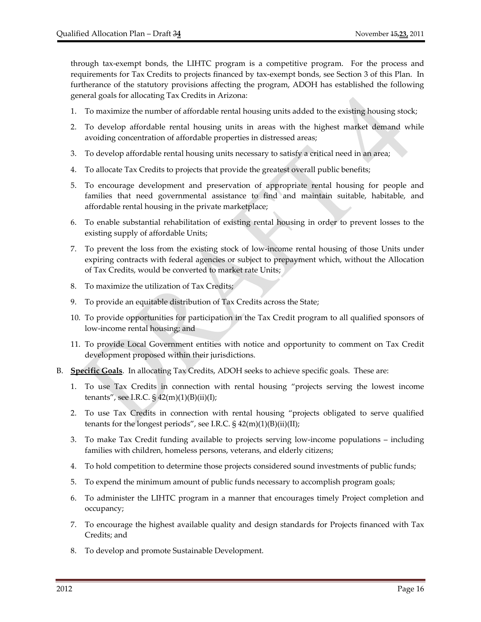through tax‐exempt bonds, the LIHTC program is a competitive program. For the process and requirements for Tax Credits to projects financed by tax-exempt bonds, see Section 3 of this Plan. In furtherance of the statutory provisions affecting the program, ADOH has established the following general goals for allocating Tax Credits in Arizona:

- 1. To maximize the number of affordable rental housing units added to the existing housing stock;
- 2. To develop affordable rental housing units in areas with the highest market demand while avoiding concentration of affordable properties in distressed areas;
- 3. To develop affordable rental housing units necessary to satisfy a critical need in an area;
- 4. To allocate Tax Credits to projects that provide the greatest overall public benefits;
- 5. To encourage development and preservation of appropriate rental housing for people and families that need governmental assistance to find and maintain suitable, habitable, and affordable rental housing in the private marketplace;
- 6. To enable substantial rehabilitation of existing rental housing in order to prevent losses to the existing supply of affordable Units;
- 7. To prevent the loss from the existing stock of low‐income rental housing of those Units under expiring contracts with federal agencies or subject to prepayment which, without the Allocation of Tax Credits, would be converted to market rate Units;
- 8. To maximize the utilization of Tax Credits;
- 9. To provide an equitable distribution of Tax Credits across the State;
- 10. To provide opportunities for participation in the Tax Credit program to all qualified sponsors of low‐income rental housing; and
- 11. To provide Local Government entities with notice and opportunity to comment on Tax Credit development proposed within their jurisdictions.
- B. **Specific Goals**. In allocating Tax Credits, ADOH seeks to achieve specific goals. These are:
	- 1. To use Tax Credits in connection with rental housing "projects serving the lowest income tenants", see I.R.C.  $\S$  42(m)(1)(B)(ii)(I);
	- 2. To use Tax Credits in connection with rental housing "projects obligated to serve qualified tenants for the longest periods", see I.R.C. § 42(m)(1)(B)(ii)(II);
	- 3. To make Tax Credit funding available to projects serving low‐income populations including families with children, homeless persons, veterans, and elderly citizens;
	- 4. To hold competition to determine those projects considered sound investments of public funds;
	- 5. To expend the minimum amount of public funds necessary to accomplish program goals;
	- 6. To administer the LIHTC program in a manner that encourages timely Project completion and occupancy;
	- 7. To encourage the highest available quality and design standards for Projects financed with Tax Credits; and
	- 8. To develop and promote Sustainable Development.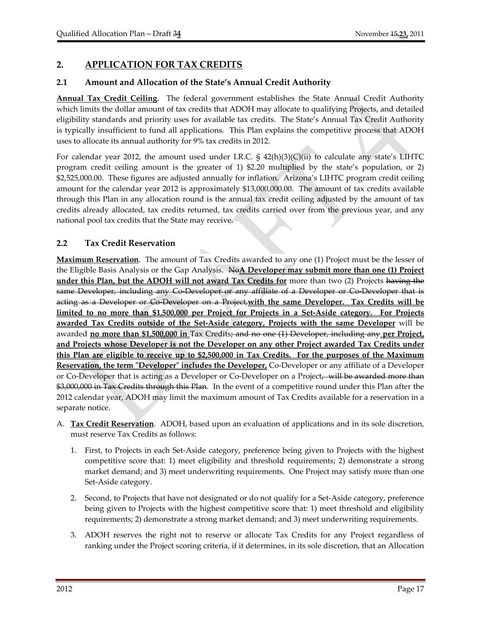# **2. APPLICATION FOR TAX CREDITS**

# **2.1 Amount and Allocation of the State's Annual Credit Authority**

**Annual Tax Credit Ceiling**. The federal government establishes the State Annual Credit Authority which limits the dollar amount of tax credits that ADOH may allocate to qualifying Projects, and detailed eligibility standards and priority uses for available tax credits. The State's Annual Tax Credit Authority is typically insufficient to fund all applications. This Plan explains the competitive process that ADOH uses to allocate its annual authority for 9% tax credits in 2012.

For calendar year 2012, the amount used under I.R.C. § 42(h)(3)(C)(ii) to calculate any state's LIHTC program credit ceiling amount is the greater of 1) \$2.20 multiplied by the state's population, or 2) \$2,525,000.00. These figures are adjusted annually for inflation. Arizona's LIHTC program credit ceiling amount for the calendar year 2012 is approximately \$13,000,000.00. The amount of tax credits available through this Plan in any allocation round is the annual tax credit ceiling adjusted by the amount of tax credits already allocated, tax credits returned, tax credits carried over from the previous year, and any national pool tax credits that the State may receive.

# **2.2 Tax Credit Reservation**

**Maximum Reservation**. The amount of Tax Credits awarded to any one (1) Project must be the lesser of the Eligible Basis Analysis or the Gap Analysis. No**A Developer may submit more than one (1) Project under this Plan, but the ADOH will not award Tax Credits for** more than two (2) Projects having the same Developer, including any Co Developer or any affiliate of a Developer or Co Developer that is acting as a Developer or Co‐Developer on a Project,**with the same Developer. Tax Credits will be** limited to no more than \$1,500,000 per Project for Projects in a Set-Aside category. For Projects **awarded Tax Credits outside of the Set‐Aside category, Projects with the same Developer** will be awarded **no more than \$1,500,000 in** Tax Credits; and no one (1) Developer, including any **per Project, and Projects whose Developer is not the Developer on any other Project awarded Tax Credits under** this Plan are eligible to receive up to \$2,500,000 in Tax Credits. For the purposes of the Maximum **Reservation, the term "Developer" includes the Developer, Co-Developer or any affiliate of a Developer** or Co-Developer that is acting as a Developer or Co-Developer on a Project, will be awarded more than \$3,000,000 in Tax Credits through this Plan. In the event of a competitive round under this Plan after the 2012 calendar year, ADOH may limit the maximum amount of Tax Credits available for a reservation in a separate notice.

- A. **Tax Credit Reservation**. ADOH, based upon an evaluation of applications and in its sole discretion, must reserve Tax Credits as follows:
	- 1. First, to Projects in each Set‐Aside category, preference being given to Projects with the highest competitive score that: 1) meet eligibility and threshold requirements; 2) demonstrate a strong market demand; and 3) meet underwriting requirements. One Project may satisfy more than one Set‐Aside category.
	- 2. Second, to Projects that have not designated or do not qualify for a Set‐Aside category, preference being given to Projects with the highest competitive score that: 1) meet threshold and eligibility requirements; 2) demonstrate a strong market demand; and 3) meet underwriting requirements.
	- 3. ADOH reserves the right not to reserve or allocate Tax Credits for any Project regardless of ranking under the Project scoring criteria, if it determines, in its sole discretion, that an Allocation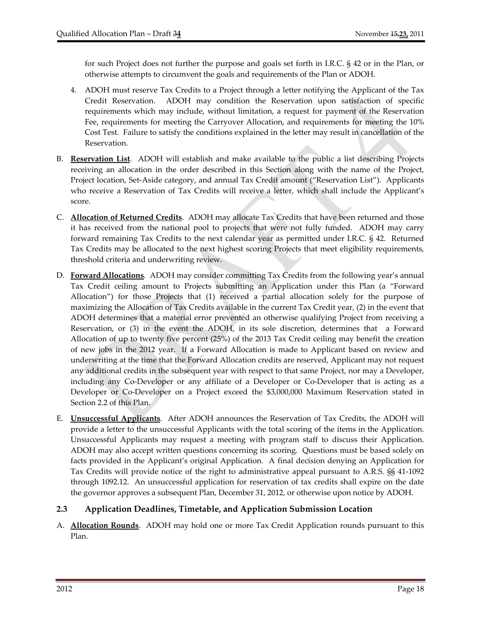for such Project does not further the purpose and goals set forth in I.R.C. § 42 or in the Plan, or otherwise attempts to circumvent the goals and requirements of the Plan or ADOH.

- 4. ADOH must reserve Tax Credits to a Project through a letter notifying the Applicant of the Tax Credit Reservation. ADOH may condition the Reservation upon satisfaction of specific requirements which may include, without limitation, a request for payment of the Reservation Fee, requirements for meeting the Carryover Allocation, and requirements for meeting the 10% Cost Test. Failure to satisfy the conditions explained in the letter may result in cancellation of the Reservation.
- B. **Reservation List**. ADOH will establish and make available to the public a list describing Projects receiving an allocation in the order described in this Section along with the name of the Project, Project location, Set‐Aside category, and annual Tax Credit amount ("Reservation List"). Applicants who receive a Reservation of Tax Credits will receive a letter, which shall include the Applicant's score.
- C. **Allocation of Returned Credits**. ADOH may allocate Tax Credits that have been returned and those it has received from the national pool to projects that were not fully funded. ADOH may carry forward remaining Tax Credits to the next calendar year as permitted under I.R.C. § 42. Returned Tax Credits may be allocated to the next highest scoring Projects that meet eligibility requirements, threshold criteria and underwriting review.
- D. **Forward Allocations**. ADOH may consider committing Tax Credits from the following year's annual Tax Credit ceiling amount to Projects submitting an Application under this Plan (a "Forward Allocation") for those Projects that (1) received a partial allocation solely for the purpose of maximizing the Allocation of Tax Credits available in the current Tax Credit year, (2) in the event that ADOH determines that a material error prevented an otherwise qualifying Project from receiving a Reservation, or (3) in the event the ADOH, in its sole discretion, determines that a Forward Allocation of up to twenty five percent (25%) of the 2013 Tax Credit ceiling may benefit the creation of new jobs in the 2012 year. If a Forward Allocation is made to Applicant based on review and underwriting at the time that the Forward Allocation credits are reserved, Applicant may not request any additional credits in the subsequent year with respect to that same Project, nor may a Developer, including any Co‐Developer or any affiliate of a Developer or Co‐Developer that is acting as a Developer or Co‐Developer on a Project exceed the \$3,000,000 Maximum Reservation stated in Section 2.2 of this Plan.
- E. **Unsuccessful Applicants**. After ADOH announces the Reservation of Tax Credits, the ADOH will provide a letter to the unsuccessful Applicants with the total scoring of the items in the Application. Unsuccessful Applicants may request a meeting with program staff to discuss their Application. ADOH may also accept written questions concerning its scoring. Questions must be based solely on facts provided in the Applicant's original Application. A final decision denying an Application for Tax Credits will provide notice of the right to administrative appeal pursuant to A.R.S. §§ 41‐1092 through 1092.12. An unsuccessful application for reservation of tax credits shall expire on the date the governor approves a subsequent Plan, December 31, 2012, or otherwise upon notice by ADOH.

# **2.3 Application Deadlines, Timetable, and Application Submission Location**

A. **Allocation Rounds**. ADOH may hold one or more Tax Credit Application rounds pursuant to this Plan.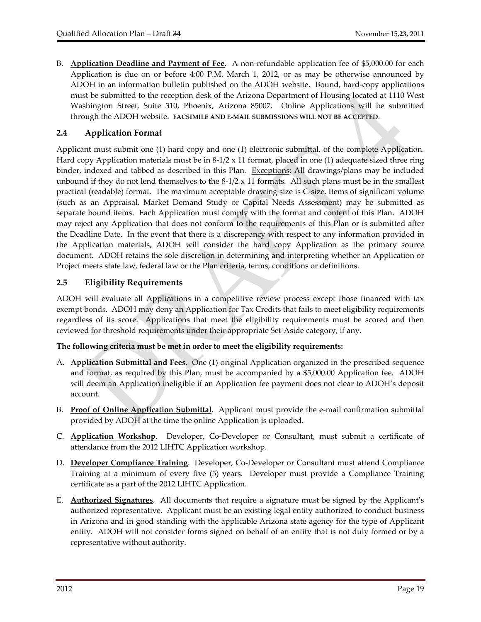B. **Application Deadline and Payment of Fee**. A non‐refundable application fee of \$5,000.00 for each Application is due on or before 4:00 P.M. March 1, 2012, or as may be otherwise announced by ADOH in an information bulletin published on the ADOH website. Bound, hard‐copy applications must be submitted to the reception desk of the Arizona Department of Housing located at 1110 West Washington Street, Suite 310, Phoenix, Arizona 85007. Online Applications will be submitted through the ADOH website. **FACSIMILE AND E‐MAIL SUBMISSIONS WILL NOT BE ACCEPTED**.

# **2.4 Application Format**

Applicant must submit one (1) hard copy and one (1) electronic submittal, of the complete Application. Hard copy Application materials must be in  $8-1/2 \times 11$  format, placed in one (1) adequate sized three ring binder, indexed and tabbed as described in this Plan. Exceptions: All drawings/plans may be included unbound if they do not lend themselves to the  $8-1/2 \times 11$  formats. All such plans must be in the smallest practical (readable) format. The maximum acceptable drawing size is C‐size. Items of significant volume (such as an Appraisal, Market Demand Study or Capital Needs Assessment) may be submitted as separate bound items. Each Application must comply with the format and content of this Plan. ADOH may reject any Application that does not conform to the requirements of this Plan or is submitted after the Deadline Date. In the event that there is a discrepancy with respect to any information provided in the Application materials, ADOH will consider the hard copy Application as the primary source document. ADOH retains the sole discretion in determining and interpreting whether an Application or Project meets state law, federal law or the Plan criteria, terms, conditions or definitions.

# **2.5 Eligibility Requirements**

ADOH will evaluate all Applications in a competitive review process except those financed with tax exempt bonds. ADOH may deny an Application for Tax Credits that fails to meet eligibility requirements regardless of its score. Applications that meet the eligibility requirements must be scored and then reviewed for threshold requirements under their appropriate Set‐Aside category, if any.

#### **The following criteria must be met in order to meet the eligibility requirements:**

- A. **Application Submittal and Fees**. One (1) original Application organized in the prescribed sequence and format, as required by this Plan, must be accompanied by a \$5,000.00 Application fee. ADOH will deem an Application ineligible if an Application fee payment does not clear to ADOH's deposit account.
- B. **Proof of Online Application Submittal**. Applicant must provide the e‐mail confirmation submittal provided by ADOH at the time the online Application is uploaded.
- C. **Application Workshop**. Developer, Co‐Developer or Consultant, must submit a certificate of attendance from the 2012 LIHTC Application workshop.
- D. **Developer Compliance Training**. Developer, Co‐Developer or Consultant must attend Compliance Training at a minimum of every five (5) years. Developer must provide a Compliance Training certificate as a part of the 2012 LIHTC Application.
- E. **Authorized Signatures**. All documents that require a signature must be signed by the Applicant's authorized representative. Applicant must be an existing legal entity authorized to conduct business in Arizona and in good standing with the applicable Arizona state agency for the type of Applicant entity. ADOH will not consider forms signed on behalf of an entity that is not duly formed or by a representative without authority.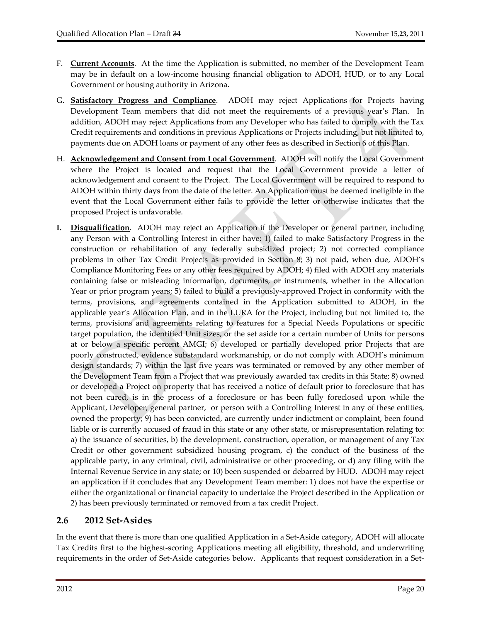- F. **Current Accounts**. At the time the Application is submitted, no member of the Development Team may be in default on a low‐income housing financial obligation to ADOH, HUD, or to any Local Government or housing authority in Arizona.
- G. **Satisfactory Progress and Compliance**. ADOH may reject Applications for Projects having Development Team members that did not meet the requirements of a previous year's Plan. In addition, ADOH may reject Applications from any Developer who has failed to comply with the Tax Credit requirements and conditions in previous Applications or Projects including, but not limited to, payments due on ADOH loans or payment of any other fees as described in Section 6 of this Plan.
- H. **Acknowledgement and Consent from Local Government**. ADOH will notify the Local Government where the Project is located and request that the Local Government provide a letter of acknowledgement and consent to the Project. The Local Government will be required to respond to ADOH within thirty days from the date of the letter. An Application must be deemed ineligible in the event that the Local Government either fails to provide the letter or otherwise indicates that the proposed Project is unfavorable.
- **I. Disqualification**. ADOH may reject an Application if the Developer or general partner, including any Person with a Controlling Interest in either have: 1) failed to make Satisfactory Progress in the construction or rehabilitation of any federally subsidized project; 2) not corrected compliance problems in other Tax Credit Projects as provided in Section 8; 3) not paid, when due, ADOH's Compliance Monitoring Fees or any other fees required by ADOH; 4) filed with ADOH any materials containing false or misleading information, documents, or instruments, whether in the Allocation Year or prior program years; 5) failed to build a previously‐approved Project in conformity with the terms, provisions, and agreements contained in the Application submitted to ADOH, in the applicable year's Allocation Plan, and in the LURA for the Project, including but not limited to, the terms, provisions and agreements relating to features for a Special Needs Populations or specific target population, the identified Unit sizes, or the set aside for a certain number of Units for persons at or below a specific percent AMGI; 6) developed or partially developed prior Projects that are poorly constructed, evidence substandard workmanship, or do not comply with ADOH's minimum design standards; 7) within the last five years was terminated or removed by any other member of the Development Team from a Project that was previously awarded tax credits in this State; 8) owned or developed a Project on property that has received a notice of default prior to foreclosure that has not been cured, is in the process of a foreclosure or has been fully foreclosed upon while the Applicant, Developer, general partner, or person with a Controlling Interest in any of these entities, owned the property; 9) has been convicted, are currently under indictment or complaint, been found liable or is currently accused of fraud in this state or any other state, or misrepresentation relating to: a) the issuance of securities, b) the development, construction, operation, or management of any Tax Credit or other government subsidized housing program, c) the conduct of the business of the applicable party, in any criminal, civil, administrative or other proceeding, or d) any filing with the Internal Revenue Service in any state; or 10) been suspended or debarred by HUD. ADOH may reject an application if it concludes that any Development Team member: 1) does not have the expertise or either the organizational or financial capacity to undertake the Project described in the Application or 2) has been previously terminated or removed from a tax credit Project.

# **2.6 2012 Set‐Asides**

In the event that there is more than one qualified Application in a Set‐Aside category, ADOH will allocate Tax Credits first to the highest‐scoring Applications meeting all eligibility, threshold, and underwriting requirements in the order of Set-Aside categories below. Applicants that request consideration in a Set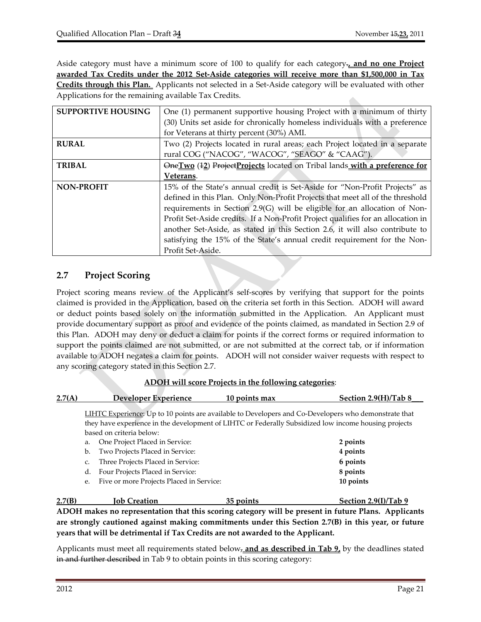Aside category must have a minimum score of 100 to qualify for each category.**, and no one Project awarded Tax Credits under the 2012 Set‐Aside categories will receive more than \$1,500,000 in Tax Credits through this Plan.** Applicants not selected in a Set‐Aside category will be evaluated with other Applications for the remaining available Tax Credits. ó.

| <b>SUPPORTIVE HOUSING</b> | One (1) permanent supportive housing Project with a minimum of thirty            |
|---------------------------|----------------------------------------------------------------------------------|
|                           | (30) Units set aside for chronically homeless individuals with a preference      |
|                           | for Veterans at thirty percent (30%) AMI.                                        |
| <b>RURAL</b>              | Two (2) Projects located in rural areas; each Project located in a separate      |
|                           | rural COG ("NACOG", "WACOG", "SEAGO" & "CAAG").                                  |
| <b>TRIBAL</b>             | One Two (42) Project Projects located on Tribal lands with a preference for      |
|                           | Veterans.                                                                        |
| <b>NON-PROFIT</b>         | 15% of the State's annual credit is Set-Aside for "Non-Profit Projects" as       |
|                           | defined in this Plan. Only Non-Profit Projects that meet all of the threshold    |
|                           | requirements in Section 2.9(G) will be eligible for an allocation of Non-        |
|                           | Profit Set-Aside credits. If a Non-Profit Project qualifies for an allocation in |
|                           | another Set-Aside, as stated in this Section 2.6, it will also contribute to     |
|                           | satisfying the 15% of the State's annual credit requirement for the Non-         |
|                           | Profit Set-Aside.                                                                |

# **2.7 Project Scoring**

Project scoring means review of the Applicant's self‐scores by verifying that support for the points claimed is provided in the Application, based on the criteria set forth in this Section. ADOH will award or deduct points based solely on the information submitted in the Application. An Applicant must provide documentary support as proof and evidence of the points claimed, as mandated in Section 2.9 of this Plan. ADOH may deny or deduct a claim for points if the correct forms or required information to support the points claimed are not submitted, or are not submitted at the correct tab, or if information available to ADOH negates a claim for points. ADOH will not consider waiver requests with respect to any scoring category stated in this Section 2.7.

| 2.7(A) | Developer Experience                           | 10 points max                                                                                        | Section 2.9(H)/Tab 8 |
|--------|------------------------------------------------|------------------------------------------------------------------------------------------------------|----------------------|
|        |                                                |                                                                                                      |                      |
|        |                                                | LIHTC Experience: Up to 10 points are available to Developers and Co-Developers who demonstrate that |                      |
|        |                                                | they have experience in the development of LIHTC or Federally Subsidized low income housing projects |                      |
|        | based on criteria below:                       |                                                                                                      |                      |
|        | One Project Placed in Service:<br>a.           |                                                                                                      | 2 points             |
|        | Two Projects Placed in Service:<br>b.          |                                                                                                      | 4 points             |
|        | Three Projects Placed in Service:<br>C.        |                                                                                                      | 6 points             |
|        | Four Projects Placed in Service:<br>d.         |                                                                                                      | 8 points             |
|        | Five or more Projects Placed in Service:<br>e. |                                                                                                      | 10 points            |
| 2.7(B) | Job Creation                                   | 35 points                                                                                            | Section 2.9(I)/Tab 9 |

**ADOH makes no representation that this scoring category will be present in future Plans. Applicants are strongly cautioned against making commitments under this Section 2.7(B) in this year, or future years that will be detrimental if Tax Credits are not awarded to the Applicant.**

Applicants must meet all requirements stated below, **and as described in Tab 9,** by the deadlines stated in and further described in Tab 9 to obtain points in this scoring category: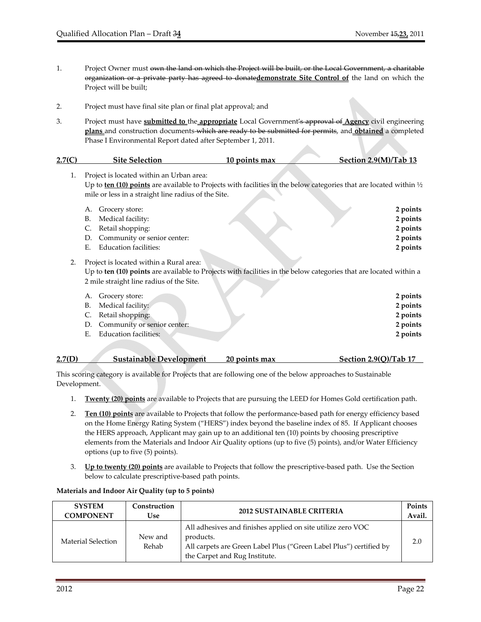- 1. Project Owner must own the land on which the Project will be built, or the Local Government, a charitable organization or a private party has agreed to donate**demonstrate Site Control of** the land on which the Project will be built;
- 2. Project must have final site plan or final plat approval; and
- 3. Project must have **submitted to** the **appropriate** Local Government's approval of **Agency** civil engineering **plans** and construction documents which are ready to be submitted for permits, and **obtained** a completed Phase I Environmental Report dated after September 1, 2011.

#### **2.7(C) Site Selection 10 points max Section 2.9(M)/Tab 13**

1. Project is located within an Urban area: Up to **ten (10) points** are available to Projects with facilities in the below categories that are located within ½ mile or less in a straight line radius of the Site. A. Grocery store: **2 points** B. Medical facility: 2 **points** C. Retail shopping: 2 **points** 2 **points** D. Community or senior center: **2 points** E. Education facilities: **2 points** 2. Project is located within a Rural area: Up to **ten (10) points** are available to Projects with facilities in the below categories that are located within a 2 mile straight line radius of the Site. A. Grocery store: **2 points** B. Medical facility: **2 points** 

| $D_i$ ividuated facility.      | $\sim$ points |
|--------------------------------|---------------|
| C. Retail shopping:            | 2 points      |
| D. Community or senior center: | 2 points      |
| E. Education facilities:       | 2 points      |
|                                |               |

| 2.7(D) | <b>Sustainable Development</b> | 20 points max | Section 2.9(Q)/Tab 17 |
|--------|--------------------------------|---------------|-----------------------|
|        |                                |               |                       |

This scoring category is available for Projects that are following one of the below approaches to Sustainable Development.

- 1. **Twenty (20) points** are available to Projects that are pursuing the LEED for Homes Gold certification path.
- 2. **Ten (10) points** are available to Projects that follow the performance‐based path for energy efficiency based on the Home Energy Rating System ("HERS") index beyond the baseline index of 85. If Applicant chooses the HERS approach, Applicant may gain up to an additional ten (10) points by choosing prescriptive elements from the Materials and Indoor Air Quality options (up to five (5) points), and/or Water Efficiency options (up to five (5) points).
- 3. **Up to twenty (20) points** are available to Projects that follow the prescriptive‐based path. Use the Section below to calculate prescriptive‐based path points.

#### **Materials and Indoor Air Quality (up to 5 points)**

| <b>SYSTEM</b>      | Construction     | <b>2012 SUSTAINABLE CRITERIA</b>                                                                                                                                                | Points |
|--------------------|------------------|---------------------------------------------------------------------------------------------------------------------------------------------------------------------------------|--------|
| <b>COMPONENT</b>   | Use              |                                                                                                                                                                                 | Avail. |
| Material Selection | New and<br>Rehab | All adhesives and finishes applied on site utilize zero VOC<br>products.<br>All carpets are Green Label Plus ("Green Label Plus") certified by<br>the Carpet and Rug Institute. | 2.0    |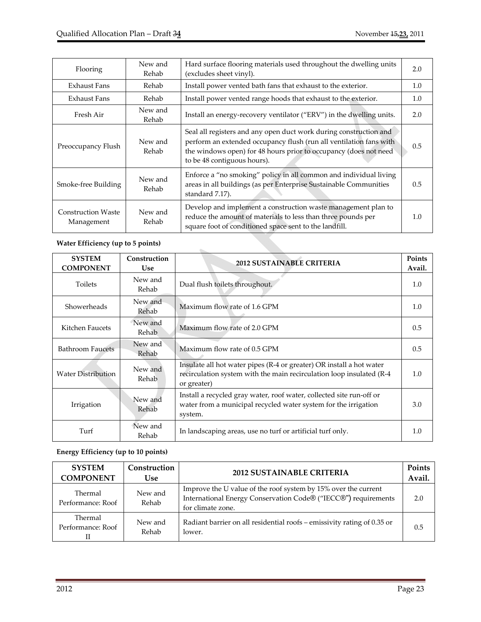| Flooring                                | New and<br>Rehab | Hard surface flooring materials used throughout the dwelling units<br>(excludes sheet vinyl).                                                                                                                                              | 2.0 |
|-----------------------------------------|------------------|--------------------------------------------------------------------------------------------------------------------------------------------------------------------------------------------------------------------------------------------|-----|
| Exhaust Fans                            | Rehab            | Install power vented bath fans that exhaust to the exterior.                                                                                                                                                                               | 1.0 |
| <b>Exhaust Fans</b>                     | Rehab            | Install power vented range hoods that exhaust to the exterior.                                                                                                                                                                             | 1.0 |
| Fresh Air                               | New and<br>Rehab | Install an energy-recovery ventilator ("ERV") in the dwelling units.                                                                                                                                                                       | 2.0 |
| Preoccupancy Flush                      | New and<br>Rehab | Seal all registers and any open duct work during construction and<br>perform an extended occupancy flush (run all ventilation fans with<br>the windows open) for 48 hours prior to occupancy (does not need<br>to be 48 contiguous hours). | 0.5 |
| Smoke-free Building                     | New and<br>Rehab | Enforce a "no smoking" policy in all common and individual living<br>areas in all buildings (as per Enterprise Sustainable Communities<br>standard 7.17).                                                                                  | 0.5 |
| <b>Construction Waste</b><br>Management | New and<br>Rehab | Develop and implement a construction waste management plan to<br>reduce the amount of materials to less than three pounds per<br>square foot of conditioned space sent to the landfill.                                                    | 1.0 |

#### **Water Efficiency (up to 5 points)**

| <b>SYSTEM</b><br><b>COMPONENT</b> | Construction<br><b>Use</b> | <b>2012 SUSTAINABLE CRITERIA</b>                                                                                                                            | Points<br>Avail. |
|-----------------------------------|----------------------------|-------------------------------------------------------------------------------------------------------------------------------------------------------------|------------------|
| <b>Toilets</b>                    | New and<br>Rehab           | Dual flush toilets throughout.                                                                                                                              | 1.0              |
| Showerheads                       | New and<br>Rehab           | Maximum flow rate of 1.6 GPM                                                                                                                                | 1.0              |
| Kitchen Faucets                   | New and<br>Rehab           | Maximum flow rate of 2.0 GPM                                                                                                                                | 0.5              |
| <b>Bathroom Faucets</b>           | New and<br>Rehab           | Maximum flow rate of 0.5 GPM                                                                                                                                | 0.5              |
| <b>Water Distribution</b>         | New and<br>Rehab           | Insulate all hot water pipes (R-4 or greater) OR install a hot water<br>recirculation system with the main recirculation loop insulated (R-4<br>or greater) | 1.0              |
| Irrigation                        | New and<br>Rehab           | Install a recycled gray water, roof water, collected site run-off or<br>water from a municipal recycled water system for the irrigation<br>system.          | 3.0              |
| Turf                              | New and<br>Rehab           | In landscaping areas, use no turf or artificial turf only.                                                                                                  | 1.0              |

# **Energy Efficiency (up to 10 points)**

| <b>SYSTEM</b>                | Construction     | <b>2012 SUSTAINABLE CRITERIA</b>                                                                                                                      | Points |
|------------------------------|------------------|-------------------------------------------------------------------------------------------------------------------------------------------------------|--------|
| <b>COMPONENT</b>             | <b>Use</b>       |                                                                                                                                                       | Avail. |
| Thermal<br>Performance: Roof | New and<br>Rehab | Improve the U value of the roof system by 15% over the current<br>International Energy Conservation Code® ("IECC®") requirements<br>for climate zone. | 2.0    |
| Thermal                      | New and          | Radiant barrier on all residential roofs - emissivity rating of 0.35 or                                                                               | 0.5    |
| Performance: Roof            | Rehab            | lower.                                                                                                                                                |        |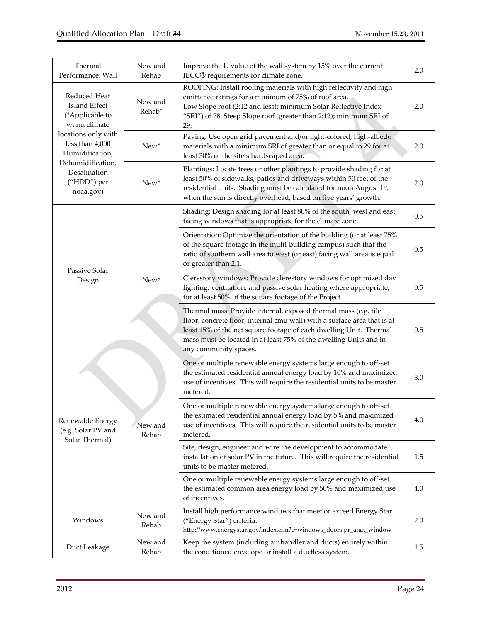| Thermal<br>Performance: Wall                                            | New and<br>Rehab  | Improve the U value of the wall system by 15% over the current<br>IECC® requirements for climate zone.                                                                                                                                                                                                          | 2.0 |
|-------------------------------------------------------------------------|-------------------|-----------------------------------------------------------------------------------------------------------------------------------------------------------------------------------------------------------------------------------------------------------------------------------------------------------------|-----|
| Reduced Heat<br><b>Island Effect</b><br>(*Applicable to<br>warm climate | New and<br>Rehab* | ROOFING: Install roofing materials with high reflectivity and high<br>emittance ratings for a minimum of 75% of roof area.<br>Low Slope roof (2:12 and less); minimum Solar Reflective Index<br>"SRI") of 78. Steep Slope roof (greater than 2:12); minimum SRI of<br>29.                                       | 2.0 |
| locations only with<br>less than 4,000<br>Humidification,               | $New*$            | Paving: Use open grid pavement and/or light-colored, high-albedo<br>materials with a minimum SRI of greater than or equal to 29 for at<br>least 30% of the site's hardscaped area.                                                                                                                              | 2.0 |
| Dehumidification,<br>Desalination<br>("HDD") per<br>noaa.gov)           | New*              | Plantings: Locate trees or other plantings to provide shading for at<br>least 50% of sidewalks, patios and driveways within 50 feet of the<br>residential units. Shading must be calculated for noon August 1st,<br>when the sun is directly overhead, based on five years' growth.                             | 2.0 |
|                                                                         |                   | Shading: Design shading for at least 80% of the south, west and east<br>facing windows that is appropriate for the climate zone.                                                                                                                                                                                | 0.5 |
| Passive Solar                                                           |                   | Orientation: Optimize the orientation of the building (or at least 75%<br>of the square footage in the multi-building campus) such that the<br>ratio of southern wall area to west (or east) facing wall area is equal<br>or greater than 2:1.                                                                  | 0.5 |
| Design                                                                  | New*              | Clerestory windows: Provide clerestory windows for optimized day<br>lighting, ventilation, and passive solar heating where appropriate,<br>for at least 50% of the square footage of the Project.                                                                                                               | 0.5 |
|                                                                         |                   | Thermal mass: Provide internal, exposed thermal mass (e.g. tile<br>floor, concrete floor, internal cmu wall) with a surface area that is at<br>least 15% of the net square footage of each dwelling Unit. Thermal<br>mass must be located in at least 75% of the dwelling Units and in<br>any community spaces. | 0.5 |
|                                                                         |                   | One or multiple renewable energy systems large enough to off-set<br>the estimated residential annual energy load by 10% and maximized<br>use of incentives. This will require the residential units to be master<br>metered.                                                                                    | 8.0 |
| Renewable Energy<br>(e.g. Solar PV and<br>Solar Thermal)                | New and<br>Rehab  | One or multiple renewable energy systems large enough to off-set<br>the estimated residential annual energy load by 5% and maximized<br>use of incentives. This will require the residential units to be master<br>metered.                                                                                     | 4.0 |
|                                                                         |                   | Site, design, engineer and wire the development to accommodate<br>installation of solar PV in the future. This will require the residential<br>units to be master metered.                                                                                                                                      | 1.5 |
|                                                                         |                   | One or multiple renewable energy systems large enough to off-set<br>the estimated common area energy load by 50% and maximized use<br>of incentives.                                                                                                                                                            | 4.0 |
| Windows                                                                 | New and<br>Rehab  | Install high performance windows that meet or exceed Energy Star<br>("Energy Star") criteria.<br>http://www.energystar.gov/index.cfm?c=windows_doors.pr_anat_window                                                                                                                                             | 2.0 |
| Duct Leakage                                                            | New and<br>Rehab  | Keep the system (including air handler and ducts) entirely within<br>the conditioned envelope or install a ductless system.                                                                                                                                                                                     | 1.5 |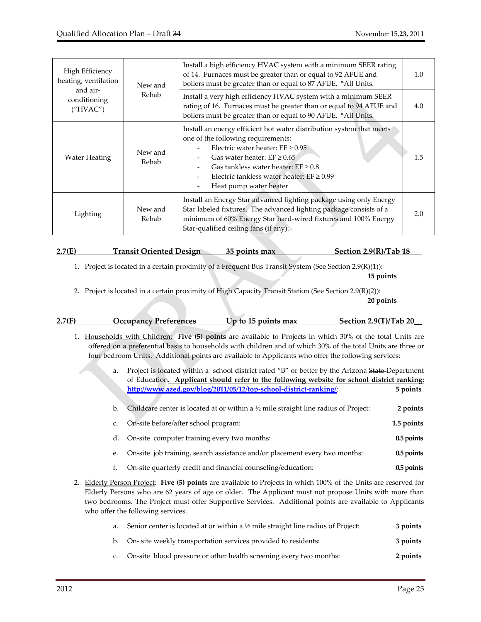| High Efficiency<br>heating, ventilation<br>and air- | New and          | Install a high efficiency HVAC system with a minimum SEER rating<br>of 14. Furnaces must be greater than or equal to 92 AFUE and<br>boilers must be greater than or equal to 87 AFUE. *All Units.                                                                                                                                         | 1.0 |
|-----------------------------------------------------|------------------|-------------------------------------------------------------------------------------------------------------------------------------------------------------------------------------------------------------------------------------------------------------------------------------------------------------------------------------------|-----|
| conditioning<br>("HVAC")                            | Rehab            | Install a very high efficiency HVAC system with a minimum SEER<br>rating of 16. Furnaces must be greater than or equal to 94 AFUE and<br>boilers must be greater than or equal to 90 AFUE. *All Units.                                                                                                                                    | 4.0 |
| <b>Water Heating</b>                                | New and<br>Rehab | Install an energy efficient hot water distribution system that meets<br>one of the following requirements:<br>Electric water heater: $EF \ge 0.95$<br>Gas water heater: $EF \geq 0.65$<br>Gas tankless water heater: $EF \geq 0.8$<br>Electric tankless water heater: $EF \ge 0.99$<br>Heat pump water heater<br>$\overline{\phantom{a}}$ | 1.5 |
| Lighting                                            | New and<br>Rehab | Install an Energy Star advanced lighting package using only Energy<br>Star labeled fixtures. The advanced lighting package consists of a<br>minimum of 60% Energy Star hard-wired fixtures and 100% Energy<br>Star-qualified ceiling fans (if any).                                                                                       | 2.0 |

## **2.7(E) Transit Oriented Design 35 points max Section 2.9(R)/Tab 18\_\_\_**

1. Project is located in a certain proximity of a Frequent Bus Transit System (See Section 2.9(R)(1)):

 **15 points** 

2. Project is located in a certain proximity of High Capacity Transit Station (See Section 2.9(R)(2)):

| _____ |  | 20 points |
|-------|--|-----------|
|       |  |           |

| 2.7(F) | <b>Occupancy Preferences</b> | Up to 15 points max | Section 2.9(T)/Tab 20 |
|--------|------------------------------|---------------------|-----------------------|
|        |                              |                     |                       |

- 1. Households with Children: **Five (5) points** are available to Projects in which 30% of the total Units are offered on a preferential basis to households with children and of which 30% of the total Units are three or four bedroom Units. Additional points are available to Applicants who offer the following services:
	- a. Project is located within a school district rated "B" or better by the Arizona State-Department of Education**. Applicant should refer to the following website for school district ranking: http://www.azed.gov/blog/2011/05/12/top‐school‐district‐ranking/**: **5 points**
	- b. Childcare center is located at or within a ½ mile straight line radius of Project: **2 points**
	- c. On‐site before/after school program: **1.5 points** d. On‐site computer training every two months: **0.5points**
	- e. On-site job training, search assistance and/or placement every two months: 0.5 points
	- f. On‐site quarterly credit and financial counseling/education: **0.5points**
- 2. Elderly Person Project: **Five (5) points** are available to Projects in which 100% of the Units are reserved for Elderly Persons who are 62 years of age or older. The Applicant must not propose Units with more than two bedrooms. The Project must offer Supportive Services. Additional points are available to Applicants who offer the following services.

| a. Senior center is located at or within a $\frac{1}{2}$ mile straight line radius of Project: | 3 points |
|------------------------------------------------------------------------------------------------|----------|
| b. On- site weekly transportation services provided to residents:                              | 3 points |

c. On‐site blood pressure or other health screening every two months: **2 points**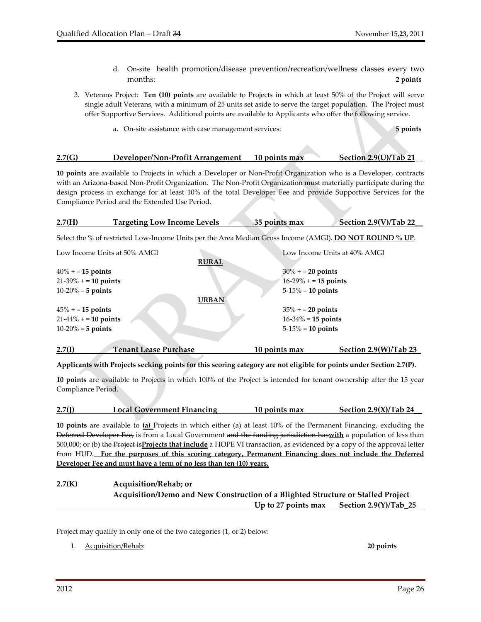- d. On-site health promotion/disease prevention/recreation/wellness classes every two months: **2 points**
- 3. Veterans Project: **Ten (10) points** are available to Projects in which at least 50% of the Project will serve single adult Veterans, with a minimum of 25 units set aside to serve the target population. The Project must offer Supportive Services. Additional points are available to Applicants who offer the following service.
	- a. On‐site assistance with case management services: **5 points**

#### **2.7(G) Developer/Non‐Profit Arrangement 10 points max Section 2.9(U)/Tab 21\_\_**

**10 points** are available to Projects in which a Developer or Non‐Profit Organization who is a Developer, contracts with an Arizona-based Non-Profit Organization. The Non-Profit Organization must materially participate during the design process in exchange for at least 10% of the total Developer Fee and provide Supportive Services for the Compliance Period and the Extended Use Period.

| 2.7(H) | <b>Targeting Low Income Levels</b> | 35 points max | Section 2.9(V)/Tab 22 |
|--------|------------------------------------|---------------|-----------------------|
|        |                                    |               |                       |

Select the % of restricted Low‐Income Units per the Area Median Gross Income (AMGI). **DO NOT ROUND % UP**.

| Low Income Units at 50% AMGI           |              | Low Income Units at 40% AMGI |                         |
|----------------------------------------|--------------|------------------------------|-------------------------|
|                                        | <b>RURAL</b> |                              |                         |
| $40\% + 15$ points                     |              | $30\% + 20$ points           |                         |
| $21-39\% + 10$ points                  |              | $16-29\% + 15$ points        |                         |
| $10-20% = 5$ points                    |              | $5-15\% = 10$ points         |                         |
|                                        | <b>URBAN</b> |                              |                         |
| $45% = 15$ points                      |              | $35\% + 20$ points           |                         |
| $21-44\% + 10$ points                  |              | $16 - 34\% = 15$ points      |                         |
| $10-20% = 5$ points                    |              | $5-15\% = 10$ points         |                         |
|                                        |              |                              |                         |
| 2.7(I)<br><b>Tenant Lease Purchase</b> |              | 10 points max                | Section $2.9(W)/Tab$ 23 |

Applicants with Projects seeking points for this scoring category are not eligible for points under Section 2.7(P).

**10 points** are available to Projects in which 100% of the Project is intended for tenant ownership after the 15 year Compliance Period.

| 2.7(I) | <b>Local Government Financing</b> | 10 points max | Section $2.9(X)/Tab$ 24 |
|--------|-----------------------------------|---------------|-------------------------|
|        |                                   |               |                         |

**10 points** are available to **(a)** Projects in which either (a) at least 10% of the Permanent Financing, excluding the Deferred Developer Fee, is from a Local Government and the funding jurisdiction has**with** a population of less than 500,000; or (b) the Project is**Projects that include** a HOPE VI transaction, as evidenced by a copy of the approval letter from HUD. **For the purposes of this scoring category, Permanent Financing does not include the Deferred Developer Fee and must have a term of no less than ten (10) years.** 

| 2.7(K) | Acquisition/Rehab; or                                                            |
|--------|----------------------------------------------------------------------------------|
|        | Acquisition/Demo and New Construction of a Blighted Structure or Stalled Project |
|        | Section 2.9(Y)/Tab 25<br>Up to 27 points max                                     |

Project may qualify in only one of the two categories (1, or 2) below:

1. Acquisition/Rehab: **20 points**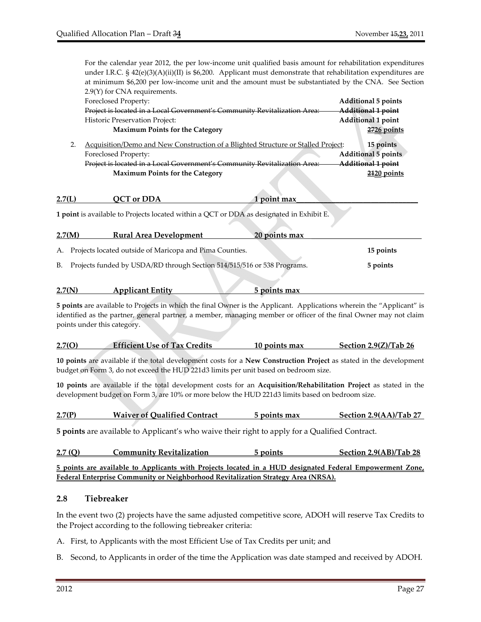For the calendar year 2012, the per low-income unit qualified basis amount for rehabilitation expenditures under I.R.C. § 42(e)(3)(A)(ii)(II) is \$6,200. Applicant must demonstrate that rehabilitation expenditures are at minimum \$6,200 per low‐income unit and the amount must be substantiated by the CNA. See Section 2.9(Y) for CNA requirements.

| 2.7(N) | <b>Applicant Entity</b>                                                                  | 5 points max  |                            |
|--------|------------------------------------------------------------------------------------------|---------------|----------------------------|
| В.     | Projects funded by USDA/RD through Section 514/515/516 or 538 Programs.                  |               | 5 points                   |
| А.     | Projects located outside of Maricopa and Pima Counties.                                  |               | 15 points                  |
|        |                                                                                          |               |                            |
| 2.7(M) | <b>Rural Area Development</b>                                                            | 20 points max |                            |
|        | 1 point is available to Projects located within a QCT or DDA as designated in Exhibit E. |               |                            |
| 2.7(L) | QCT or DDA                                                                               | 1 point max   |                            |
|        |                                                                                          |               |                            |
|        | <b>Maximum Points for the Category</b>                                                   |               | $2120$ points              |
|        | Project is located in a Local Government's Community Revitalization Area:                |               | Additional 1 point         |
|        | Foreclosed Property:                                                                     |               | Additional 5 points        |
| 2.     | Acquisition/Demo and New Construction of a Blighted Structure or Stalled Project:        |               | 15 points                  |
|        | <b>Maximum Points for the Category</b>                                                   |               | $2726$ points              |
|        | <b>Historic Preservation Project:</b>                                                    |               | Additional 1 point         |
|        | Project is located in a Local Government's Community Revitalization Area:                |               | Additional 1 point         |
|        | Foreclosed Property:                                                                     |               | <b>Additional 5 points</b> |
|        | $2.9(1)$ for $C_1$ and requirements.                                                     |               |                            |

**5 points** are available to Projects in which the final Owner is the Applicant. Applications wherein the "Applicant" is identified as the partner, general partner, a member, managing member or officer of the final Owner may not claim points under this category.

| 2.7(0) | <b>Efficient Use of Tax Credits</b> | 10 points max | Section $2.9(Z)/Tab$ 26 |
|--------|-------------------------------------|---------------|-------------------------|
|        |                                     |               |                         |

**10 points** are available if the total development costs for a **New Construction Project** as stated in the development budget on Form 3, do not exceed the HUD 221d3 limits per unit based on bedroom size.

**10 points** are available if the total development costs for an **Acquisition/Rehabilitation Project** as stated in the development budget on Form 3, are 10% or more below the HUD 221d3 limits based on bedroom size.

| 2.7(P) | <b>Waiver of Qualified Contract</b> | 5 points max | Section 2.9(AA)/Tab 27 |
|--------|-------------------------------------|--------------|------------------------|
|        |                                     |              |                        |

**5 points** are available to Applicant's who waive their right to apply for a Qualified Contract.

| 2.7(Q) | <b>Community Revitalization</b>                                                                          | 5 points | Section 2.9(AB)/Tab 28 |
|--------|----------------------------------------------------------------------------------------------------------|----------|------------------------|
|        | 5 points are available to Applicants with Projects located in a HUD designated Federal Empowerment Zone, |          |                        |
|        | Federal Enterprise Community or Neighborhood Revitalization Strategy Area (NRSA).                        |          |                        |

#### **2.8 Tiebreaker**

In the event two (2) projects have the same adjusted competitive score, ADOH will reserve Tax Credits to the Project according to the following tiebreaker criteria:

- A. First, to Applicants with the most Efficient Use of Tax Credits per unit; and
- B. Second, to Applicants in order of the time the Application was date stamped and received by ADOH.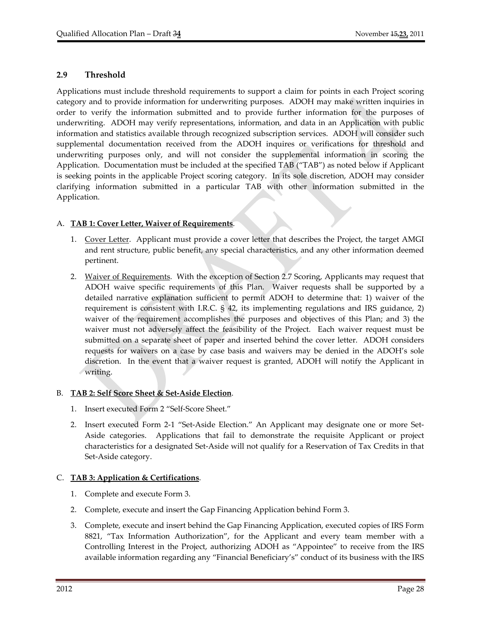#### **2.9 Threshold**

Applications must include threshold requirements to support a claim for points in each Project scoring category and to provide information for underwriting purposes. ADOH may make written inquiries in order to verify the information submitted and to provide further information for the purposes of underwriting. ADOH may verify representations, information, and data in an Application with public information and statistics available through recognized subscription services. ADOH will consider such supplemental documentation received from the ADOH inquires or verifications for threshold and underwriting purposes only, and will not consider the supplemental information in scoring the Application. Documentation must be included at the specified TAB ("TAB") as noted below if Applicant is seeking points in the applicable Project scoring category. In its sole discretion, ADOH may consider clarifying information submitted in a particular TAB with other information submitted in the Application.

## A. **TAB 1: Cover Letter, Waiver of Requirements**.

- 1. Cover Letter. Applicant must provide a cover letter that describes the Project, the target AMGI and rent structure, public benefit, any special characteristics, and any other information deemed pertinent.
- 2. Waiver of Requirements. With the exception of Section 2.7 Scoring, Applicants may request that ADOH waive specific requirements of this Plan. Waiver requests shall be supported by a detailed narrative explanation sufficient to permit ADOH to determine that: 1) waiver of the requirement is consistent with I.R.C. § 42, its implementing regulations and IRS guidance, 2) waiver of the requirement accomplishes the purposes and objectives of this Plan; and 3) the waiver must not adversely affect the feasibility of the Project. Each waiver request must be submitted on a separate sheet of paper and inserted behind the cover letter. ADOH considers requests for waivers on a case by case basis and waivers may be denied in the ADOH's sole discretion. In the event that a waiver request is granted, ADOH will notify the Applicant in writing.

#### B. **TAB 2: Self Score Sheet & Set‐Aside Election**.

- 1. Insert executed Form 2 "Self‐Score Sheet."
- 2. Insert executed Form 2-1 "Set-Aside Election." An Applicant may designate one or more Set-Aside categories. Applications that fail to demonstrate the requisite Applicant or project characteristics for a designated Set‐Aside will not qualify for a Reservation of Tax Credits in that Set-Aside category.

#### C. **TAB 3: Application & Certifications**.

- 1. Complete and execute Form 3.
- 2. Complete, execute and insert the Gap Financing Application behind Form 3.
- 3. Complete, execute and insert behind the Gap Financing Application, executed copies of IRS Form 8821, "Tax Information Authorization", for the Applicant and every team member with a Controlling Interest in the Project, authorizing ADOH as "Appointee" to receive from the IRS available information regarding any "Financial Beneficiary's" conduct of its business with the IRS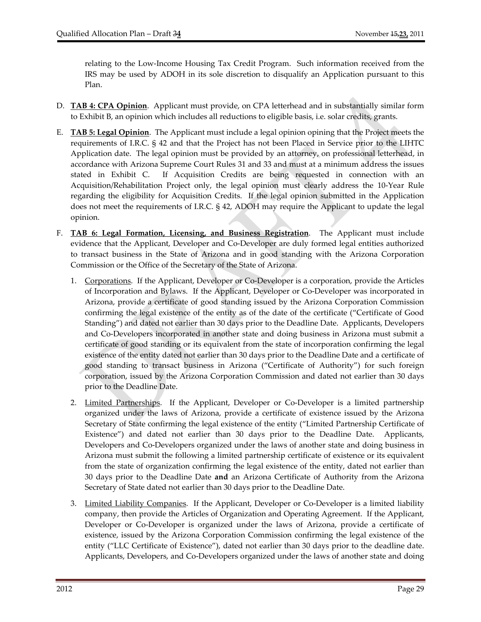relating to the Low‐Income Housing Tax Credit Program. Such information received from the IRS may be used by ADOH in its sole discretion to disqualify an Application pursuant to this Plan.

- D. **TAB 4: CPA Opinion**. Applicant must provide, on CPA letterhead and in substantially similar form to Exhibit B, an opinion which includes all reductions to eligible basis, i.e. solar credits, grants.
- E. **TAB 5: Legal Opinion**. The Applicant must include a legal opinion opining that the Project meets the requirements of I.R.C. § 42 and that the Project has not been Placed in Service prior to the LIHTC Application date. The legal opinion must be provided by an attorney, on professional letterhead, in accordance with Arizona Supreme Court Rules 31 and 33 and must at a minimum address the issues stated in Exhibit C. If Acquisition Credits are being requested in connection with an Acquisition/Rehabilitation Project only, the legal opinion must clearly address the 10‐Year Rule regarding the eligibility for Acquisition Credits. If the legal opinion submitted in the Application does not meet the requirements of I.R.C. § 42, ADOH may require the Applicant to update the legal opinion.
- F. **TAB 6: Legal Formation, Licensing, and Business Registration**. The Applicant must include evidence that the Applicant, Developer and Co‐Developer are duly formed legal entities authorized to transact business in the State of Arizona and in good standing with the Arizona Corporation Commission or the Office of the Secretary of the State of Arizona.
	- 1. Corporations. If the Applicant, Developer or Co-Developer is a corporation, provide the Articles of Incorporation and Bylaws. If the Applicant, Developer or Co‐Developer was incorporated in Arizona, provide a certificate of good standing issued by the Arizona Corporation Commission confirming the legal existence of the entity as of the date of the certificate ("Certificate of Good Standing") and dated not earlier than 30 days prior to the Deadline Date. Applicants, Developers and Co‐Developers incorporated in another state and doing business in Arizona must submit a certificate of good standing or its equivalent from the state of incorporation confirming the legal existence of the entity dated not earlier than 30 days prior to the Deadline Date and a certificate of good standing to transact business in Arizona ("Certificate of Authority") for such foreign corporation, issued by the Arizona Corporation Commission and dated not earlier than 30 days prior to the Deadline Date.
	- 2. Limited Partnerships. If the Applicant, Developer or Co-Developer is a limited partnership organized under the laws of Arizona, provide a certificate of existence issued by the Arizona Secretary of State confirming the legal existence of the entity ("Limited Partnership Certificate of Existence") and dated not earlier than 30 days prior to the Deadline Date. Applicants, Developers and Co‐Developers organized under the laws of another state and doing business in Arizona must submit the following a limited partnership certificate of existence or its equivalent from the state of organization confirming the legal existence of the entity, dated not earlier than 30 days prior to the Deadline Date **and** an Arizona Certificate of Authority from the Arizona Secretary of State dated not earlier than 30 days prior to the Deadline Date.
	- 3. Limited Liability Companies. If the Applicant, Developer or Co-Developer is a limited liability company, then provide the Articles of Organization and Operating Agreement. If the Applicant, Developer or Co-Developer is organized under the laws of Arizona, provide a certificate of existence, issued by the Arizona Corporation Commission confirming the legal existence of the entity ("LLC Certificate of Existence"), dated not earlier than 30 days prior to the deadline date. Applicants, Developers, and Co‐Developers organized under the laws of another state and doing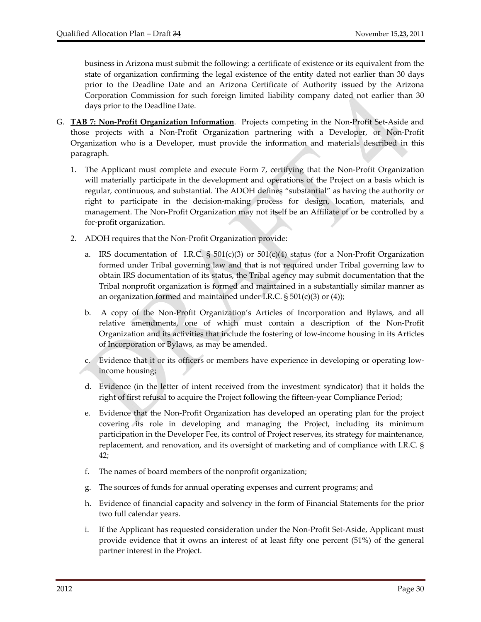business in Arizona must submit the following: a certificate of existence or its equivalent from the state of organization confirming the legal existence of the entity dated not earlier than 30 days prior to the Deadline Date and an Arizona Certificate of Authority issued by the Arizona Corporation Commission for such foreign limited liability company dated not earlier than 30 days prior to the Deadline Date.

- G. **TAB 7: Non‐Profit Organization Information**. Projects competing in the Non‐Profit Set‐Aside and those projects with a Non‐Profit Organization partnering with a Developer, or Non‐Profit Organization who is a Developer, must provide the information and materials described in this paragraph.
	- 1. The Applicant must complete and execute Form 7, certifying that the Non‐Profit Organization will materially participate in the development and operations of the Project on a basis which is regular, continuous, and substantial. The ADOH defines "substantial" as having the authority or right to participate in the decision-making process for design, location, materials, and management. The Non‐Profit Organization may not itself be an Affiliate of or be controlled by a for‐profit organization.
	- 2. ADOH requires that the Non‐Profit Organization provide:
		- a. IRS documentation of I.R.C.  $\S 501(c)(3)$  or  $501(c)(4)$  status (for a Non-Profit Organization formed under Tribal governing law and that is not required under Tribal governing law to obtain IRS documentation of its status, the Tribal agency may submit documentation that the Tribal nonprofit organization is formed and maintained in a substantially similar manner as an organization formed and maintained under I.R.C.  $\S 501(c)(3)$  or (4));
		- b. A copy of the Non‐Profit Organization's Articles of Incorporation and Bylaws, and all relative amendments, one of which must contain a description of the Non‐Profit Organization and its activities that include the fostering of low‐income housing in its Articles of Incorporation or Bylaws, as may be amended.
		- c. Evidence that it or its officers or members have experience in developing or operating low‐ income housing;
		- d. Evidence (in the letter of intent received from the investment syndicator) that it holds the right of first refusal to acquire the Project following the fifteen‐year Compliance Period;
		- e. Evidence that the Non‐Profit Organization has developed an operating plan for the project covering its role in developing and managing the Project, including its minimum participation in the Developer Fee, its control of Project reserves, its strategy for maintenance, replacement, and renovation, and its oversight of marketing and of compliance with I.R.C. § 42;
		- f. The names of board members of the nonprofit organization;
		- g. The sources of funds for annual operating expenses and current programs; and
		- h. Evidence of financial capacity and solvency in the form of Financial Statements for the prior two full calendar years.
		- i. If the Applicant has requested consideration under the Non‐Profit Set‐Aside, Applicant must provide evidence that it owns an interest of at least fifty one percent (51%) of the general partner interest in the Project.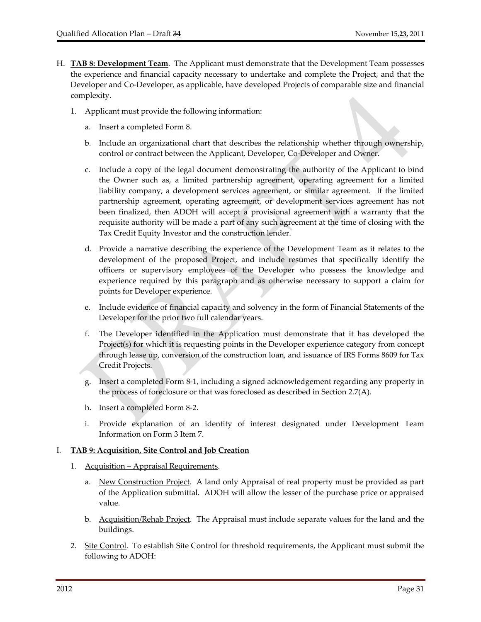- H. **TAB 8: Development Team**. The Applicant must demonstrate that the Development Team possesses the experience and financial capacity necessary to undertake and complete the Project, and that the Developer and Co‐Developer, as applicable, have developed Projects of comparable size and financial complexity.
	- 1. Applicant must provide the following information:
		- a. Insert a completed Form 8.
		- b. Include an organizational chart that describes the relationship whether through ownership, control or contract between the Applicant, Developer, Co‐Developer and Owner.
		- c. Include a copy of the legal document demonstrating the authority of the Applicant to bind the Owner such as, a limited partnership agreement, operating agreement for a limited liability company, a development services agreement, or similar agreement. If the limited partnership agreement, operating agreement, or development services agreement has not been finalized, then ADOH will accept a provisional agreement with a warranty that the requisite authority will be made a part of any such agreement at the time of closing with the Tax Credit Equity Investor and the construction lender.
		- d. Provide a narrative describing the experience of the Development Team as it relates to the development of the proposed Project, and include resumes that specifically identify the officers or supervisory employees of the Developer who possess the knowledge and experience required by this paragraph and as otherwise necessary to support a claim for points for Developer experience.
		- e. Include evidence of financial capacity and solvency in the form of Financial Statements of the Developer for the prior two full calendar years.
		- f. The Developer identified in the Application must demonstrate that it has developed the Project(s) for which it is requesting points in the Developer experience category from concept through lease up, conversion of the construction loan, and issuance of IRS Forms 8609 for Tax Credit Projects.
		- g. Insert a completed Form 8‐1, including a signed acknowledgement regarding any property in the process of foreclosure or that was foreclosed as described in Section 2.7(A).
		- h. Insert a completed Form 8‐2.
		- i. Provide explanation of an identity of interest designated under Development Team Information on Form 3 Item 7.

#### I. **TAB 9: Acquisition, Site Control and Job Creation**

- 1. Acquisition Appraisal Requirements.
	- a. New Construction Project. A land only Appraisal of real property must be provided as part of the Application submittal. ADOH will allow the lesser of the purchase price or appraised value.
	- b. Acquisition/Rehab Project. The Appraisal must include separate values for the land and the buildings.
- 2. Site Control. To establish Site Control for threshold requirements, the Applicant must submit the following to ADOH: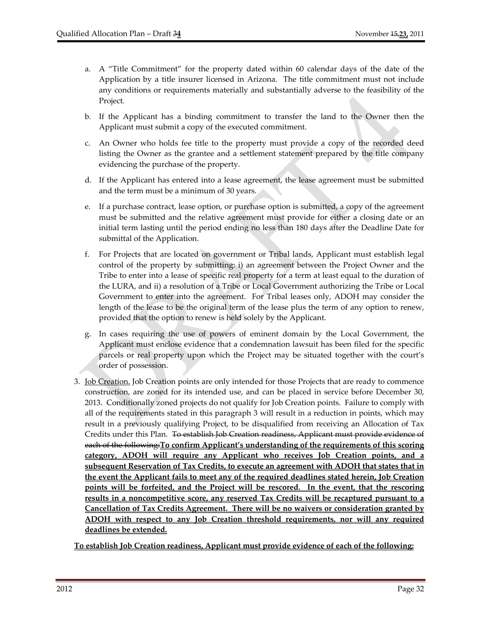- a. A "Title Commitment" for the property dated within 60 calendar days of the date of the Application by a title insurer licensed in Arizona. The title commitment must not include any conditions or requirements materially and substantially adverse to the feasibility of the Project.
- b. If the Applicant has a binding commitment to transfer the land to the Owner then the Applicant must submit a copy of the executed commitment.
- c. An Owner who holds fee title to the property must provide a copy of the recorded deed listing the Owner as the grantee and a settlement statement prepared by the title company evidencing the purchase of the property.
- d. If the Applicant has entered into a lease agreement, the lease agreement must be submitted and the term must be a minimum of 30 years.
- e. If a purchase contract, lease option, or purchase option is submitted, a copy of the agreement must be submitted and the relative agreement must provide for either a closing date or an initial term lasting until the period ending no less than 180 days after the Deadline Date for submittal of the Application.
- f. For Projects that are located on government or Tribal lands, Applicant must establish legal control of the property by submitting: i) an agreement between the Project Owner and the Tribe to enter into a lease of specific real property for a term at least equal to the duration of the LURA, and ii) a resolution of a Tribe or Local Government authorizing the Tribe or Local Government to enter into the agreement. For Tribal leases only, ADOH may consider the length of the lease to be the original term of the lease plus the term of any option to renew, provided that the option to renew is held solely by the Applicant.
- g. In cases requiring the use of powers of eminent domain by the Local Government, the Applicant must enclose evidence that a condemnation lawsuit has been filed for the specific parcels or real property upon which the Project may be situated together with the court's order of possession.
- 3. Job Creation. Job Creation points are only intended for those Projects that are ready to commence construction, are zoned for its intended use, and can be placed in service before December 30, 2013. Conditionally zoned projects do not qualify for Job Creation points. Failure to comply with all of the requirements stated in this paragraph 3 will result in a reduction in points, which may result in a previously qualifying Project, to be disqualified from receiving an Allocation of Tax Credits under this Plan. To establish Job Creation readiness, Applicant must provide evidence of each of the following:**To confirm Applicant's understanding of the requirements of this scoring category, ADOH will require any Applicant who receives Job Creation points, and a subsequent Reservation of Tax Credits, to execute an agreement with ADOH that states that in the event the Applicant fails to meet any of the required deadlines stated herein, Job Creation points will be forfeited, and the Project will be rescored. In the event, that the rescoring results in a noncompetitive score, any reserved Tax Credits will be recaptured pursuant to a Cancellation of Tax Credits Agreement. There will be no waivers or consideration granted by ADOH with respect to any Job Creation threshold requirements, nor will any required deadlines be extended.**

**To establish Job Creation readiness, Applicant must provide evidence of each of the following:**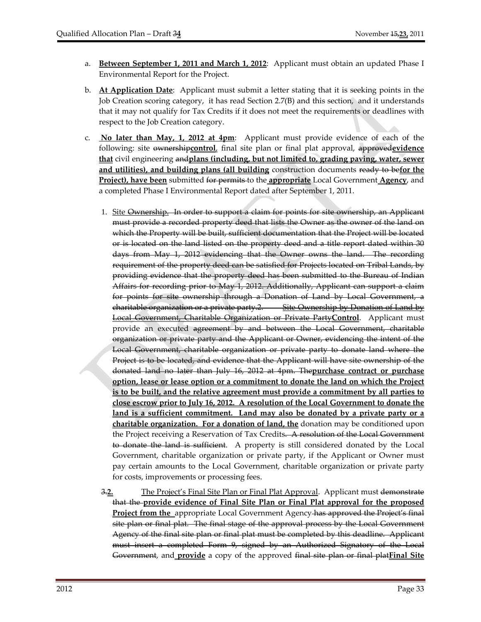- a. **Between September 1, 2011 and March 1, 2012**: Applicant must obtain an updated Phase I Environmental Report for the Project.
- b. **At Application Date**: Applicant must submit a letter stating that it is seeking points in the Job Creation scoring category, it has read Section 2.7(B) and this section, and it understands that it may not qualify for Tax Credits if it does not meet the requirements or deadlines with respect to the Job Creation category.
- c. **No later than May, 1, 2012 at 4pm**: Applicant must provide evidence of each of the following: site ownership**control**, final site plan or final plat approval, approved**evidence that** civil engineering and**plans (including, but not limited to, grading paving, water, sewer and utilities), and building plans (all building** construction documents ready to be**for the Project), have been** submitted for permits to the **appropriate** Local Government **Agency**, and a completed Phase I Environmental Report dated after September 1, 2011.
	- 1. Site Ownership. In order to support a claim for points for site ownership, an Applicant must provide a recorded property deed that lists the Owner as the owner of the land on which the Property will be built, sufficient documentation that the Project will be located or is located on the land listed on the property deed and a title report dated within 30 days from May 1, 2012 evidencing that the Owner owns the land. The recording requirement of the property deed can be satisfied for Projects located on Tribal Lands, by providing evidence that the property deed has been submitted to the Bureau of Indian Affairs for recording prior to May 1, 2012. Additionally, Applicant can support a claim for points for site ownership through a Donation of Land by Local Government, a charitable organization or a private party.2. Site Ownership by Donation of Land by Local Government, Charitable Organization or Private Party**Control**. Applicant must provide an executed agreement by and between the Local Government, charitable organization or private party and the Applicant or Owner, evidencing the intent of the Local Government, charitable organization or private party to donate land where the Project is to be located, and evidence that the Applicant will have site ownership of the donated land no later than July 16, 2012 at 4pm. The**purchase contract or purchase option, lease or lease option or a commitment to donate the land on which the Project is to be built, and the relative agreement must provide a commitment by all parties to close escrow prior to July 16, 2012. A resolution of the Local Government to donate the land is a sufficient commitment. Land may also be donated by a private party or a charitable organization. For a donation of land, the** donation may be conditioned upon the Project receiving a Reservation of Tax Credits. A resolution of the Local Government to donate the land is sufficient. A property is still considered donated by the Local Government, charitable organization or private party, if the Applicant or Owner must pay certain amounts to the Local Government, charitable organization or private party for costs, improvements or processing fees.
	- 3.**2.** The Project's Final Site Plan or Final Plat Approval. Applicant must demonstrate that the **provide evidence of Final Site Plan or Final Plat approval for the proposed Project from the** appropriate Local Government Agency has approved the Project's final site plan or final plat. The final stage of the approval process by the Local Government Agency of the final site plan or final plat must be completed by this deadline. Applicant must insert a completed Form 9, signed by an Authorized Signatory of the Local Government, and **provide** a copy of the approved final site plan or final plat**Final Site**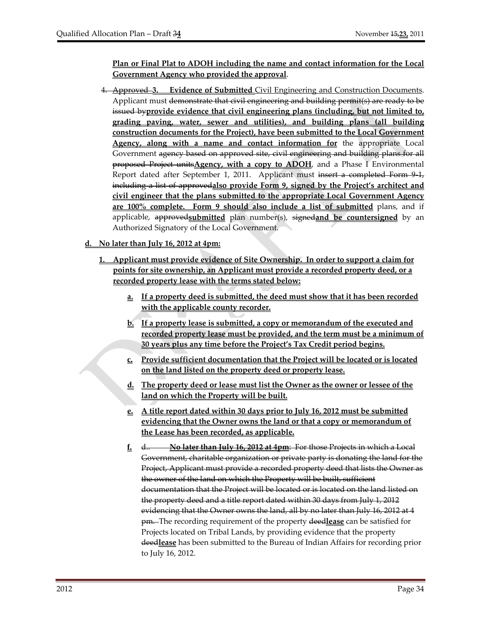**Plan or Final Plat to ADOH including the name and contact information for the Local Government Agency who provided the approval**.

4. Approved **3. Evidence of Submitted** Civil Engineering and Construction Documents. Applicant must demonstrate that civil engineering and building permit(s) are ready to be issued by**provide evidence that civil engineering plans (including, but not limited to, grading paving, water, sewer and utilities), and building plans (all building construction documents for the Project), have been submitted to the Local Government Agency, along with a name and contact information for** the appropriate Local Government agency based on approved site, civil engineering and building plans for all proposed Project units**Agency, with a copy to ADOH**, and a Phase I Environmental Report dated after September 1, 2011. Applicant must insert a completed Form 9-1, including a list of approved**also provide Form 9, signed by the Project's architect and civil engineer that the plans submitted to the appropriate Local Government Agency are 100% complete. Form 9 should also include a list of submitted** plans, and if applicable, approved**submitted** plan number(s), signed**and be countersigned** by an Authorized Signatory of the Local Government.

## **d. No later than July 16, 2012 at 4pm:**

- **1. Applicant must provide evidence of Site Ownership. In order to support a claim for points for site ownership, an Applicant must provide a recorded property deed, or a recorded property lease with the terms stated below:**
	- **a. If a property deed is submitted, the deed must show that it has been recorded with the applicable county recorder.**
	- **b. If a property lease is submitted, a copy or memorandum of the executed and recorded property lease must be provided, and the term must be a minimum of 30 years plus any time before the Project's Tax Credit period begins.**
	- **c. Provide sufficient documentation that the Project will be located or is located on the land listed on the property deed or property lease.**
	- **d. The property deed or lease must list the Owner as the owner or lessee of the land on which the Property will be built.**
	- **e. A title report dated within 30 days prior to July 16, 2012 must be submitted evidencing that the Owner owns the land or that a copy or memorandum of the Lease has been recorded, as applicable.**
	- **f.** d.. **No later than July 16, 2012 at 4pm**: For those Projects in which a Local Government, charitable organization or private party is donating the land for the Project, Applicant must provide a recorded property deed that lists the Owner as the owner of the land on which the Property will be built, sufficient documentation that the Project will be located or is located on the land listed on the property deed and a title report dated within 30 days from July 1, 2012 evidencing that the Owner owns the land, all by no later than July 16, 2012 at 4 pm. The recording requirement of the property deed**lease** can be satisfied for Projects located on Tribal Lands, by providing evidence that the property deed**lease** has been submitted to the Bureau of Indian Affairs for recording prior to July 16, 2012.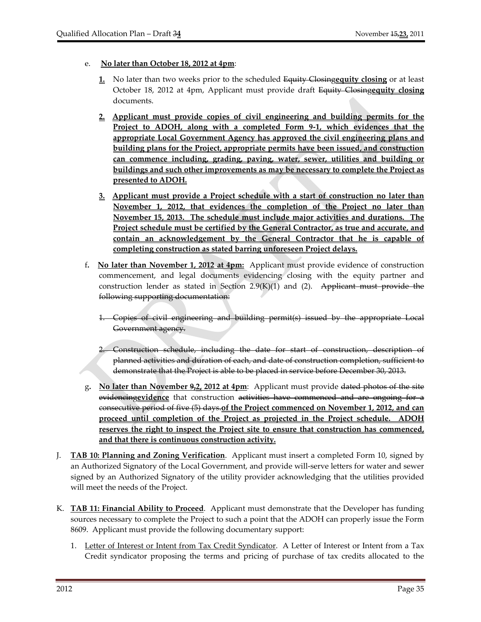- e. **No later than October 18, 2012 at 4pm**:
	- **1.** No later than two weeks prior to the scheduled Equity Closing**equity closing** or at least October 18, 2012 at 4pm, Applicant must provide draft Equity Closing**equity closing** documents.
	- **2. Applicant must provide copies of civil engineering and building permits for the Project to ADOH, along with a completed Form 9‐1, which evidences that the appropriate Local Government Agency has approved the civil engineering plans and building plans for the Project, appropriate permits have been issued, and construction can commence including, grading, paving, water, sewer, utilities and building or buildings and such other improvements as may be necessary to complete the Project as presented to ADOH.**
	- **3. Applicant must provide a Project schedule with a start of construction no later than November 1, 2012, that evidences the completion of the Project no later than November 15, 2013. The schedule must include major activities and durations. The Project schedule must be certified by the General Contractor, as true and accurate, and contain an acknowledgement by the General Contractor that he is capable of completing construction as stated barring unforeseen Project delays.**
- f**. No later than November 1, 2012 at 4pm:** Applicant must provide evidence of construction commencement, and legal documents evidencing closing with the equity partner and construction lender as stated in Section  $2.9(K)(1)$  and (2). Applicant must provide the following supporting documentation:
	- 1. Copies of civil engineering and building permit(s) issued by the appropriate Local Government agency.
	- 2. Construction schedule, including the date for start of construction, description of planned activities and duration of each, and date of construction completion, sufficient to demonstrate that the Project is able to be placed in service before December 30, 2013.
- g**. No later than November 9,2, 2012 at 4pm**: Applicant must provide dated photos of the site evidencing**evidence** that construction activities have commenced and are ongoing for a consecutive period of five (5) days.**of the Project commenced on November 1, 2012, and can proceed until completion of the Project as projected in the Project schedule. ADOH reserves the right to inspect the Project site to ensure that construction has commenced, and that there is continuous construction activity.**
- J. **TAB 10: Planning and Zoning Verification**. Applicant must insert a completed Form 10, signed by an Authorized Signatory of the Local Government, and provide will‐serve letters for water and sewer signed by an Authorized Signatory of the utility provider acknowledging that the utilities provided will meet the needs of the Project.
- K. **TAB 11: Financial Ability to Proceed**. Applicant must demonstrate that the Developer has funding sources necessary to complete the Project to such a point that the ADOH can properly issue the Form 8609. Applicant must provide the following documentary support:
	- 1. Letter of Interest or Intent from Tax Credit Syndicator. A Letter of Interest or Intent from a Tax Credit syndicator proposing the terms and pricing of purchase of tax credits allocated to the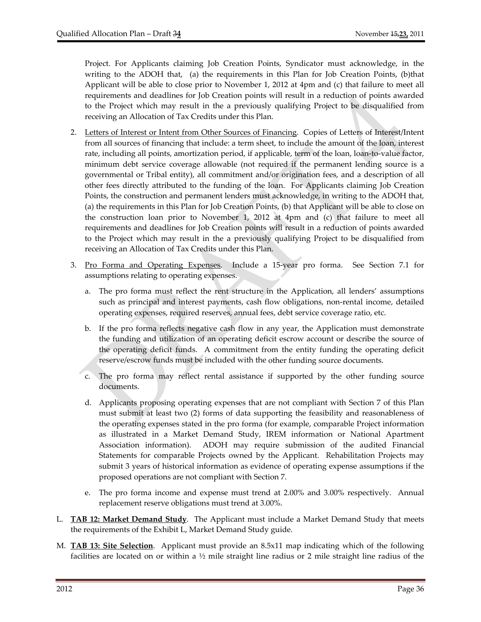Project. For Applicants claiming Job Creation Points, Syndicator must acknowledge, in the writing to the ADOH that, (a) the requirements in this Plan for Job Creation Points, (b) that Applicant will be able to close prior to November 1, 2012 at 4pm and (c) that failure to meet all requirements and deadlines for Job Creation points will result in a reduction of points awarded to the Project which may result in the a previously qualifying Project to be disqualified from receiving an Allocation of Tax Credits under this Plan.

- 2. Letters of Interest or Intent from Other Sources of Financing. Copies of Letters of Interest/Intent from all sources of financing that include: a term sheet, to include the amount of the loan, interest rate, including all points, amortization period, if applicable, term of the loan, loan-to-value factor, minimum debt service coverage allowable (not required if the permanent lending source is a governmental or Tribal entity), all commitment and/or origination fees, and a description of all other fees directly attributed to the funding of the loan. For Applicants claiming Job Creation Points, the construction and permanent lenders must acknowledge, in writing to the ADOH that, (a) the requirements in this Plan for Job Creation Points, (b) that Applicant will be able to close on the construction loan prior to November 1, 2012 at 4pm and (c) that failure to meet all requirements and deadlines for Job Creation points will result in a reduction of points awarded to the Project which may result in the a previously qualifying Project to be disqualified from receiving an Allocation of Tax Credits under this Plan.
- 3. Pro Forma and Operating Expenses. Include a 15‐year pro forma. See Section 7.1 for assumptions relating to operating expenses.
	- a. The pro forma must reflect the rent structure in the Application, all lenders' assumptions such as principal and interest payments, cash flow obligations, non-rental income, detailed operating expenses, required reserves, annual fees, debt service coverage ratio, etc.
	- b. If the pro forma reflects negative cash flow in any year, the Application must demonstrate the funding and utilization of an operating deficit escrow account or describe the source of the operating deficit funds. A commitment from the entity funding the operating deficit reserve/escrow funds must be included with the other funding source documents.
	- c. The pro forma may reflect rental assistance if supported by the other funding source documents.
	- d. Applicants proposing operating expenses that are not compliant with Section 7 of this Plan must submit at least two (2) forms of data supporting the feasibility and reasonableness of the operating expenses stated in the pro forma (for example, comparable Project information as illustrated in a Market Demand Study, IREM information or National Apartment Association information). ADOH may require submission of the audited Financial Statements for comparable Projects owned by the Applicant. Rehabilitation Projects may submit 3 years of historical information as evidence of operating expense assumptions if the proposed operations are not compliant with Section 7.
	- e. The pro forma income and expense must trend at 2.00% and 3.00% respectively. Annual replacement reserve obligations must trend at 3.00%.
- L. **TAB 12: Market Demand Study**. The Applicant must include a Market Demand Study that meets the requirements of the Exhibit L, Market Demand Study guide.
- M. **TAB 13: Site Selection**. Applicant must provide an 8.5x11 map indicating which of the following facilities are located on or within a  $\frac{1}{2}$  mile straight line radius or 2 mile straight line radius of the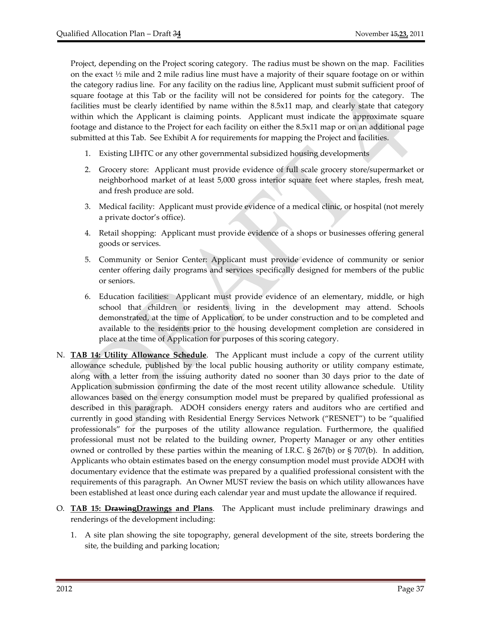Project, depending on the Project scoring category. The radius must be shown on the map. Facilities on the exact  $\frac{1}{2}$  mile and 2 mile radius line must have a majority of their square footage on or within the category radius line. For any facility on the radius line, Applicant must submit sufficient proof of square footage at this Tab or the facility will not be considered for points for the category. The facilities must be clearly identified by name within the 8.5x11 map, and clearly state that category within which the Applicant is claiming points. Applicant must indicate the approximate square footage and distance to the Project for each facility on either the 8.5x11 map or on an additional page submitted at this Tab. See Exhibit A for requirements for mapping the Project and facilities.

- 1. Existing LIHTC or any other governmental subsidized housing developments
- 2. Grocery store: Applicant must provide evidence of full scale grocery store/supermarket or neighborhood market of at least 5,000 gross interior square feet where staples, fresh meat, and fresh produce are sold.
- 3. Medical facility: Applicant must provide evidence of a medical clinic, or hospital (not merely a private doctor's office).
- 4. Retail shopping: Applicant must provide evidence of a shops or businesses offering general goods or services.
- 5. Community or Senior Center: Applicant must provide evidence of community or senior center offering daily programs and services specifically designed for members of the public or seniors.
- 6. Education facilities: Applicant must provide evidence of an elementary, middle, or high school that children or residents living in the development may attend. Schools demonstrated, at the time of Application, to be under construction and to be completed and available to the residents prior to the housing development completion are considered in place at the time of Application for purposes of this scoring category.
- N. **TAB 14: Utility Allowance Schedule**. The Applicant must include a copy of the current utility allowance schedule, published by the local public housing authority or utility company estimate, along with a letter from the issuing authority dated no sooner than 30 days prior to the date of Application submission confirming the date of the most recent utility allowance schedule. Utility allowances based on the energy consumption model must be prepared by qualified professional as described in this paragraph. ADOH considers energy raters and auditors who are certified and currently in good standing with Residential Energy Services Network ("RESNET") to be "qualified professionals" for the purposes of the utility allowance regulation. Furthermore, the qualified professional must not be related to the building owner, Property Manager or any other entities owned or controlled by these parties within the meaning of I.R.C.  $\S$  267(b) or  $\S$  707(b). In addition, Applicants who obtain estimates based on the energy consumption model must provide ADOH with documentary evidence that the estimate was prepared by a qualified professional consistent with the requirements of this paragraph. An Owner MUST review the basis on which utility allowances have been established at least once during each calendar year and must update the allowance if required.
- O. **TAB 15: DrawingDrawings and Plans**. The Applicant must include preliminary drawings and renderings of the development including:
	- 1. A site plan showing the site topography, general development of the site, streets bordering the site, the building and parking location;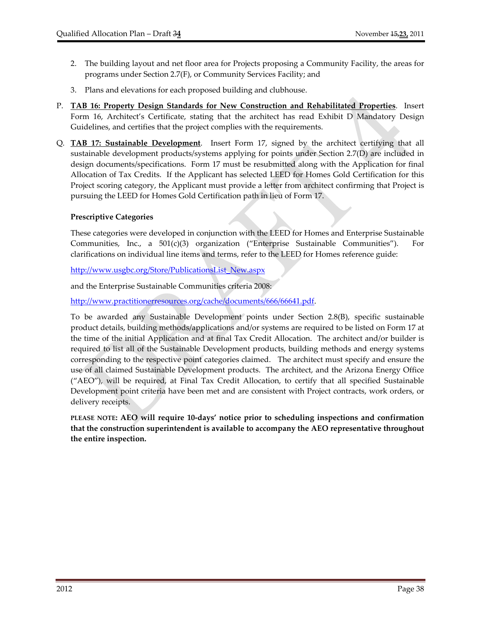- 2. The building layout and net floor area for Projects proposing a Community Facility, the areas for programs under Section 2.7(F), or Community Services Facility; and
- 3. Plans and elevations for each proposed building and clubhouse.
- P. **TAB 16: Property Design Standards for New Construction and Rehabilitated Properties**. Insert Form 16, Architect's Certificate, stating that the architect has read Exhibit D Mandatory Design Guidelines, and certifies that the project complies with the requirements.
- Q. **TAB 17: Sustainable Development**. Insert Form 17, signed by the architect certifying that all sustainable development products/systems applying for points under Section 2.7(D) are included in design documents/specifications. Form 17 must be resubmitted along with the Application for final Allocation of Tax Credits. If the Applicant has selected LEED for Homes Gold Certification for this Project scoring category, the Applicant must provide a letter from architect confirming that Project is pursuing the LEED for Homes Gold Certification path in lieu of Form 17.

## **Prescriptive Categories**

These categories were developed in conjunction with the LEED for Homes and Enterprise Sustainable Communities, Inc., a  $501(c)(3)$  organization ("Enterprise Sustainable Communities"). For clarifications on individual line items and terms, refer to the LEED for Homes reference guide:

http://www.usgbc.org/Store/PublicationsList\_New.aspx

and the Enterprise Sustainable Communities criteria 2008:

http://www.practitionerresources.org/cache/documents/666/66641.pdf.

To be awarded any Sustainable Development points under Section 2.8(B), specific sustainable product details, building methods/applications and/or systems are required to be listed on Form 17 at the time of the initial Application and at final Tax Credit Allocation. The architect and/or builder is required to list all of the Sustainable Development products, building methods and energy systems corresponding to the respective point categories claimed. The architect must specify and ensure the use of all claimed Sustainable Development products. The architect, and the Arizona Energy Office ("AEO"), will be required, at Final Tax Credit Allocation, to certify that all specified Sustainable Development point criteria have been met and are consistent with Project contracts, work orders, or delivery receipts.

**PLEASE NOTE: AEO will require 10‐days' notice prior to scheduling inspections and confirmation that the construction superintendent is available to accompany the AEO representative throughout the entire inspection.**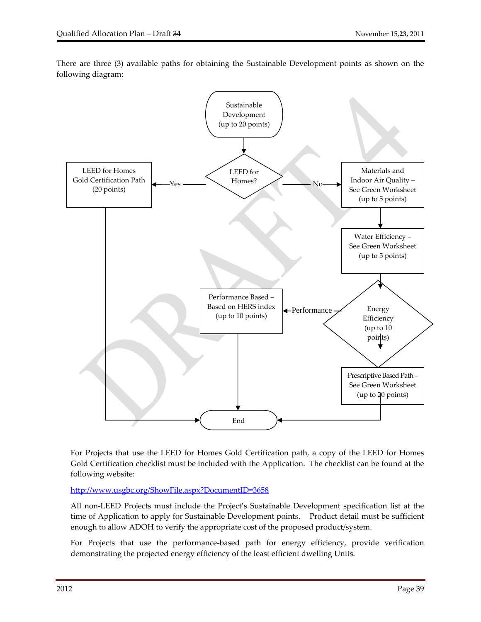



For Projects that use the LEED for Homes Gold Certification path, a copy of the LEED for Homes Gold Certification checklist must be included with the Application. The checklist can be found at the following website:

http://www.usgbc.org/ShowFile.aspx?DocumentID=3658

All non‐LEED Projects must include the Project's Sustainable Development specification list at the time of Application to apply for Sustainable Development points. Product detail must be sufficient enough to allow ADOH to verify the appropriate cost of the proposed product/system.

For Projects that use the performance-based path for energy efficiency, provide verification demonstrating the projected energy efficiency of the least efficient dwelling Units.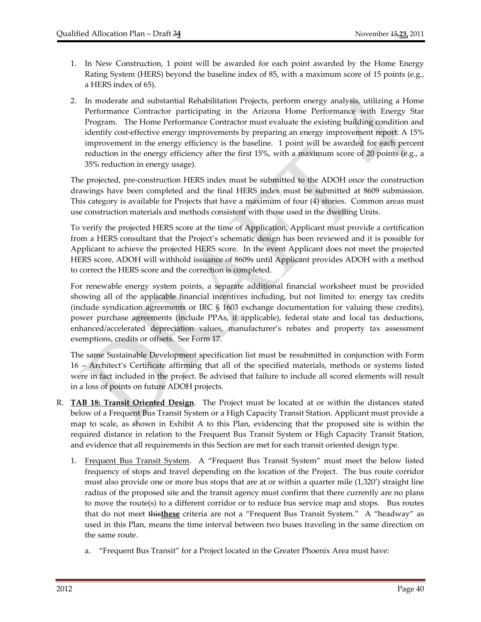- 1. In New Construction, 1 point will be awarded for each point awarded by the Home Energy Rating System (HERS) beyond the baseline index of 85, with a maximum score of 15 points (e.g., a HERS index of 65).
- 2. In moderate and substantial Rehabilitation Projects, perform energy analysis, utilizing a Home Performance Contractor participating in the Arizona Home Performance with Energy Star Program. The Home Performance Contractor must evaluate the existing building condition and identify cost‐effective energy improvements by preparing an energy improvement report. A 15% improvement in the energy efficiency is the baseline. 1 point will be awarded for each percent reduction in the energy efficiency after the first 15%, with a maximum score of 20 points (e.g., a 35% reduction in energy usage).

The projected, pre‐construction HERS index must be submitted to the ADOH once the construction drawings have been completed and the final HERS index must be submitted at 8609 submission. This category is available for Projects that have a maximum of four (4) stories. Common areas must use construction materials and methods consistent with those used in the dwelling Units.

To verify the projected HERS score at the time of Application, Applicant must provide a certification from a HERS consultant that the Project's schematic design has been reviewed and it is possible for Applicant to achieve the projected HERS score. In the event Applicant does not meet the projected HERS score, ADOH will withhold issuance of 8609s until Applicant provides ADOH with a method to correct the HERS score and the correction is completed.

For renewable energy system points, a separate additional financial worksheet must be provided showing all of the applicable financial incentives including, but not limited to: energy tax credits (include syndication agreements or IRC § 1603 exchange documentation for valuing these credits), power purchase agreements (include PPAs, if applicable), federal state and local tax deductions, enhanced/accelerated depreciation values, manufacturer's rebates and property tax assessment exemptions, credits or offsets. See Form 17.

The same Sustainable Development specification list must be resubmitted in conjunction with Form 16 – Architect's Certificate affirming that all of the specified materials, methods or systems listed were in fact included in the project. Be advised that failure to include all scored elements will result in a loss of points on future ADOH projects.

- R. **TAB 18: Transit Oriented Design**. The Project must be located at or within the distances stated below of a Frequent Bus Transit System or a High Capacity Transit Station. Applicant must provide a map to scale, as shown in Exhibit A to this Plan, evidencing that the proposed site is within the required distance in relation to the Frequent Bus Transit System or High Capacity Transit Station, and evidence that all requirements in this Section are met for each transit oriented design type.
	- 1. Frequent Bus Transit System. A "Frequent Bus Transit System" must meet the below listed frequency of stops and travel depending on the location of the Project. The bus route corridor must also provide one or more bus stops that are at or within a quarter mile (1,320') straight line radius of the proposed site and the transit agency must confirm that there currently are no plans to move the route(s) to a different corridor or to reduce bus service map and stops. Bus routes that do not meet this**these** criteria are not a "Frequent Bus Transit System." A "headway" as used in this Plan, means the time interval between two buses traveling in the same direction on the same route.
		- a. "Frequent Bus Transit" for a Project located in the Greater Phoenix Area must have: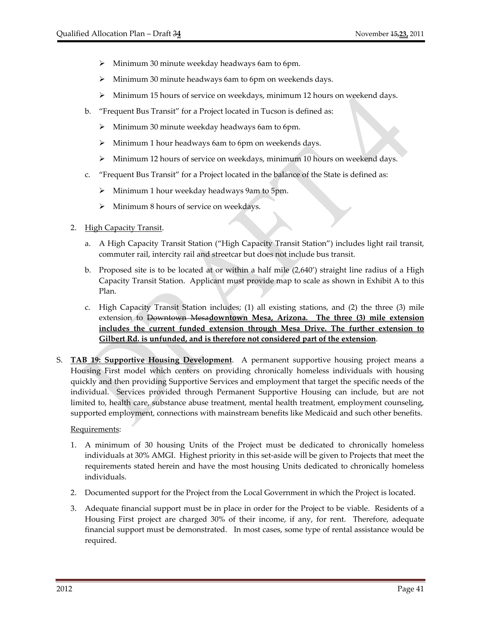- $\triangleright$  Minimum 30 minute weekday headways 6am to 6pm.
- Minimum 30 minute headways 6am to 6pm on weekends days.
- $\triangleright$  Minimum 15 hours of service on weekdays, minimum 12 hours on weekend days.
- b. "Frequent Bus Transit" for a Project located in Tucson is defined as:
	- $\triangleright$  Minimum 30 minute weekday headways 6am to 6pm.
	- $\triangleright$  Minimum 1 hour headways 6am to 6pm on weekends days.
	- $\triangleright$  Minimum 12 hours of service on weekdays, minimum 10 hours on weekend days.
- c. "Frequent Bus Transit" for a Project located in the balance of the State is defined as:
	- Minimum 1 hour weekday headways 9am to 5pm.
	- $\triangleright$  Minimum 8 hours of service on weekdays.
- 2. High Capacity Transit.
	- a. A High Capacity Transit Station ("High Capacity Transit Station") includes light rail transit, commuter rail, intercity rail and streetcar but does not include bus transit.
	- b. Proposed site is to be located at or within a half mile (2,640') straight line radius of a High Capacity Transit Station. Applicant must provide map to scale as shown in Exhibit A to this Plan.
	- c. High Capacity Transit Station includes; (1) all existing stations, and (2) the three (3) mile extension to Downtown Mesa**downtown Mesa, Arizona. The three (3) mile extension includes the current funded extension through Mesa Drive. The further extension to Gilbert Rd. is unfunded, and is therefore not considered part of the extension**.
- S. **TAB 19: Supportive Housing Development**. A permanent supportive housing project means a Housing First model which centers on providing chronically homeless individuals with housing quickly and then providing Supportive Services and employment that target the specific needs of the individual. Services provided through Permanent Supportive Housing can include, but are not limited to, health care, substance abuse treatment, mental health treatment, employment counseling, supported employment, connections with mainstream benefits like Medicaid and such other benefits.

#### Requirements:

- 1. A minimum of 30 housing Units of the Project must be dedicated to chronically homeless individuals at 30% AMGI. Highest priority in this set‐aside will be given to Projects that meet the requirements stated herein and have the most housing Units dedicated to chronically homeless individuals.
- 2. Documented support for the Project from the Local Government in which the Project is located.
- 3. Adequate financial support must be in place in order for the Project to be viable. Residents of a Housing First project are charged 30% of their income, if any, for rent. Therefore, adequate financial support must be demonstrated. In most cases, some type of rental assistance would be required.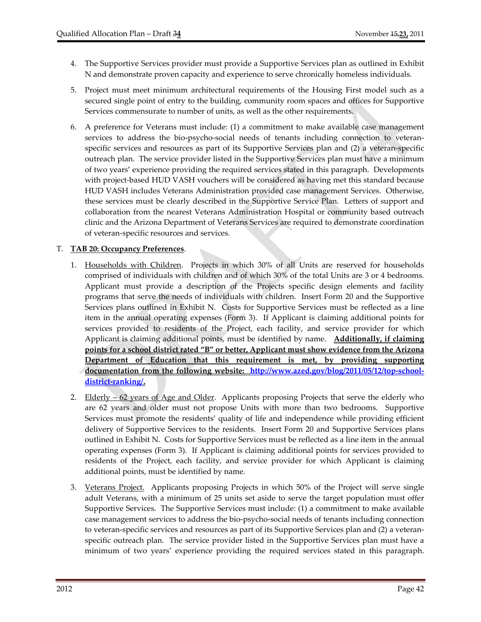- 4. The Supportive Services provider must provide a Supportive Services plan as outlined in Exhibit N and demonstrate proven capacity and experience to serve chronically homeless individuals.
- 5. Project must meet minimum architectural requirements of the Housing First model such as a secured single point of entry to the building, community room spaces and offices for Supportive Services commensurate to number of units, as well as the other requirements.
- 6. A preference for Veterans must include: (1) a commitment to make available case management services to address the bio-psycho-social needs of tenants including connection to veteranspecific services and resources as part of its Supportive Services plan and (2) a veteran-specific outreach plan. The service provider listed in the Supportive Services plan must have a minimum of two years' experience providing the required services stated in this paragraph. Developments with project-based HUD VASH vouchers will be considered as having met this standard because HUD VASH includes Veterans Administration provided case management Services. Otherwise, these services must be clearly described in the Supportive Service Plan. Letters of support and collaboration from the nearest Veterans Administration Hospital or community based outreach clinic and the Arizona Department of Veterans Services are required to demonstrate coordination of veteran‐specific resources and services.

## T. **TAB 20: Occupancy Preferences**.

- 1. Households with Children. Projects in which 30% of all Units are reserved for households comprised of individuals with children and of which 30% of the total Units are 3 or 4 bedrooms. Applicant must provide a description of the Projects specific design elements and facility programs that serve the needs of individuals with children. Insert Form 20 and the Supportive Services plans outlined in Exhibit N. Costs for Supportive Services must be reflected as a line item in the annual operating expenses (Form 3). If Applicant is claiming additional points for services provided to residents of the Project, each facility, and service provider for which Applicant is claiming additional points, must be identified by name. **Additionally, if claiming points for a school district rated "B" or better, Applicant must show evidence from the Arizona Department of Education that this requirement is met, by providing supporting documentation from the following website: http://www.azed.gov/blog/2011/05/12/top‐school‐ district‐ranking/.**
- 2. Elderly 62 years of Age and Older. Applicants proposing Projects that serve the elderly who are 62 years and older must not propose Units with more than two bedrooms. Supportive Services must promote the residents' quality of life and independence while providing efficient delivery of Supportive Services to the residents. Insert Form 20 and Supportive Services plans outlined in Exhibit N. Costs for Supportive Services must be reflected as a line item in the annual operating expenses (Form 3). If Applicant is claiming additional points for services provided to residents of the Project, each facility, and service provider for which Applicant is claiming additional points, must be identified by name.
- 3. Veterans Project. Applicants proposing Projects in which 50% of the Project will serve single adult Veterans, with a minimum of 25 units set aside to serve the target population must offer Supportive Services. The Supportive Services must include: (1) a commitment to make available case management services to address the bio‐psycho‐social needs of tenants including connection to veteran‐specific services and resources as part of its Supportive Services plan and (2) a veteran‐ specific outreach plan. The service provider listed in the Supportive Services plan must have a minimum of two years' experience providing the required services stated in this paragraph.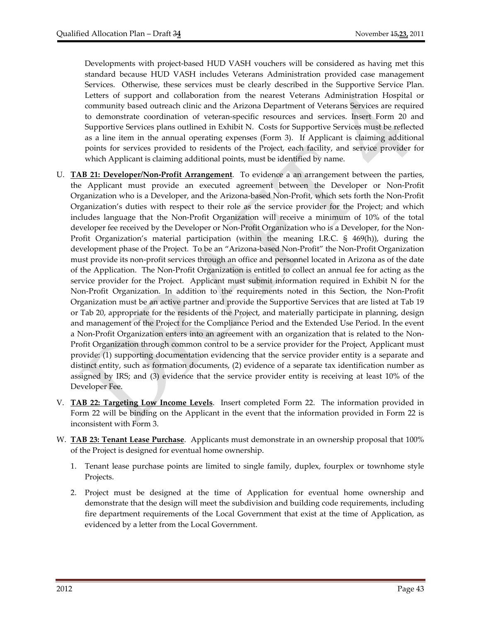Developments with project-based HUD VASH vouchers will be considered as having met this standard because HUD VASH includes Veterans Administration provided case management Services. Otherwise, these services must be clearly described in the Supportive Service Plan. Letters of support and collaboration from the nearest Veterans Administration Hospital or community based outreach clinic and the Arizona Department of Veterans Services are required to demonstrate coordination of veteran‐specific resources and services. Insert Form 20 and Supportive Services plans outlined in Exhibit N. Costs for Supportive Services must be reflected as a line item in the annual operating expenses (Form 3). If Applicant is claiming additional points for services provided to residents of the Project, each facility, and service provider for which Applicant is claiming additional points, must be identified by name.

- U. **TAB 21: Developer/Non‐Profit Arrangement**. To evidence a an arrangement between the parties, the Applicant must provide an executed agreement between the Developer or Non‐Profit Organization who is a Developer, and the Arizona‐based Non‐Profit, which sets forth the Non‐Profit Organization's duties with respect to their role as the service provider for the Project; and which includes language that the Non‐Profit Organization will receive a minimum of 10% of the total developer fee received by the Developer or Non-Profit Organization who is a Developer, for the Non-Profit Organization's material participation (within the meaning I.R.C. § 469(h)), during the development phase of the Project. To be an "Arizona‐based Non-Profit" the Non‐Profit Organization must provide its non‐profit services through an office and personnel located in Arizona as of the date of the Application. The Non‐Profit Organization is entitled to collect an annual fee for acting as the service provider for the Project. Applicant must submit information required in Exhibit N for the Non‐Profit Organization. In addition to the requirements noted in this Section, the Non‐Profit Organization must be an active partner and provide the Supportive Services that are listed at Tab 19 or Tab 20, appropriate for the residents of the Project, and materially participate in planning, design and management of the Project for the Compliance Period and the Extended Use Period. In the event a Non‐Profit Organization enters into an agreement with an organization that is related to the Non‐ Profit Organization through common control to be a service provider for the Project, Applicant must provide: (1) supporting documentation evidencing that the service provider entity is a separate and distinct entity, such as formation documents, (2) evidence of a separate tax identification number as assigned by IRS; and (3) evidence that the service provider entity is receiving at least 10% of the Developer Fee.
- V. **TAB 22: Targeting Low Income Levels**. Insert completed Form 22. The information provided in Form 22 will be binding on the Applicant in the event that the information provided in Form 22 is inconsistent with Form 3.
- W. **TAB 23: Tenant Lease Purchase**. Applicants must demonstrate in an ownership proposal that 100% of the Project is designed for eventual home ownership.
	- 1. Tenant lease purchase points are limited to single family, duplex, fourplex or townhome style Projects.
	- 2. Project must be designed at the time of Application for eventual home ownership and demonstrate that the design will meet the subdivision and building code requirements, including fire department requirements of the Local Government that exist at the time of Application, as evidenced by a letter from the Local Government.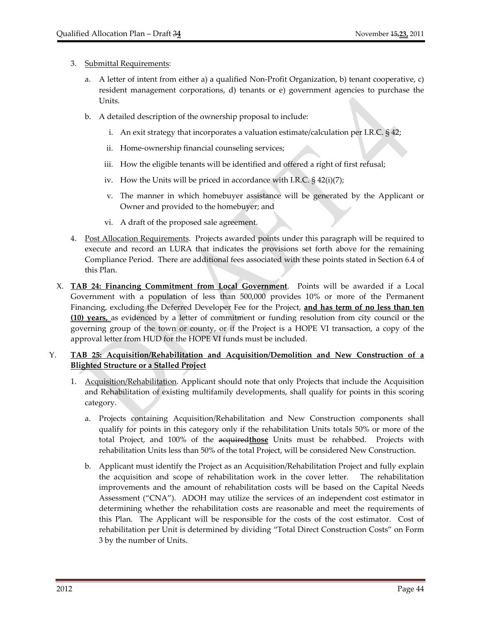#### 3. Submittal Requirements:

- a. A letter of intent from either a) a qualified Non‐Profit Organization, b) tenant cooperative, c) resident management corporations, d) tenants or e) government agencies to purchase the Units.
- b. A detailed description of the ownership proposal to include:
	- i. An exit strategy that incorporates a valuation estimate/calculation per I.R.C. § 42;
	- ii. Home-ownership financial counseling services;
	- iii. How the eligible tenants will be identified and offered a right of first refusal;
	- iv. How the Units will be priced in accordance with I.R.C. § 42(i)(7);
	- v. The manner in which homebuyer assistance will be generated by the Applicant or Owner and provided to the homebuyer; and
	- vi. A draft of the proposed sale agreement.
- 4. Post Allocation Requirements. Projects awarded points under this paragraph will be required to execute and record an LURA that indicates the provisions set forth above for the remaining Compliance Period. There are additional fees associated with these points stated in Section 6.4 of this Plan.
- X. **TAB 24: Financing Commitment from Local Government**. Points will be awarded if a Local Government with a population of less than 500,000 provides 10% or more of the Permanent Financing, excluding the Deferred Developer Fee for the Project, **and has term of no less than ten (10) years,** as evidenced by a letter of commitment or funding resolution from city council or the governing group of the town or county, or if the Project is a HOPE VI transaction, a copy of the approval letter from HUD for the HOPE VI funds must be included.

# Y. **TAB 25: Acquisition/Rehabilitation and Acquisition/Demolition and New Construction of a Blighted Structure or a Stalled Project**

- 1. Acquisition/Rehabilitation. Applicant should note that only Projects that include the Acquisition and Rehabilitation of existing multifamily developments, shall qualify for points in this scoring category.
	- a. Projects containing Acquisition/Rehabilitation and New Construction components shall qualify for points in this category only if the rehabilitation Units totals 50% or more of the total Project, and 100% of the acquired**those** Units must be rehabbed. Projects with rehabilitation Units less than 50% of the total Project, will be considered New Construction.
	- b. Applicant must identify the Project as an Acquisition/Rehabilitation Project and fully explain the acquisition and scope of rehabilitation work in the cover letter. The rehabilitation improvements and the amount of rehabilitation costs will be based on the Capital Needs Assessment ("CNA"). ADOH may utilize the services of an independent cost estimator in determining whether the rehabilitation costs are reasonable and meet the requirements of this Plan. The Applicant will be responsible for the costs of the cost estimator. Cost of rehabilitation per Unit is determined by dividing "Total Direct Construction Costs" on Form 3 by the number of Units.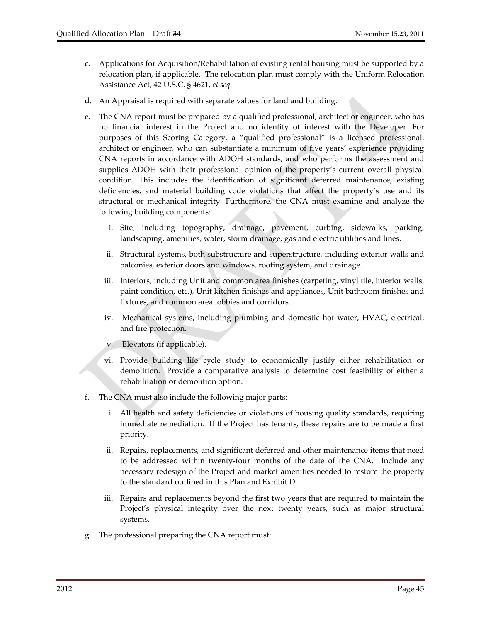- c. Applications for Acquisition/Rehabilitation of existing rental housing must be supported by a relocation plan, if applicable. The relocation plan must comply with the Uniform Relocation Assistance Act, 42 U.S.C. § 4621, *et seq*.
- d. An Appraisal is required with separate values for land and building.
- e. The CNA report must be prepared by a qualified professional, architect or engineer, who has no financial interest in the Project and no identity of interest with the Developer. For purposes of this Scoring Category, a "qualified professional" is a licensed professional, architect or engineer, who can substantiate a minimum of five years' experience providing CNA reports in accordance with ADOH standards, and who performs the assessment and supplies ADOH with their professional opinion of the property's current overall physical condition. This includes the identification of significant deferred maintenance, existing deficiencies, and material building code violations that affect the property's use and its structural or mechanical integrity. Furthermore, the CNA must examine and analyze the following building components:
	- i. Site, including topography, drainage, pavement, curbing, sidewalks, parking, landscaping, amenities, water, storm drainage, gas and electric utilities and lines.
	- ii. Structural systems, both substructure and superstructure, including exterior walls and balconies, exterior doors and windows, roofing system, and drainage.
	- iii. Interiors, including Unit and common area finishes (carpeting, vinyl tile, interior walls, paint condition, etc.), Unit kitchen finishes and appliances, Unit bathroom finishes and fixtures, and common area lobbies and corridors.
	- iv. Mechanical systems, including plumbing and domestic hot water, HVAC, electrical, and fire protection.
	- v. Elevators (if applicable).
	- vi. Provide building life cycle study to economically justify either rehabilitation or demolition. Provide a comparative analysis to determine cost feasibility of either a rehabilitation or demolition option.
- f. The CNA must also include the following major parts:
	- i. All health and safety deficiencies or violations of housing quality standards, requiring immediate remediation. If the Project has tenants, these repairs are to be made a first priority.
	- ii. Repairs, replacements, and significant deferred and other maintenance items that need to be addressed within twenty-four months of the date of the CNA. Include any necessary redesign of the Project and market amenities needed to restore the property to the standard outlined in this Plan and Exhibit D.
	- iii. Repairs and replacements beyond the first two years that are required to maintain the Project's physical integrity over the next twenty years, such as major structural systems.
- g. The professional preparing the CNA report must: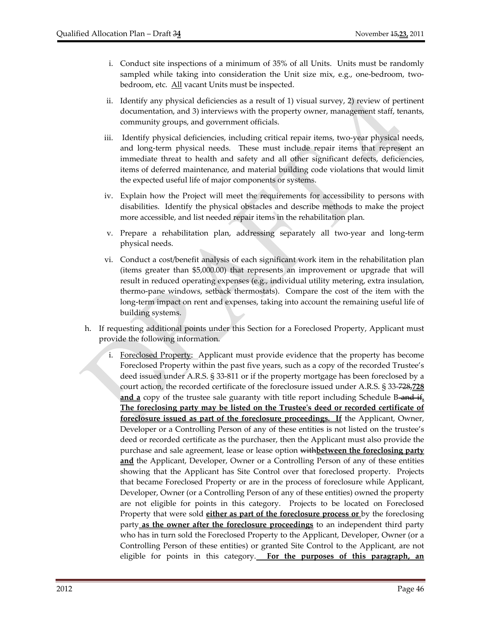- i. Conduct site inspections of a minimum of 35% of all Units. Units must be randomly sampled while taking into consideration the Unit size mix, e.g., one-bedroom, twobedroom, etc. All vacant Units must be inspected.
- ii. Identify any physical deficiencies as a result of 1) visual survey, 2) review of pertinent documentation, and 3) interviews with the property owner, management staff, tenants, community groups, and government officials.
- iii. Identify physical deficiencies, including critical repair items, two-year physical needs, and long‐term physical needs. These must include repair items that represent an immediate threat to health and safety and all other significant defects, deficiencies, items of deferred maintenance, and material building code violations that would limit the expected useful life of major components or systems.
- iv. Explain how the Project will meet the requirements for accessibility to persons with disabilities. Identify the physical obstacles and describe methods to make the project more accessible, and list needed repair items in the rehabilitation plan.
- v. Prepare a rehabilitation plan, addressing separately all two‐year and long‐term physical needs.
- vi. Conduct a cost/benefit analysis of each significant work item in the rehabilitation plan (items greater than \$5,000.00) that represents an improvement or upgrade that will result in reduced operating expenses (e.g., individual utility metering, extra insulation, thermo‐pane windows, setback thermostats). Compare the cost of the item with the long-term impact on rent and expenses, taking into account the remaining useful life of building systems.
- h. If requesting additional points under this Section for a Foreclosed Property, Applicant must provide the following information.
	- Foreclosed Property: Applicant must provide evidence that the property has become Foreclosed Property within the past five years, such as a copy of the recorded Trustee's deed issued under A.R.S. § 33‐811 or if the property mortgage has been foreclosed by a court action, the recorded certificate of the foreclosure issued under A.R.S. § 33‐728,**728** and a copy of the trustee sale guaranty with title report including Schedule B-and if. **The foreclosing party may be listed on the Trusteeʹs deed or recorded certificate of foreclosure issued as part of the foreclosure proceedings. If** the Applicant, Owner, Developer or a Controlling Person of any of these entities is not listed on the trustee's deed or recorded certificate as the purchaser, then the Applicant must also provide the purchase and sale agreement, lease or lease option with**between the foreclosing party and** the Applicant, Developer, Owner or a Controlling Person of any of these entities showing that the Applicant has Site Control over that foreclosed property. Projects that became Foreclosed Property or are in the process of foreclosure while Applicant, Developer, Owner (or a Controlling Person of any of these entities) owned the property are not eligible for points in this category. Projects to be located on Foreclosed Property that were sold **either as part of the foreclosure process or** by the foreclosing party **as the owner after the foreclosure proceedings** to an independent third party who has in turn sold the Foreclosed Property to the Applicant, Developer, Owner (or a Controlling Person of these entities) or granted Site Control to the Applicant, are not eligible for points in this category. **For the purposes of this paragraph, an**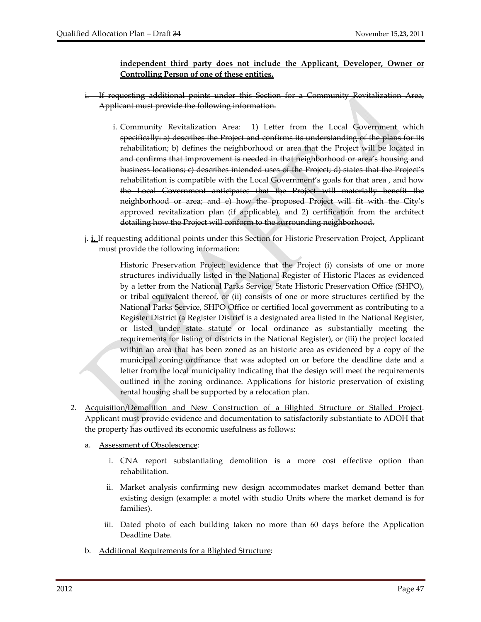## **independent third party does not include the Applicant, Developer, Owner or Controlling Person of one of these entities.**

- i. If requesting additional points under this Section for a Community Revitalization Area, Applicant must provide the following information.
	- i. Community Revitalization Area: 1) Letter from the Local Government which specifically: a) describes the Project and confirms its understanding of the plans for its rehabilitation; b) defines the neighborhood or area that the Project will be located in and confirms that improvement is needed in that neighborhood or area's housing and business locations; c) describes intended uses of the Project; d) states that the Project's rehabilitation is compatible with the Local Government's goals for that area , and how the Local Government anticipates that the Project will materially benefit the neighborhood or area; and e) how the proposed Project will fit with the City's approved revitalization plan (if applicable), and 2) certification from the architect detailing how the Project will conform to the surrounding neighborhood.
- j. **i.** If requesting additional points under this Section for Historic Preservation Project, Applicant must provide the following information:

Historic Preservation Project: evidence that the Project (i) consists of one or more structures individually listed in the National Register of Historic Places as evidenced by a letter from the National Parks Service, State Historic Preservation Office (SHPO), or tribal equivalent thereof, or (ii) consists of one or more structures certified by the National Parks Service, SHPO Office or certified local government as contributing to a Register District (a Register District is a designated area listed in the National Register, or listed under state statute or local ordinance as substantially meeting the requirements for listing of districts in the National Register), or (iii) the project located within an area that has been zoned as an historic area as evidenced by a copy of the municipal zoning ordinance that was adopted on or before the deadline date and a letter from the local municipality indicating that the design will meet the requirements outlined in the zoning ordinance. Applications for historic preservation of existing rental housing shall be supported by a relocation plan.

- 2. Acquisition/Demolition and New Construction of a Blighted Structure or Stalled Project. Applicant must provide evidence and documentation to satisfactorily substantiate to ADOH that the property has outlived its economic usefulness as follows:
	- a. Assessment of Obsolescence:
		- i. CNA report substantiating demolition is a more cost effective option than rehabilitation.
		- ii. Market analysis confirming new design accommodates market demand better than existing design (example: a motel with studio Units where the market demand is for families).
		- iii. Dated photo of each building taken no more than 60 days before the Application Deadline Date.
	- b. Additional Requirements for a Blighted Structure: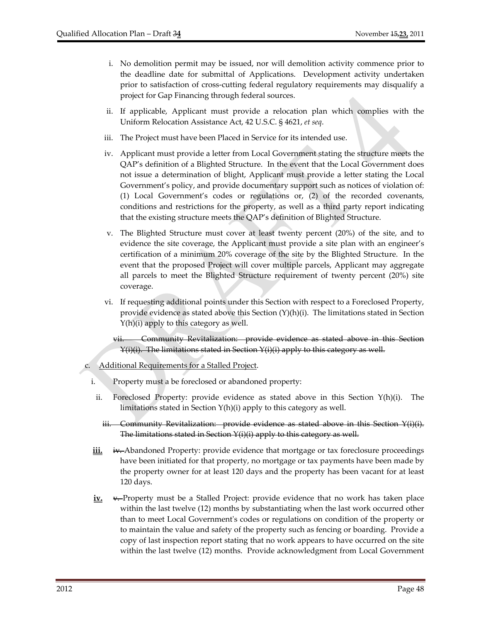- i. No demolition permit may be issued, nor will demolition activity commence prior to the deadline date for submittal of Applications. Development activity undertaken prior to satisfaction of cross‐cutting federal regulatory requirements may disqualify a project for Gap Financing through federal sources.
- ii. If applicable, Applicant must provide a relocation plan which complies with the Uniform Relocation Assistance Act, 42 U.S.C. § 4621, *et seq*.
- iii. The Project must have been Placed in Service for its intended use.
- iv. Applicant must provide a letter from Local Government stating the structure meets the QAP's definition of a Blighted Structure. In the event that the Local Government does not issue a determination of blight, Applicant must provide a letter stating the Local Government's policy, and provide documentary support such as notices of violation of: (1) Local Government's codes or regulations or, (2) of the recorded covenants, conditions and restrictions for the property, as well as a third party report indicating that the existing structure meets the QAP's definition of Blighted Structure.
- v. The Blighted Structure must cover at least twenty percent (20%) of the site, and to evidence the site coverage, the Applicant must provide a site plan with an engineer's certification of a minimum 20% coverage of the site by the Blighted Structure. In the event that the proposed Project will cover multiple parcels, Applicant may aggregate all parcels to meet the Blighted Structure requirement of twenty percent (20%) site coverage.
- vi. If requesting additional points under this Section with respect to a Foreclosed Property, provide evidence as stated above this Section  $(Y)(h)(i)$ . The limitations stated in Section Y(h)(i) apply to this category as well.

Community Revitalization: provide evidence as stated above in this Section Y(i)(i). The limitations stated in Section Y(i)(i) apply to this category as well.

Additional Requirements for a Stalled Project.

- i. Property must a be foreclosed or abandoned property:
	- ii. Foreclosed Property: provide evidence as stated above in this Section  $Y(h)(i)$ . The limitations stated in Section Y(h)(i) apply to this category as well.
	- iii. Community Revitalization: provide evidence as stated above in this Section Y(i)(i). The limitations stated in Section Y(i)(i) apply to this category as well.
- iii. iv. Abandoned Property: provide evidence that mortgage or tax foreclosure proceedings have been initiated for that property, no mortgage or tax payments have been made by the property owner for at least 120 days and the property has been vacant for at least 120 days.
- **iv.** v. Property must be a Stalled Project: provide evidence that no work has taken place within the last twelve (12) months by substantiating when the last work occurred other than to meet Local Governmentʹs codes or regulations on condition of the property or to maintain the value and safety of the property such as fencing or boarding. Provide a copy of last inspection report stating that no work appears to have occurred on the site within the last twelve (12) months. Provide acknowledgment from Local Government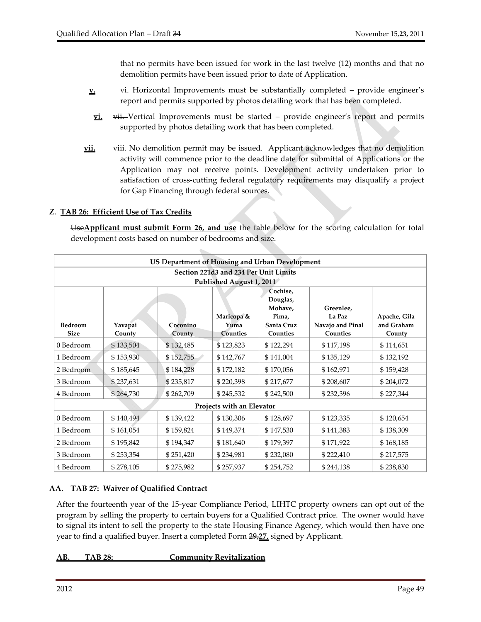that no permits have been issued for work in the last twelve (12) months and that no demolition permits have been issued prior to date of Application.

- **<u>v</u>**. vi. Horizontal Improvements must be substantially completed provide engineer's report and permits supported by photos detailing work that has been completed.
- **vi.** vii. Vertical Improvements must be started provide engineer's report and permits supported by photos detailing work that has been completed.
- **<u>vii.</u>** viii. No demolition permit may be issued. Applicant acknowledges that no demolition activity will commence prior to the deadline date for submittal of Applications or the Application may not receive points. Development activity undertaken prior to satisfaction of cross-cutting federal regulatory requirements may disqualify a project for Gap Financing through federal sources.

#### **Z**. **TAB 26: Efficient Use of Tax Credits**

Use**Applicant must submit Form 26, and use** the table below for the scoring calculation for total development costs based on number of bedrooms and size.

| US Department of Housing and Urban Development |                   |                    |                                       |                                                                    |                                                     |                                      |  |  |  |  |  |
|------------------------------------------------|-------------------|--------------------|---------------------------------------|--------------------------------------------------------------------|-----------------------------------------------------|--------------------------------------|--|--|--|--|--|
| Section 221d3 and 234 Per Unit Limits          |                   |                    |                                       |                                                                    |                                                     |                                      |  |  |  |  |  |
| Published August 1, 2011                       |                   |                    |                                       |                                                                    |                                                     |                                      |  |  |  |  |  |
| <b>Bedroom</b><br><b>Size</b>                  | Yavapai<br>County | Coconino<br>County | Maricopa &<br>Yuma<br><b>Counties</b> | Cochise,<br>Douglas,<br>Mohave,<br>Pima.<br>Santa Cruz<br>Counties | Greenlee,<br>La Paz<br>Navajo and Pinal<br>Counties | Apache, Gila<br>and Graham<br>County |  |  |  |  |  |
| 0 Bedroom                                      | \$133,504         | \$132,485          | \$123,823                             | \$122,294                                                          | \$117,198                                           | \$114,651                            |  |  |  |  |  |
| 1 Bedroom                                      | \$153,930         | \$152,755          | \$142,767                             | \$141,004                                                          | \$135,129                                           | \$132,192                            |  |  |  |  |  |
| 2 Bedroom                                      | \$185,645         | \$184,228          | \$172,182                             | \$170,056                                                          | \$162,971                                           | \$159,428                            |  |  |  |  |  |
| 3 Bedroom                                      | \$237,631         | \$235,817          | \$220,398                             | \$217,677                                                          | \$208,607                                           | \$204,072                            |  |  |  |  |  |
| 4 Bedroom                                      | \$264,730         | \$262,709          | \$245,532                             | \$242,500                                                          | \$232,396                                           | \$227,344                            |  |  |  |  |  |
| Projects with an Elevator                      |                   |                    |                                       |                                                                    |                                                     |                                      |  |  |  |  |  |
| 0 Bedroom                                      | \$140,494         | \$139,422          | \$130,306                             | \$128,697                                                          | \$123,335                                           | \$120,654                            |  |  |  |  |  |
| 1 Bedroom                                      | \$161,054         | \$159,824          | \$149,374                             | \$147,530                                                          | \$141,383                                           | \$138,309                            |  |  |  |  |  |
| 2 Bedroom                                      | \$195,842         | \$194,347          | \$181,640                             | \$179,397                                                          | \$171,922                                           | \$168,185                            |  |  |  |  |  |
| 3 Bedroom                                      | \$253,354         | \$251,420          | \$234,981                             | \$232,080                                                          | \$222,410                                           | \$217,575                            |  |  |  |  |  |
| 4 Bedroom                                      | \$278,105         | \$275,982          | \$257,937                             | \$254,752                                                          | \$244,138                                           | \$238,830                            |  |  |  |  |  |

#### **AA. TAB 27: Waiver of Qualified Contract**

After the fourteenth year of the 15‐year Compliance Period, LIHTC property owners can opt out of the program by selling the property to certain buyers for a Qualified Contract price. The owner would have to signal its intent to sell the property to the state Housing Finance Agency, which would then have one year to find a qualified buyer. Insert a completed Form 29,**27,** signed by Applicant.

#### **AB. TAB 28: Community Revitalization**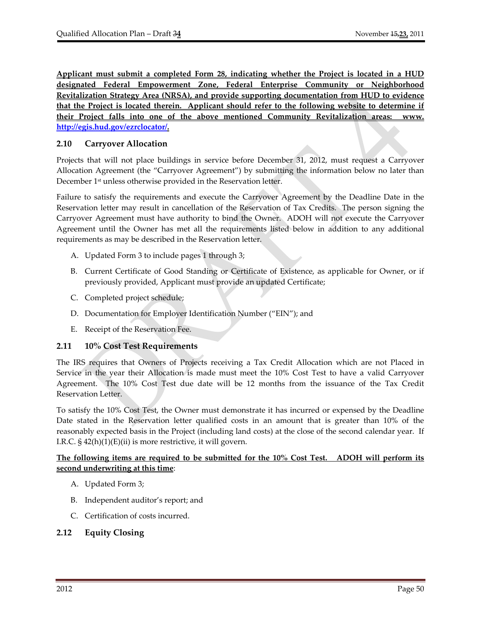**Applicant must submit a completed Form 28, indicating whether the Project is located in a HUD designated Federal Empowerment Zone, Federal Enterprise Community or Neighborhood Revitalization Strategy Area (NRSA), and provide supporting documentation from HUD to evidence that the Project is located therein. Applicant should refer to the following website to determine if their Project falls into one of the above mentioned Community Revitalization areas: www. http://egis.hud.gov/ezrclocator/.**

# **2.10 Carryover Allocation**

Projects that will not place buildings in service before December 31, 2012, must request a Carryover Allocation Agreement (the "Carryover Agreement") by submitting the information below no later than December 1<sup>st</sup> unless otherwise provided in the Reservation letter.

Failure to satisfy the requirements and execute the Carryover Agreement by the Deadline Date in the Reservation letter may result in cancellation of the Reservation of Tax Credits. The person signing the Carryover Agreement must have authority to bind the Owner. ADOH will not execute the Carryover Agreement until the Owner has met all the requirements listed below in addition to any additional requirements as may be described in the Reservation letter.

- A. Updated Form 3 to include pages 1 through 3;
- B. Current Certificate of Good Standing or Certificate of Existence, as applicable for Owner, or if previously provided, Applicant must provide an updated Certificate;
- C. Completed project schedule;
- D. Documentation for Employer Identification Number ("EIN"); and
- E. Receipt of the Reservation Fee.

# **2.11 10% Cost Test Requirements**

The IRS requires that Owners of Projects receiving a Tax Credit Allocation which are not Placed in Service in the year their Allocation is made must meet the 10% Cost Test to have a valid Carryover Agreement. The 10% Cost Test due date will be 12 months from the issuance of the Tax Credit Reservation Letter.

To satisfy the 10% Cost Test, the Owner must demonstrate it has incurred or expensed by the Deadline Date stated in the Reservation letter qualified costs in an amount that is greater than 10% of the reasonably expected basis in the Project (including land costs) at the close of the second calendar year. If I.R.C.  $\S$  42(h)(1)(E)(ii) is more restrictive, it will govern.

# **The following items are required to be submitted for the 10% Cost Test. ADOH will perform its second underwriting at this time**:

- A. Updated Form 3;
- B. Independent auditor's report; and
- C. Certification of costs incurred.

# **2.12 Equity Closing**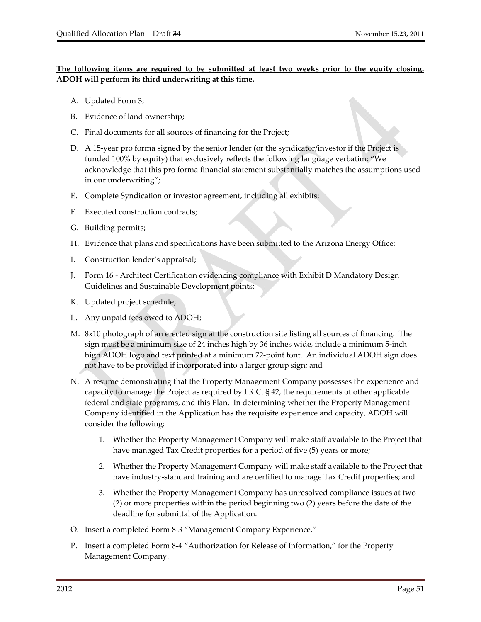### **The following items are required to be submitted at least two weeks prior to the equity closing. ADOH will perform its third underwriting at this time.**

- A. Updated Form 3;
- B. Evidence of land ownership;
- C. Final documents for all sources of financing for the Project;
- D. A 15‐year pro forma signed by the senior lender (or the syndicator/investor if the Project is funded 100% by equity) that exclusively reflects the following language verbatim: "We acknowledge that this pro forma financial statement substantially matches the assumptions used in our underwriting";
- E. Complete Syndication or investor agreement, including all exhibits;
- F. Executed construction contracts;
- G. Building permits;
- H. Evidence that plans and specifications have been submitted to the Arizona Energy Office;
- I. Construction lender's appraisal;
- J. Form 16 ‐ Architect Certification evidencing compliance with Exhibit D Mandatory Design Guidelines and Sustainable Development points;
- K. Updated project schedule;
- L. Any unpaid fees owed to ADOH;
- M. 8x10 photograph of an erected sign at the construction site listing all sources of financing. The sign must be a minimum size of 24 inches high by 36 inches wide, include a minimum 5‐inch high ADOH logo and text printed at a minimum 72‐point font. An individual ADOH sign does not have to be provided if incorporated into a larger group sign; and
- N. A resume demonstrating that the Property Management Company possesses the experience and capacity to manage the Project as required by I.R.C. § 42, the requirements of other applicable federal and state programs, and this Plan. In determining whether the Property Management Company identified in the Application has the requisite experience and capacity, ADOH will consider the following:
	- 1. Whether the Property Management Company will make staff available to the Project that have managed Tax Credit properties for a period of five (5) years or more;
	- 2. Whether the Property Management Company will make staff available to the Project that have industry‐standard training and are certified to manage Tax Credit properties; and
	- 3. Whether the Property Management Company has unresolved compliance issues at two (2) or more properties within the period beginning two (2) years before the date of the deadline for submittal of the Application.
- O. Insert a completed Form 8‐3 "Management Company Experience."
- P. Insert a completed Form 8‐4 "Authorization for Release of Information," for the Property Management Company.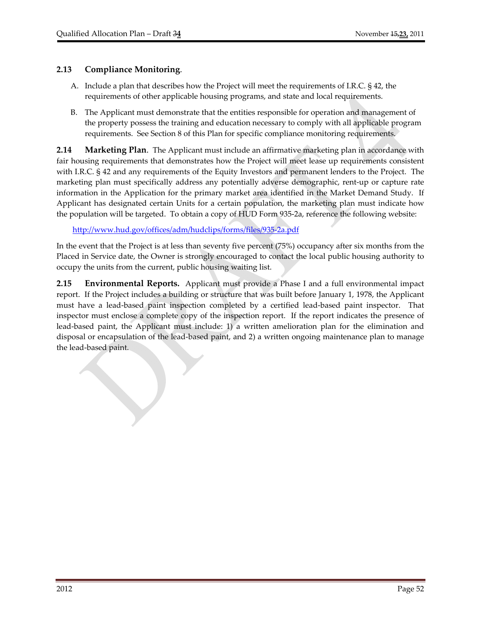## **2.13 Compliance Monitoring**.

- A. Include a plan that describes how the Project will meet the requirements of I.R.C. § 42, the requirements of other applicable housing programs, and state and local requirements.
- B. The Applicant must demonstrate that the entities responsible for operation and management of the property possess the training and education necessary to comply with all applicable program requirements. See Section 8 of this Plan for specific compliance monitoring requirements.

**2.14 Marketing Plan**. The Applicant must include an affirmative marketing plan in accordance with fair housing requirements that demonstrates how the Project will meet lease up requirements consistent with I.R.C. § 42 and any requirements of the Equity Investors and permanent lenders to the Project. The marketing plan must specifically address any potentially adverse demographic, rent‐up or capture rate information in the Application for the primary market area identified in the Market Demand Study. If Applicant has designated certain Units for a certain population, the marketing plan must indicate how the population will be targeted. To obtain a copy of HUD Form 935‐2a, reference the following website:

http://www.hud.gov/offices/adm/hudclips/forms/files/935‐2a.pdf

In the event that the Project is at less than seventy five percent (75%) occupancy after six months from the Placed in Service date, the Owner is strongly encouraged to contact the local public housing authority to occupy the units from the current, public housing waiting list.

**2.15 Environmental Reports.** Applicant must provide a Phase I and a full environmental impact report. If the Project includes a building or structure that was built before January 1, 1978, the Applicant must have a lead-based paint inspection completed by a certified lead-based paint inspector. That inspector must enclose a complete copy of the inspection report. If the report indicates the presence of lead‐based paint, the Applicant must include: 1) a written amelioration plan for the elimination and disposal or encapsulation of the lead‐based paint, and 2) a written ongoing maintenance plan to manage the lead‐based paint.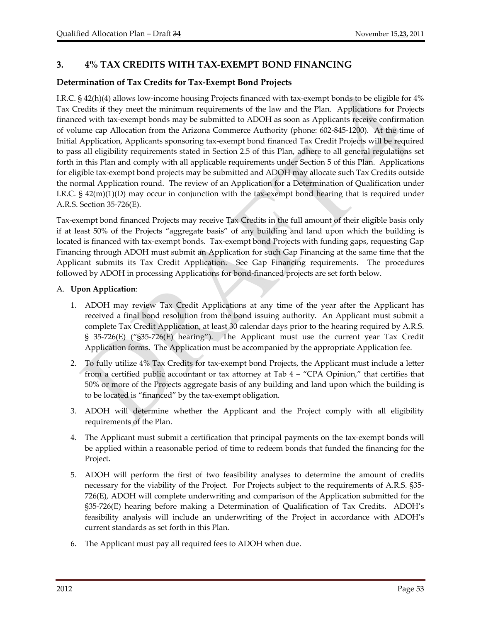# **3. 4% TAX CREDITS WITH TAX‐EXEMPT BOND FINANCING**

# **Determination of Tax Credits for Tax‐Exempt Bond Projects**

I.R.C. § 42(h)(4) allows low-income housing Projects financed with tax-exempt bonds to be eligible for 4% Tax Credits if they meet the minimum requirements of the law and the Plan. Applications for Projects financed with tax‐exempt bonds may be submitted to ADOH as soon as Applicants receive confirmation of volume cap Allocation from the Arizona Commerce Authority (phone: 602‐845‐1200). At the time of Initial Application, Applicants sponsoring tax‐exempt bond financed Tax Credit Projects will be required to pass all eligibility requirements stated in Section 2.5 of this Plan, adhere to all general regulations set forth in this Plan and comply with all applicable requirements under Section 5 of this Plan. Applications for eligible tax‐exempt bond projects may be submitted and ADOH may allocate such Tax Credits outside the normal Application round. The review of an Application for a Determination of Qualification under I.R.C.  $\S$  42(m)(1)(D) may occur in conjunction with the tax-exempt bond hearing that is required under A.R.S. Section 35‐726(E).

Tax‐exempt bond financed Projects may receive Tax Credits in the full amount of their eligible basis only if at least 50% of the Projects "aggregate basis" of any building and land upon which the building is located is financed with tax‐exempt bonds. Tax‐exempt bond Projects with funding gaps, requesting Gap Financing through ADOH must submit an Application for such Gap Financing at the same time that the Applicant submits its Tax Credit Application. See Gap Financing requirements. The procedures followed by ADOH in processing Applications for bond‐financed projects are set forth below.

## A. **Upon Application**:

- 1. ADOH may review Tax Credit Applications at any time of the year after the Applicant has received a final bond resolution from the bond issuing authority. An Applicant must submit a complete Tax Credit Application, at least 30 calendar days prior to the hearing required by A.R.S. § 35-726(E) ("§35-726(E) hearing"). The Applicant must use the current year Tax Credit Application forms. The Application must be accompanied by the appropriate Application fee.
- 2. To fully utilize 4% Tax Credits for tax‐exempt bond Projects, the Applicant must include a letter from a certified public accountant or tax attorney at Tab 4 – "CPA Opinion," that certifies that 50% or more of the Projects aggregate basis of any building and land upon which the building is to be located is "financed" by the tax‐exempt obligation.
- 3. ADOH will determine whether the Applicant and the Project comply with all eligibility requirements of the Plan.
- 4. The Applicant must submit a certification that principal payments on the tax‐exempt bonds will be applied within a reasonable period of time to redeem bonds that funded the financing for the Project.
- 5. ADOH will perform the first of two feasibility analyses to determine the amount of credits necessary for the viability of the Project. For Projects subject to the requirements of A.R.S. §35– 726(E), ADOH will complete underwriting and comparison of the Application submitted for the §35‐726(E) hearing before making a Determination of Qualification of Tax Credits. ADOH's feasibility analysis will include an underwriting of the Project in accordance with ADOH's current standards as set forth in this Plan.
- 6. The Applicant must pay all required fees to ADOH when due.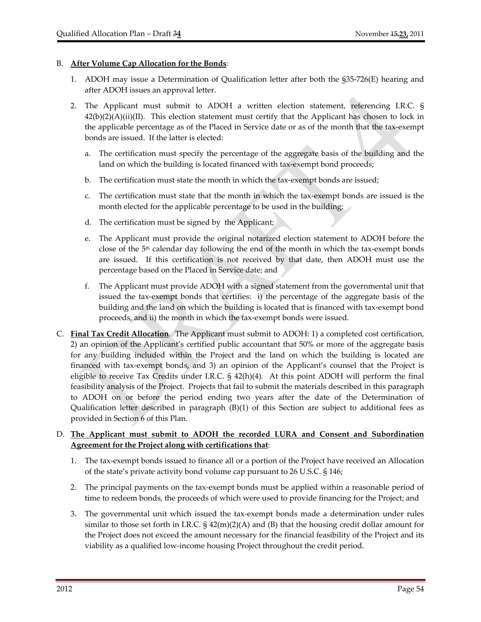#### B. **After Volume Cap Allocation for the Bonds**:

- 1. ADOH may issue a Determination of Qualification letter after both the §35‐726(E) hearing and after ADOH issues an approval letter.
- 2. The Applicant must submit to ADOH a written election statement, referencing I.R.C. §  $42(b)(2)(A)(ii)(II)$ . This election statement must certify that the Applicant has chosen to lock in the applicable percentage as of the Placed in Service date or as of the month that the tax‐exempt bonds are issued. If the latter is elected:
	- a. The certification must specify the percentage of the aggregate basis of the building and the land on which the building is located financed with tax-exempt bond proceeds;
	- b. The certification must state the month in which the tax‐exempt bonds are issued;
	- c. The certification must state that the month in which the tax-exempt bonds are issued is the month elected for the applicable percentage to be used in the building;
	- d. The certification must be signed by the Applicant;
	- e. The Applicant must provide the original notarized election statement to ADOH before the close of the  $5<sup>th</sup>$  calendar day following the end of the month in which the tax-exempt bonds are issued. If this certification is not received by that date, then ADOH must use the percentage based on the Placed in Service date; and
	- f. The Applicant must provide ADOH with a signed statement from the governmental unit that issued the tax‐exempt bonds that certifies: i) the percentage of the aggregate basis of the building and the land on which the building is located that is financed with tax‐exempt bond proceeds, and ii) the month in which the tax‐exempt bonds were issued.
- C. **Final Tax Credit Allocation**. The Applicant must submit to ADOH: 1) a completed cost certification, 2) an opinion of the Applicant's certified public accountant that 50% or more of the aggregate basis for any building included within the Project and the land on which the building is located are financed with tax‐exempt bonds, and 3) an opinion of the Applicant's counsel that the Project is eligible to receive Tax Credits under I.R.C. § 42(h)(4). At this point ADOH will perform the final feasibility analysis of the Project. Projects that fail to submit the materials described in this paragraph to ADOH on or before the period ending two years after the date of the Determination of Qualification letter described in paragraph (B)(1) of this Section are subject to additional fees as provided in Section 6 of this Plan.

## D. **The Applicant must submit to ADOH the recorded LURA and Consent and Subordination Agreement for the Project along with certifications that**:

- 1. The tax-exempt bonds issued to finance all or a portion of the Project have received an Allocation of the state's private activity bond volume cap pursuant to 26 U.S.C. § 146;
- 2. The principal payments on the tax-exempt bonds must be applied within a reasonable period of time to redeem bonds, the proceeds of which were used to provide financing for the Project; and
- 3. The governmental unit which issued the tax‐exempt bonds made a determination under rules similar to those set forth in I.R.C.  $\S$  42(m)(2)(A) and (B) that the housing credit dollar amount for the Project does not exceed the amount necessary for the financial feasibility of the Project and its viability as a qualified low‐income housing Project throughout the credit period.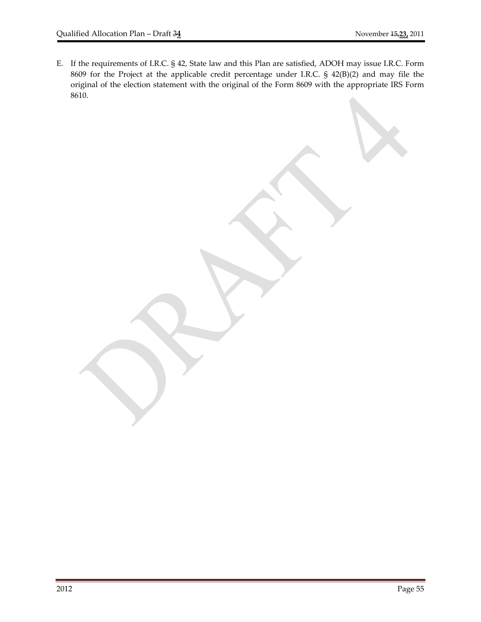E. If the requirements of I.R.C. § 42, State law and this Plan are satisfied, ADOH may issue I.R.C. Form 8609 for the Project at the applicable credit percentage under I.R.C. § 42(B)(2) and may file the original of the election statement with the original of the Form 8609 with the appropriate IRS Form 8610.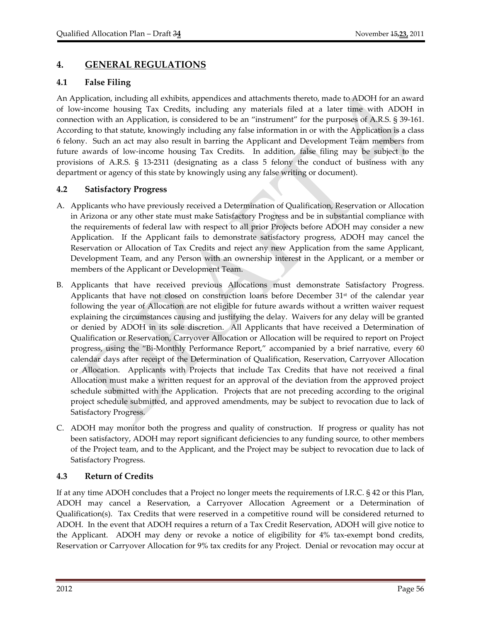# **4. GENERAL REGULATIONS**

# **4.1 False Filing**

An Application, including all exhibits, appendices and attachments thereto, made to ADOH for an award of low‐income housing Tax Credits, including any materials filed at a later time with ADOH in connection with an Application, is considered to be an "instrument" for the purposes of A.R.S. § 39‐161. According to that statute, knowingly including any false information in or with the Application is a class 6 felony. Such an act may also result in barring the Applicant and Development Team members from future awards of low-income housing Tax Credits. In addition, false filing may be subject to the provisions of A.R.S. § 13‐2311 (designating as a class 5 felony the conduct of business with any department or agency of this state by knowingly using any false writing or document).

# **4.2 Satisfactory Progress**

- A. Applicants who have previously received a Determination of Qualification, Reservation or Allocation in Arizona or any other state must make Satisfactory Progress and be in substantial compliance with the requirements of federal law with respect to all prior Projects before ADOH may consider a new Application. If the Applicant fails to demonstrate satisfactory progress, ADOH may cancel the Reservation or Allocation of Tax Credits and reject any new Application from the same Applicant, Development Team, and any Person with an ownership interest in the Applicant, or a member or members of the Applicant or Development Team.
- B. Applicants that have received previous Allocations must demonstrate Satisfactory Progress. Applicants that have not closed on construction loans before December  $31<sup>st</sup>$  of the calendar year following the year of Allocation are not eligible for future awards without a written waiver request explaining the circumstances causing and justifying the delay. Waivers for any delay will be granted or denied by ADOH in its sole discretion. All Applicants that have received a Determination of Qualification or Reservation, Carryover Allocation or Allocation will be required to report on Project progress, using the "Bi‐Monthly Performance Report," accompanied by a brief narrative, every 60 calendar days after receipt of the Determination of Qualification, Reservation, Carryover Allocation or Allocation. Applicants with Projects that include Tax Credits that have not received a final Allocation must make a written request for an approval of the deviation from the approved project schedule submitted with the Application. Projects that are not preceding according to the original project schedule submitted, and approved amendments, may be subject to revocation due to lack of Satisfactory Progress.
- C. ADOH may monitor both the progress and quality of construction. If progress or quality has not been satisfactory, ADOH may report significant deficiencies to any funding source, to other members of the Project team, and to the Applicant, and the Project may be subject to revocation due to lack of Satisfactory Progress.

# **4.3 Return of Credits**

If at any time ADOH concludes that a Project no longer meets the requirements of I.R.C. § 42 or this Plan, ADOH may cancel a Reservation, a Carryover Allocation Agreement or a Determination of Qualification(s). Tax Credits that were reserved in a competitive round will be considered returned to ADOH. In the event that ADOH requires a return of a Tax Credit Reservation, ADOH will give notice to the Applicant. ADOH may deny or revoke a notice of eligibility for 4% tax-exempt bond credits, Reservation or Carryover Allocation for 9% tax credits for any Project. Denial or revocation may occur at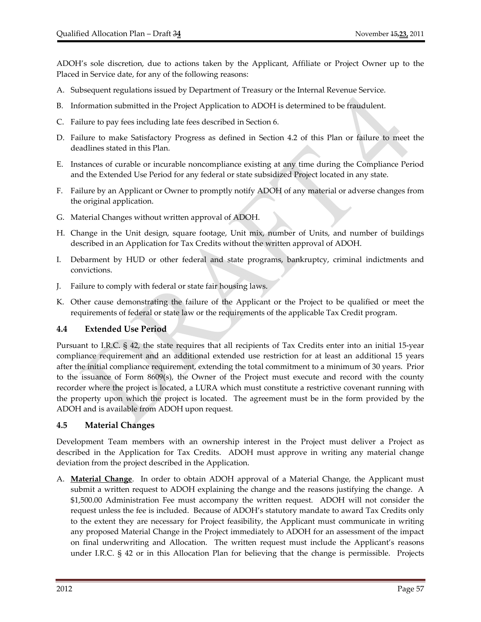ADOH's sole discretion, due to actions taken by the Applicant, Affiliate or Project Owner up to the Placed in Service date, for any of the following reasons:

- A. Subsequent regulations issued by Department of Treasury or the Internal Revenue Service.
- B. Information submitted in the Project Application to ADOH is determined to be fraudulent.
- C. Failure to pay fees including late fees described in Section 6.
- D. Failure to make Satisfactory Progress as defined in Section 4.2 of this Plan or failure to meet the deadlines stated in this Plan.
- E. Instances of curable or incurable noncompliance existing at any time during the Compliance Period and the Extended Use Period for any federal or state subsidized Project located in any state.
- F. Failure by an Applicant or Owner to promptly notify ADOH of any material or adverse changes from the original application.
- G. Material Changes without written approval of ADOH.
- H. Change in the Unit design, square footage, Unit mix, number of Units, and number of buildings described in an Application for Tax Credits without the written approval of ADOH.
- I. Debarment by HUD or other federal and state programs, bankruptcy, criminal indictments and convictions.
- J. Failure to comply with federal or state fair housing laws.
- K. Other cause demonstrating the failure of the Applicant or the Project to be qualified or meet the requirements of federal or state law or the requirements of the applicable Tax Credit program.

#### **4.4 Extended Use Period**

Pursuant to I.R.C. § 42, the state requires that all recipients of Tax Credits enter into an initial 15‐year compliance requirement and an additional extended use restriction for at least an additional 15 years after the initial compliance requirement, extending the total commitment to a minimum of 30 years. Prior to the issuance of Form 8609(s), the Owner of the Project must execute and record with the county recorder where the project is located, a LURA which must constitute a restrictive covenant running with the property upon which the project is located. The agreement must be in the form provided by the ADOH and is available from ADOH upon request.

#### **4.5 Material Changes**

Development Team members with an ownership interest in the Project must deliver a Project as described in the Application for Tax Credits. ADOH must approve in writing any material change deviation from the project described in the Application.

A. **Material Change**. In order to obtain ADOH approval of a Material Change, the Applicant must submit a written request to ADOH explaining the change and the reasons justifying the change. A \$1,500.00 Administration Fee must accompany the written request. ADOH will not consider the request unless the fee is included. Because of ADOH's statutory mandate to award Tax Credits only to the extent they are necessary for Project feasibility, the Applicant must communicate in writing any proposed Material Change in the Project immediately to ADOH for an assessment of the impact on final underwriting and Allocation. The written request must include the Applicant's reasons under I.R.C.  $\S$  42 or in this Allocation Plan for believing that the change is permissible. Projects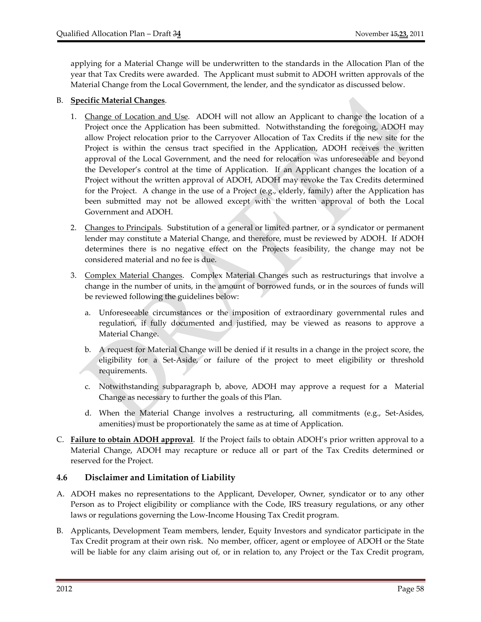applying for a Material Change will be underwritten to the standards in the Allocation Plan of the year that Tax Credits were awarded. The Applicant must submit to ADOH written approvals of the Material Change from the Local Government, the lender, and the syndicator as discussed below.

#### B. **Specific Material Changes**.

- 1. Change of Location and Use. ADOH will not allow an Applicant to change the location of a Project once the Application has been submitted. Notwithstanding the foregoing, ADOH may allow Project relocation prior to the Carryover Allocation of Tax Credits if the new site for the Project is within the census tract specified in the Application, ADOH receives the written approval of the Local Government, and the need for relocation was unforeseeable and beyond the Developer's control at the time of Application. If an Applicant changes the location of a Project without the written approval of ADOH, ADOH may revoke the Tax Credits determined for the Project. A change in the use of a Project (e.g., elderly, family) after the Application has been submitted may not be allowed except with the written approval of both the Local Government and ADOH.
- 2. Changes to Principals. Substitution of a general or limited partner, or a syndicator or permanent lender may constitute a Material Change, and therefore, must be reviewed by ADOH. If ADOH determines there is no negative effect on the Projects feasibility, the change may not be considered material and no fee is due.
- 3. Complex Material Changes. Complex Material Changes such as restructurings that involve a change in the number of units, in the amount of borrowed funds, or in the sources of funds will be reviewed following the guidelines below:
	- a. Unforeseeable circumstances or the imposition of extraordinary governmental rules and regulation, if fully documented and justified, may be viewed as reasons to approve a Material Change.
	- b. A request for Material Change will be denied if it results in a change in the project score, the eligibility for a Set‐Aside, or failure of the project to meet eligibility or threshold requirements.
	- c. Notwithstanding subparagraph b, above, ADOH may approve a request for a Material Change as necessary to further the goals of this Plan.
	- d. When the Material Change involves a restructuring, all commitments (e.g., Set‐Asides, amenities) must be proportionately the same as at time of Application.
- C. **Failure to obtain ADOH approval**. If the Project fails to obtain ADOH's prior written approval to a Material Change, ADOH may recapture or reduce all or part of the Tax Credits determined or reserved for the Project.

#### **4.6 Disclaimer and Limitation of Liability**

- A. ADOH makes no representations to the Applicant, Developer, Owner, syndicator or to any other Person as to Project eligibility or compliance with the Code, IRS treasury regulations, or any other laws or regulations governing the Low‐Income Housing Tax Credit program.
- B. Applicants, Development Team members, lender, Equity Investors and syndicator participate in the Tax Credit program at their own risk. No member, officer, agent or employee of ADOH or the State will be liable for any claim arising out of, or in relation to, any Project or the Tax Credit program,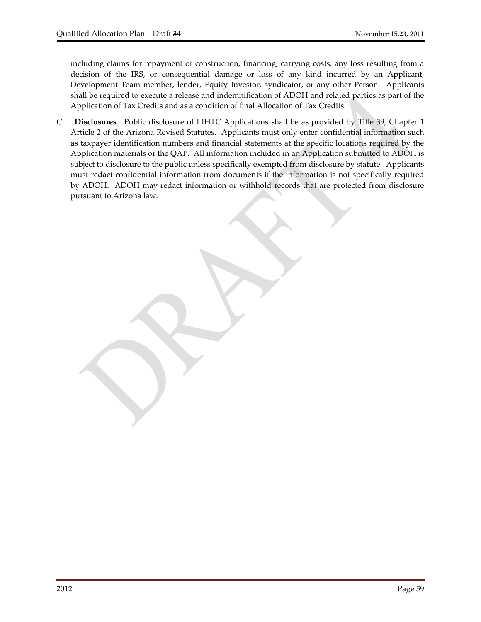including claims for repayment of construction, financing, carrying costs, any loss resulting from a decision of the IRS, or consequential damage or loss of any kind incurred by an Applicant, Development Team member, lender, Equity Investor, syndicator, or any other Person. Applicants shall be required to execute a release and indemnification of ADOH and related parties as part of the Application of Tax Credits and as a condition of final Allocation of Tax Credits.

C. **Disclosures**.Public disclosure of LIHTC Applications shall be as provided by Title 39, Chapter 1 Article 2 of the Arizona Revised Statutes. Applicants must only enter confidential information such as taxpayer identification numbers and financial statements at the specific locations required by the Application materials or the QAP. All information included in an Application submitted to ADOH is subject to disclosure to the public unless specifically exempted from disclosure by statute. Applicants must redact confidential information from documents if the information is not specifically required by ADOH. ADOH may redact information or withhold records that are protected from disclosure pursuant to Arizona law.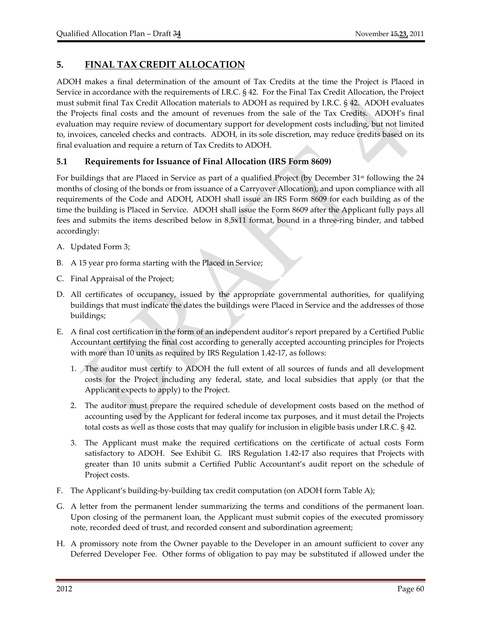# **5. FINAL TAX CREDIT ALLOCATION**

ADOH makes a final determination of the amount of Tax Credits at the time the Project is Placed in Service in accordance with the requirements of I.R.C. § 42. For the Final Tax Credit Allocation, the Project must submit final Tax Credit Allocation materials to ADOH as required by I.R.C. § 42. ADOH evaluates the Projects final costs and the amount of revenues from the sale of the Tax Credits. ADOH's final evaluation may require review of documentary support for development costs including, but not limited to, invoices, canceled checks and contracts. ADOH, in its sole discretion, may reduce credits based on its final evaluation and require a return of Tax Credits to ADOH.

# **5.1 Requirements for Issuance of Final Allocation (IRS Form 8609)**

For buildings that are Placed in Service as part of a qualified Project (by December 31<sup>st</sup> following the 24 months of closing of the bonds or from issuance of a Carryover Allocation), and upon compliance with all requirements of the Code and ADOH, ADOH shall issue an IRS Form 8609 for each building as of the time the building is Placed in Service. ADOH shall issue the Form 8609 after the Applicant fully pays all fees and submits the items described below in 8.5x11 format, bound in a three-ring binder, and tabbed accordingly:

- A. Updated Form 3;
- B. A 15 year pro forma starting with the Placed in Service;
- C. Final Appraisal of the Project;
- D. All certificates of occupancy, issued by the appropriate governmental authorities, for qualifying buildings that must indicate the dates the buildings were Placed in Service and the addresses of those buildings;
- E. A final cost certification in the form of an independent auditor's report prepared by a Certified Public Accountant certifying the final cost according to generally accepted accounting principles for Projects with more than 10 units as required by IRS Regulation 1.42-17, as follows:
	- 1. The auditor must certify to ADOH the full extent of all sources of funds and all development costs for the Project including any federal, state, and local subsidies that apply (or that the Applicant expects to apply) to the Project.
	- 2. The auditor must prepare the required schedule of development costs based on the method of accounting used by the Applicant for federal income tax purposes, and it must detail the Projects total costs as well as those costs that may qualify for inclusion in eligible basis under I.R.C. § 42.
	- 3. The Applicant must make the required certifications on the certificate of actual costs Form satisfactory to ADOH. See Exhibit G. IRS Regulation 1.42-17 also requires that Projects with greater than 10 units submit a Certified Public Accountant's audit report on the schedule of Project costs.
- F. The Applicant's building-by-building tax credit computation (on ADOH form Table A);
- G. A letter from the permanent lender summarizing the terms and conditions of the permanent loan. Upon closing of the permanent loan, the Applicant must submit copies of the executed promissory note, recorded deed of trust, and recorded consent and subordination agreement;
- H. A promissory note from the Owner payable to the Developer in an amount sufficient to cover any Deferred Developer Fee. Other forms of obligation to pay may be substituted if allowed under the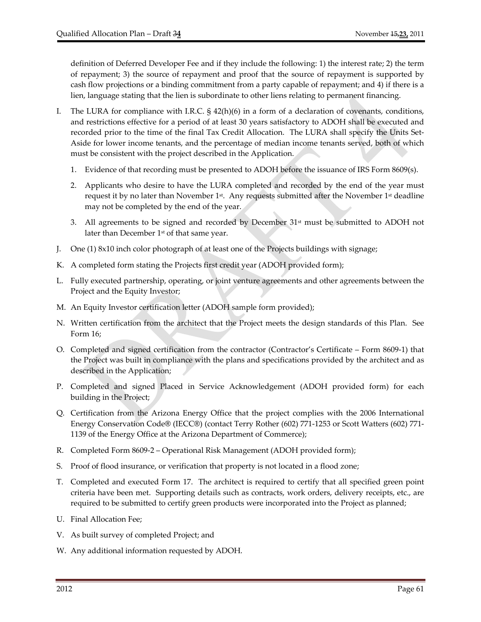definition of Deferred Developer Fee and if they include the following: 1) the interest rate; 2) the term of repayment; 3) the source of repayment and proof that the source of repayment is supported by cash flow projections or a binding commitment from a party capable of repayment; and 4) if there is a lien, language stating that the lien is subordinate to other liens relating to permanent financing.

- I. The LURA for compliance with I.R.C. § 42(h)(6) in a form of a declaration of covenants, conditions, and restrictions effective for a period of at least 30 years satisfactory to ADOH shall be executed and recorded prior to the time of the final Tax Credit Allocation. The LURA shall specify the Units Set-Aside for lower income tenants, and the percentage of median income tenants served, both of which must be consistent with the project described in the Application.
	- 1. Evidence of that recording must be presented to ADOH before the issuance of IRS Form 8609(s).
	- 2. Applicants who desire to have the LURA completed and recorded by the end of the year must request it by no later than November 1<sup>st</sup>. Any requests submitted after the November 1<sup>st</sup> deadline may not be completed by the end of the year.
	- 3. All agreements to be signed and recorded by December  $31<sup>st</sup>$  must be submitted to ADOH not later than December 1<sup>st</sup> of that same year.
- J. One (1) 8x10 inch color photograph of at least one of the Projects buildings with signage;
- K. A completed form stating the Projects first credit year (ADOH provided form);
- L. Fully executed partnership, operating, or joint venture agreements and other agreements between the Project and the Equity Investor;
- M. An Equity Investor certification letter (ADOH sample form provided);
- N. Written certification from the architect that the Project meets the design standards of this Plan. See Form 16;
- O. Completed and signed certification from the contractor (Contractor's Certificate Form 8609‐1) that the Project was built in compliance with the plans and specifications provided by the architect and as described in the Application;
- P. Completed and signed Placed in Service Acknowledgement (ADOH provided form) for each building in the Project;
- Q. Certification from the Arizona Energy Office that the project complies with the 2006 International Energy Conservation Code® (IECC®) (contact Terry Rother (602) 771‐1253 or Scott Watters (602) 771‐ 1139 of the Energy Office at the Arizona Department of Commerce);
- R. Completed Form 8609-2 Operational Risk Management (ADOH provided form);
- S. Proof of flood insurance, or verification that property is not located in a flood zone;
- T. Completed and executed Form 17. The architect is required to certify that all specified green point criteria have been met. Supporting details such as contracts, work orders, delivery receipts, etc., are required to be submitted to certify green products were incorporated into the Project as planned;
- U. Final Allocation Fee;
- V. As built survey of completed Project; and
- W. Any additional information requested by ADOH.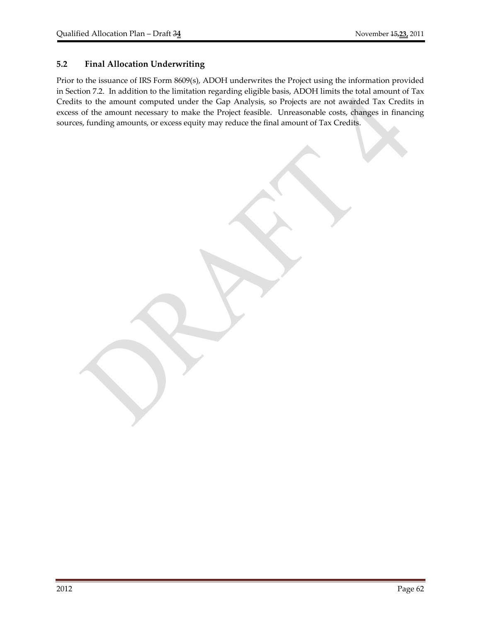## **5.2 Final Allocation Underwriting**

Prior to the issuance of IRS Form 8609(s), ADOH underwrites the Project using the information provided in Section 7.2. In addition to the limitation regarding eligible basis, ADOH limits the total amount of Tax Credits to the amount computed under the Gap Analysis, so Projects are not awarded Tax Credits in excess of the amount necessary to make the Project feasible. Unreasonable costs, changes in financing sources, funding amounts, or excess equity may reduce the final amount of Tax Credits.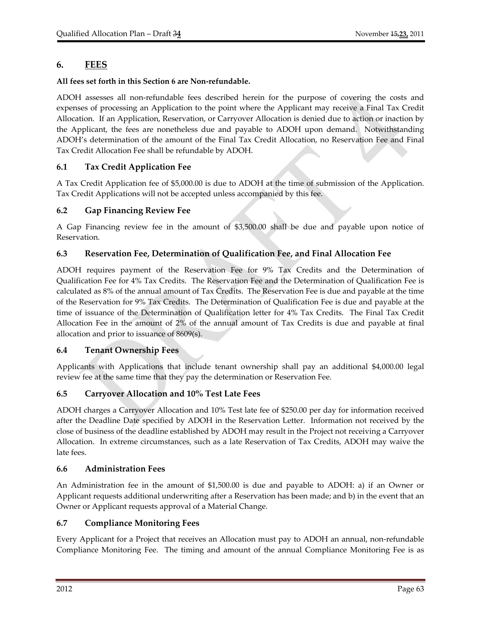# **6. FEES**

#### **All fees set forth in this Section 6 are Non‐refundable.**

ADOH assesses all non‐refundable fees described herein for the purpose of covering the costs and expenses of processing an Application to the point where the Applicant may receive a Final Tax Credit Allocation. If an Application, Reservation, or Carryover Allocation is denied due to action or inaction by the Applicant, the fees are nonetheless due and payable to ADOH upon demand. Notwithstanding ADOH's determination of the amount of the Final Tax Credit Allocation, no Reservation Fee and Final Tax Credit Allocation Fee shall be refundable by ADOH.

## **6.1 Tax Credit Application Fee**

A Tax Credit Application fee of \$5,000.00 is due to ADOH at the time of submission of the Application. Tax Credit Applications will not be accepted unless accompanied by this fee.

#### **6.2 Gap Financing Review Fee**

A Gap Financing review fee in the amount of \$3,500.00 shall be due and payable upon notice of Reservation.

#### **6.3 Reservation Fee, Determination of Qualification Fee, and Final Allocation Fee**

ADOH requires payment of the Reservation Fee for 9% Tax Credits and the Determination of Qualification Fee for 4% Tax Credits. The Reservation Fee and the Determination of Qualification Fee is calculated as 8% of the annual amount of Tax Credits. The Reservation Fee is due and payable at the time of the Reservation for 9% Tax Credits. The Determination of Qualification Fee is due and payable at the time of issuance of the Determination of Qualification letter for 4% Tax Credits. The Final Tax Credit Allocation Fee in the amount of 2% of the annual amount of Tax Credits is due and payable at final allocation and prior to issuance of 8609(s).

#### **6.4 Tenant Ownership Fees**

Applicants with Applications that include tenant ownership shall pay an additional \$4,000.00 legal review fee at the same time that they pay the determination or Reservation Fee.

# **6.5 Carryover Allocation and 10% Test Late Fees**

ADOH charges a Carryover Allocation and 10% Test late fee of \$250.00 per day for information received after the Deadline Date specified by ADOH in the Reservation Letter. Information not received by the close of business of the deadline established by ADOH may result in the Project not receiving a Carryover Allocation. In extreme circumstances, such as a late Reservation of Tax Credits, ADOH may waive the late fees.

#### **6.6 Administration Fees**

An Administration fee in the amount of \$1,500.00 is due and payable to ADOH: a) if an Owner or Applicant requests additional underwriting after a Reservation has been made; and b) in the event that an Owner or Applicant requests approval of a Material Change.

#### **6.7 Compliance Monitoring Fees**

Every Applicant for a Project that receives an Allocation must pay to ADOH an annual, non‐refundable Compliance Monitoring Fee. The timing and amount of the annual Compliance Monitoring Fee is as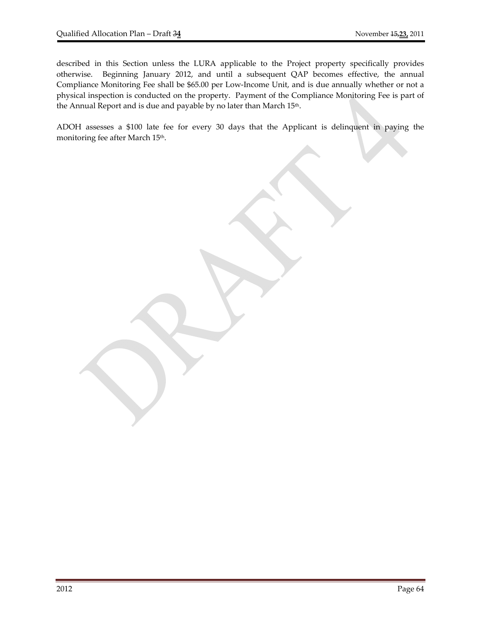described in this Section unless the LURA applicable to the Project property specifically provides otherwise. Beginning January 2012, and until a subsequent QAP becomes effective, the annual Compliance Monitoring Fee shall be \$65.00 per Low‐Income Unit, and is due annually whether or not a physical inspection is conducted on the property. Payment of the Compliance Monitoring Fee is part of the Annual Report and is due and payable by no later than March 15<sup>th</sup>.

ADOH assesses a \$100 late fee for every 30 days that the Applicant is delinquent in paying the monitoring fee after March 15<sup>th</sup>.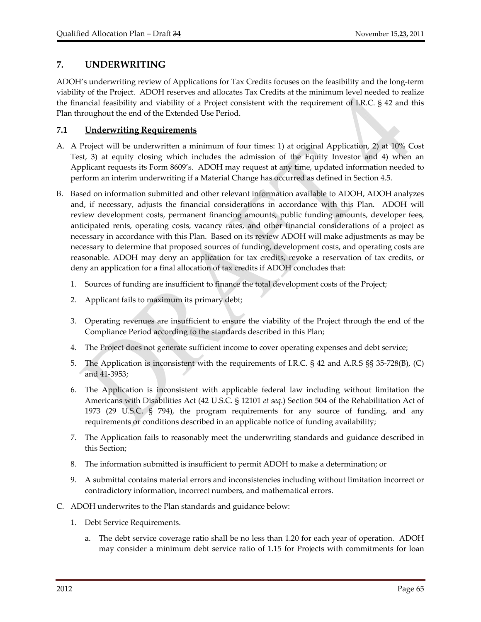# **7. UNDERWRITING**

ADOH's underwriting review of Applications for Tax Credits focuses on the feasibility and the long‐term viability of the Project. ADOH reserves and allocates Tax Credits at the minimum level needed to realize the financial feasibility and viability of a Project consistent with the requirement of I.R.C. § 42 and this Plan throughout the end of the Extended Use Period.

## **7.1 Underwriting Requirements**

- A. A Project will be underwritten a minimum of four times: 1) at original Application, 2) at 10% Cost Test, 3) at equity closing which includes the admission of the Equity Investor and 4) when an Applicant requests its Form 8609's. ADOH may request at any time, updated information needed to perform an interim underwriting if a Material Change has occurred as defined in Section 4.5.
- B. Based on information submitted and other relevant information available to ADOH, ADOH analyzes and, if necessary, adjusts the financial considerations in accordance with this Plan. ADOH will review development costs, permanent financing amounts, public funding amounts, developer fees, anticipated rents, operating costs, vacancy rates, and other financial considerations of a project as necessary in accordance with this Plan. Based on its review ADOH will make adjustments as may be necessary to determine that proposed sources of funding, development costs, and operating costs are reasonable. ADOH may deny an application for tax credits, revoke a reservation of tax credits, or deny an application for a final allocation of tax credits if ADOH concludes that:
	- 1. Sources of funding are insufficient to finance the total development costs of the Project;
	- 2. Applicant fails to maximum its primary debt;
	- 3. Operating revenues are insufficient to ensure the viability of the Project through the end of the Compliance Period according to the standards described in this Plan;
	- 4. The Project does not generate sufficient income to cover operating expenses and debt service;
	- 5. The Application is inconsistent with the requirements of I.R.C. § 42 and A.R.S §§ 35-728(B), (C) and 41‐3953;
	- 6. The Application is inconsistent with applicable federal law including without limitation the Americans with Disabilities Act (42 U.S.C. § 12101 *et seq*.) Section 504 of the Rehabilitation Act of 1973 (29 U.S.C. § 794), the program requirements for any source of funding, and any requirements or conditions described in an applicable notice of funding availability;
	- 7. The Application fails to reasonably meet the underwriting standards and guidance described in this Section;
	- 8. The information submitted is insufficient to permit ADOH to make a determination; or
	- 9. A submittal contains material errors and inconsistencies including without limitation incorrect or contradictory information, incorrect numbers, and mathematical errors.
- C. ADOH underwrites to the Plan standards and guidance below:
	- 1. Debt Service Requirements.
		- a. The debt service coverage ratio shall be no less than 1.20 for each year of operation. ADOH may consider a minimum debt service ratio of 1.15 for Projects with commitments for loan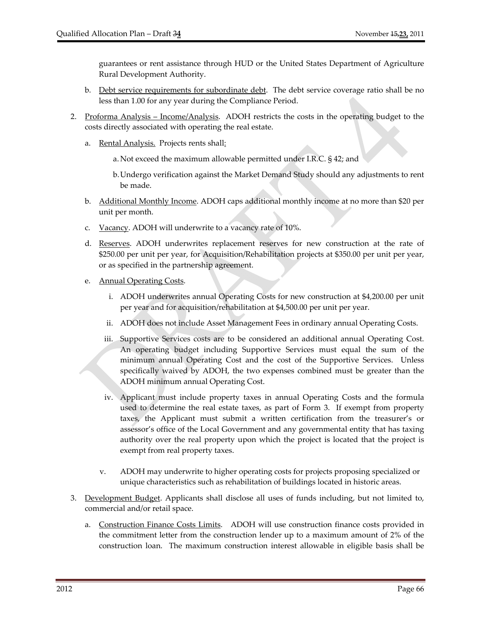guarantees or rent assistance through HUD or the United States Department of Agriculture Rural Development Authority.

- b. Debt service requirements for subordinate debt. The debt service coverage ratio shall be no less than 1.00 for any year during the Compliance Period.
- 2. Proforma Analysis Income/Analysis. ADOH restricts the costs in the operating budget to the costs directly associated with operating the real estate.
	- a. Rental Analysis. Projects rents shall:
		- a. Not exceed the maximum allowable permitted under I.R.C. § 42; and
		- b.Undergo verification against the Market Demand Study should any adjustments to rent be made.
	- b. Additional Monthly Income. ADOH caps additional monthly income at no more than \$20 per unit per month.
	- c. Vacancy. ADOH will underwrite to a vacancy rate of 10%.
	- d. Reserves. ADOH underwrites replacement reserves for new construction at the rate of \$250.00 per unit per year, for Acquisition/Rehabilitation projects at \$350.00 per unit per year, or as specified in the partnership agreement.
	- e. Annual Operating Costs.
		- i. ADOH underwrites annual Operating Costs for new construction at \$4,200.00 per unit per year and for acquisition/rehabilitation at \$4,500.00 per unit per year.
		- ii. ADOH does not include Asset Management Fees in ordinary annual Operating Costs.
		- iii. Supportive Services costs are to be considered an additional annual Operating Cost. An operating budget including Supportive Services must equal the sum of the minimum annual Operating Cost and the cost of the Supportive Services. Unless specifically waived by ADOH, the two expenses combined must be greater than the ADOH minimum annual Operating Cost.
		- iv. Applicant must include property taxes in annual Operating Costs and the formula used to determine the real estate taxes, as part of Form 3. If exempt from property taxes, the Applicant must submit a written certification from the treasurer's or assessor's office of the Local Government and any governmental entity that has taxing authority over the real property upon which the project is located that the project is exempt from real property taxes.
		- v. ADOH may underwrite to higher operating costs for projects proposing specialized or unique characteristics such as rehabilitation of buildings located in historic areas.
- 3. Development Budget. Applicants shall disclose all uses of funds including, but not limited to, commercial and/or retail space.
	- a. Construction Finance Costs Limits. ADOH will use construction finance costs provided in the commitment letter from the construction lender up to a maximum amount of 2% of the construction loan. The maximum construction interest allowable in eligible basis shall be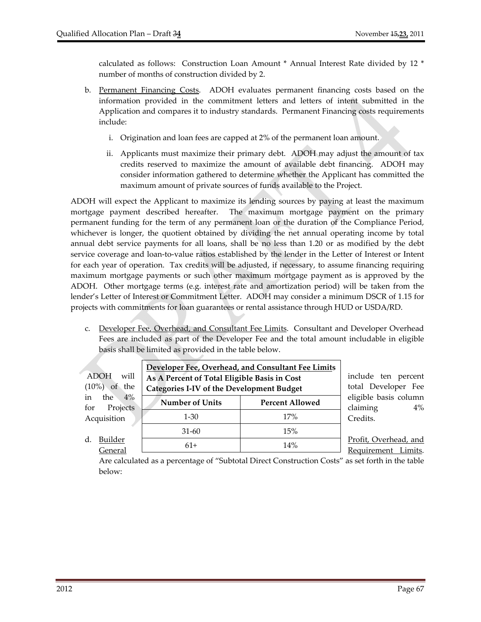calculated as follows: Construction Loan Amount \* Annual Interest Rate divided by 12 \* number of months of construction divided by 2.

- b. Permanent Financing Costs. ADOH evaluates permanent financing costs based on the information provided in the commitment letters and letters of intent submitted in the Application and compares it to industry standards. Permanent Financing costs requirements include:
	- i. Origination and loan fees are capped at 2% of the permanent loan amount.
	- ii. Applicants must maximize their primary debt. ADOH may adjust the amount of tax credits reserved to maximize the amount of available debt financing. ADOH may consider information gathered to determine whether the Applicant has committed the maximum amount of private sources of funds available to the Project.

ADOH will expect the Applicant to maximize its lending sources by paying at least the maximum mortgage payment described hereafter. The maximum mortgage payment on the primary permanent funding for the term of any permanent loan or the duration of the Compliance Period, whichever is longer, the quotient obtained by dividing the net annual operating income by total annual debt service payments for all loans, shall be no less than 1.20 or as modified by the debt service coverage and loan-to-value ratios established by the lender in the Letter of Interest or Intent for each year of operation. Tax credits will be adjusted, if necessary, to assume financing requiring maximum mortgage payments or such other maximum mortgage payment as is approved by the ADOH. Other mortgage terms (e.g. interest rate and amortization period) will be taken from the lender's Letter of Interest or Commitment Letter. ADOH may consider a minimum DSCR of 1.15 for projects with commitments for loan guarantees or rental assistance through HUD or USDA/RD.

c. Developer Fee, Overhead, and Consultant Fee Limits. Consultant and Developer Overhead Fees are included as part of the Developer Fee and the total amount includable in eligible basis shall be limited as provided in the table below.

| <b>ADOH</b><br>will<br>the<br>$(10\%)$<br>of | Developer Fee, Overhead, and Consultant Fee Limits<br>As A Percent of Total Eligible Basis in Cost<br><b>Categories I-IV of the Development Budget</b> | include ten percent<br>total Developer Fee |                                              |
|----------------------------------------------|--------------------------------------------------------------------------------------------------------------------------------------------------------|--------------------------------------------|----------------------------------------------|
| $4\%$<br>the<br>in<br>Projects<br>for        | <b>Number of Units</b>                                                                                                                                 | <b>Percent Allowed</b>                     | eligible basis column<br>claiming<br>4%      |
| Acquisition                                  | $1 - 30$                                                                                                                                               | 17%                                        | Credits.                                     |
|                                              | 31-60                                                                                                                                                  | 15%                                        |                                              |
| Builder<br>d.<br>General                     | $61+$                                                                                                                                                  | 14%                                        | Profit, Overhead, and<br>Requirement Limits. |

Are calculated as a percentage of "Subtotal Direct Construction Costs" as set forth in the table below: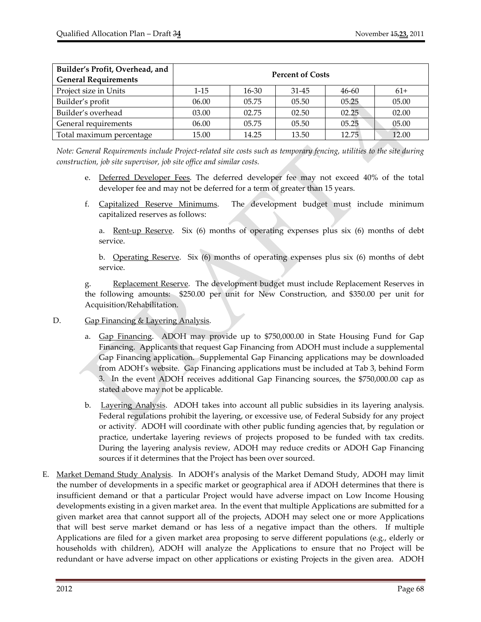| Builder's Profit, Overhead, and<br><b>General Requirements</b> | <b>Percent of Costs</b> |           |           |       |       |  |  |
|----------------------------------------------------------------|-------------------------|-----------|-----------|-------|-------|--|--|
| Project size in Units                                          | $1 - 15$                | $16 - 30$ | $31 - 45$ | 46-60 | $61+$ |  |  |
| Builder's profit                                               | 06.00                   | 05.75     | 05.50     | 05.25 | 05.00 |  |  |
| Builder's overhead                                             | 03.00                   | 02.75     | 02.50     | 02.25 | 02.00 |  |  |
| General requirements                                           | 06.00                   | 05.75     | 05.50     | 05.25 | 05.00 |  |  |
| Total maximum percentage                                       | 15.00                   | 14.25     | 13.50     | 12.75 | 12.00 |  |  |

Note: General Requirements include Project-related site costs such as temporary fencing, utilities to the site during *construction, job site supervisor, job site office and similar costs.*

- e. Deferred Developer Fees. The deferred developer fee may not exceed 40% of the total developer fee and may not be deferred for a term of greater than 15 years.
- f. Capitalized Reserve Minimums. The development budget must include minimum capitalized reserves as follows:

a. Rent-up Reserve. Six (6) months of operating expenses plus six (6) months of debt service.

b. Operating Reserve. Six  $(6)$  months of operating expenses plus six  $(6)$  months of debt service.

g. Replacement Reserve. The development budget must include Replacement Reserves in the following amounts: \$250.00 per unit for New Construction, and \$350.00 per unit for Acquisition/Rehabilitation.

- D. Gap Financing & Layering Analysis.
	- a. Gap Financing. ADOH may provide up to \$750,000.00 in State Housing Fund for Gap Financing. Applicants that request Gap Financing from ADOH must include a supplemental Gap Financing application. Supplemental Gap Financing applications may be downloaded from ADOH's website. Gap Financing applications must be included at Tab 3, behind Form 3. In the event ADOH receives additional Gap Financing sources, the \$750,000.00 cap as stated above may not be applicable.
	- b. Layering Analysis. ADOH takes into account all public subsidies in its layering analysis. Federal regulations prohibit the layering, or excessive use, of Federal Subsidy for any project or activity. ADOH will coordinate with other public funding agencies that, by regulation or practice, undertake layering reviews of projects proposed to be funded with tax credits. During the layering analysis review, ADOH may reduce credits or ADOH Gap Financing sources if it determines that the Project has been over sourced.
- E. Market Demand Study Analysis. In ADOH's analysis of the Market Demand Study, ADOH may limit the number of developments in a specific market or geographical area if ADOH determines that there is insufficient demand or that a particular Project would have adverse impact on Low Income Housing developments existing in a given market area. In the event that multiple Applications are submitted for a given market area that cannot support all of the projects, ADOH may select one or more Applications that will best serve market demand or has less of a negative impact than the others. If multiple Applications are filed for a given market area proposing to serve different populations (e.g., elderly or households with children), ADOH will analyze the Applications to ensure that no Project will be redundant or have adverse impact on other applications or existing Projects in the given area. ADOH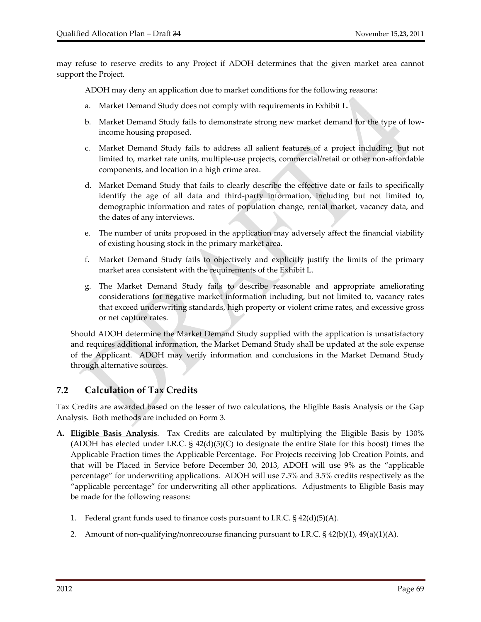may refuse to reserve credits to any Project if ADOH determines that the given market area cannot support the Project.

ADOH may deny an application due to market conditions for the following reasons:

- a. Market Demand Study does not comply with requirements in Exhibit L.
- b. Market Demand Study fails to demonstrate strong new market demand for the type of low‐ income housing proposed.
- c. Market Demand Study fails to address all salient features of a project including, but not limited to, market rate units, multiple‐use projects, commercial/retail or other non‐affordable components, and location in a high crime area.
- d. Market Demand Study that fails to clearly describe the effective date or fails to specifically identify the age of all data and third‐party information, including but not limited to, demographic information and rates of population change, rental market, vacancy data, and the dates of any interviews.
- e. The number of units proposed in the application may adversely affect the financial viability of existing housing stock in the primary market area.
- f. Market Demand Study fails to objectively and explicitly justify the limits of the primary market area consistent with the requirements of the Exhibit L.
- g. The Market Demand Study fails to describe reasonable and appropriate ameliorating considerations for negative market information including, but not limited to, vacancy rates that exceed underwriting standards, high property or violent crime rates, and excessive gross or net capture rates.

Should ADOH determine the Market Demand Study supplied with the application is unsatisfactory and requires additional information, the Market Demand Study shall be updated at the sole expense of the Applicant. ADOH may verify information and conclusions in the Market Demand Study through alternative sources.

# **7.2 Calculation of Tax Credits**

Tax Credits are awarded based on the lesser of two calculations, the Eligible Basis Analysis or the Gap Analysis. Both methods are included on Form 3.

- **A. Eligible Basis Analysis**. Tax Credits are calculated by multiplying the Eligible Basis by 130% (ADOH has elected under I.R.C.  $\S 42(d)(5)(C)$  to designate the entire State for this boost) times the Applicable Fraction times the Applicable Percentage. For Projects receiving Job Creation Points, and that will be Placed in Service before December 30, 2013, ADOH will use 9% as the "applicable percentage" for underwriting applications. ADOH will use 7.5% and 3.5% credits respectively as the "applicable percentage" for underwriting all other applications. Adjustments to Eligible Basis may be made for the following reasons:
	- 1. Federal grant funds used to finance costs pursuant to I.R.C.  $\S$  42(d)(5)(A).
	- 2. Amount of non-qualifying/nonrecourse financing pursuant to I.R.C.  $\S$  42(b)(1), 49(a)(1)(A).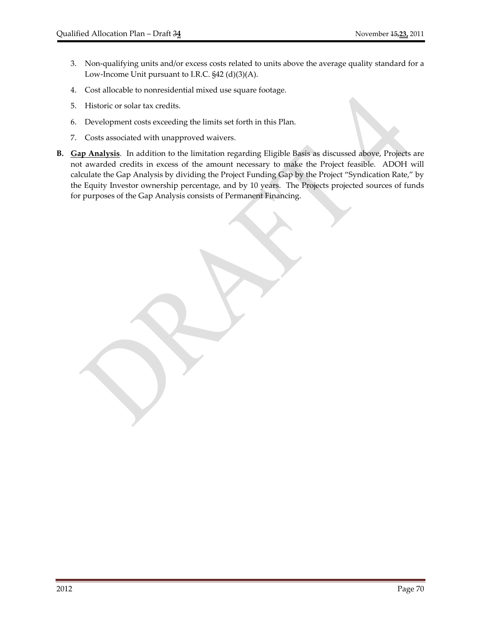- 3. Non‐qualifying units and/or excess costs related to units above the average quality standard for a Low-Income Unit pursuant to I.R.C. §42 (d)(3)(A).
- 4. Cost allocable to nonresidential mixed use square footage.
- 5. Historic or solar tax credits.
- 6. Development costs exceeding the limits set forth in this Plan.
- 7. Costs associated with unapproved waivers.
- **B. Gap Analysis**. In addition to the limitation regarding Eligible Basis as discussed above, Projects are not awarded credits in excess of the amount necessary to make the Project feasible. ADOH will calculate the Gap Analysis by dividing the Project Funding Gap by the Project "Syndication Rate," by the Equity Investor ownership percentage, and by 10 years. The Projects projected sources of funds for purposes of the Gap Analysis consists of Permanent Financing.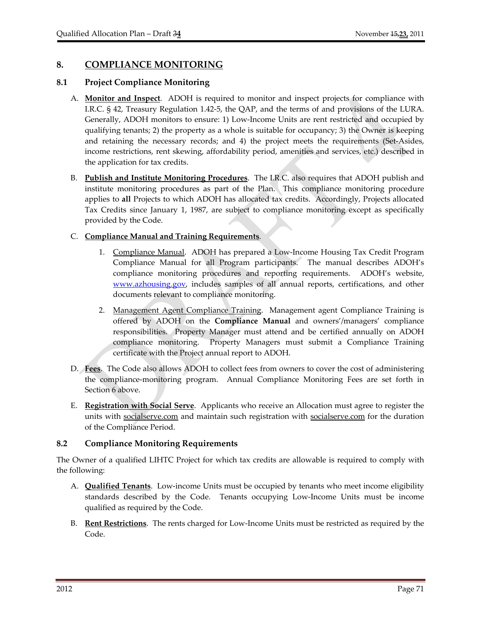# **8. COMPLIANCE MONITORING**

## **8.1 Project Compliance Monitoring**

- A. **Monitor and Inspect**. ADOH is required to monitor and inspect projects for compliance with I.R.C. § 42, Treasury Regulation 1.42‐5, the QAP, and the terms of and provisions of the LURA. Generally, ADOH monitors to ensure: 1) Low-Income Units are rent restricted and occupied by qualifying tenants; 2) the property as a whole is suitable for occupancy; 3) the Owner is keeping and retaining the necessary records; and 4) the project meets the requirements (Set‐Asides, income restrictions, rent skewing, affordability period, amenities and services, etc.) described in the application for tax credits.
- B. **Publish and Institute Monitoring Procedures**. The I.R.C. also requires that ADOH publish and institute monitoring procedures as part of the Plan. This compliance monitoring procedure applies to **all** Projects to which ADOH has allocated tax credits. Accordingly, Projects allocated Tax Credits since January 1, 1987, are subject to compliance monitoring except as specifically provided by the Code.

#### C. **Compliance Manual and Training Requirements**.

- 1. Compliance Manual. ADOH has prepared a Low-Income Housing Tax Credit Program Compliance Manual for all Program participants. The manual describes ADOH's compliance monitoring procedures and reporting requirements. ADOH's website, www.azhousing.gov, includes samples of all annual reports, certifications, and other documents relevant to compliance monitoring.
- 2. Management Agent Compliance Training. Management agent Compliance Training is offered by ADOH on the **Compliance Manual** and owners'/managers' compliance responsibilities. Property Manager must attend and be certified annually on ADOH compliance monitoring. Property Managers must submit a Compliance Training certificate with the Project annual report to ADOH.
- D. **Fees**. The Code also allows ADOH to collect fees from owners to cover the cost of administering the compliance‐monitoring program. Annual Compliance Monitoring Fees are set forth in Section 6 above.
- E. **Registration with Social Serve**. Applicants who receive an Allocation must agree to register the units with socialserve.com and maintain such registration with socialserve.com for the duration of the Compliance Period.

#### **8.2 Compliance Monitoring Requirements**

The Owner of a qualified LIHTC Project for which tax credits are allowable is required to comply with the following:

- A. **Qualified Tenants**. Low‐income Units must be occupied by tenants who meet income eligibility standards described by the Code. Tenants occupying Low‐Income Units must be income qualified as required by the Code.
- B. **Rent Restrictions**. The rents charged for Low‐Income Units must be restricted as required by the Code.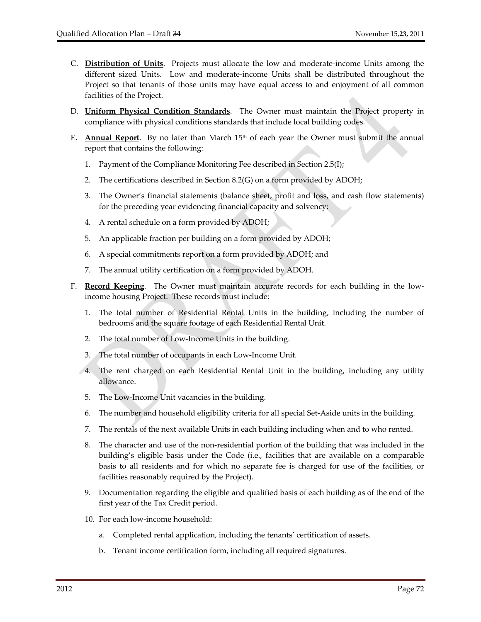- C. **Distribution of Units**. Projects must allocate the low and moderate‐income Units among the different sized Units. Low and moderate-income Units shall be distributed throughout the Project so that tenants of those units may have equal access to and enjoyment of all common facilities of the Project.
- D. **Uniform Physical Condition Standards**. The Owner must maintain the Project property in compliance with physical conditions standards that include local building codes.
- E. **Annual Report**. By no later than March  $15<sup>th</sup>$  of each year the Owner must submit the annual report that contains the following:
	- 1. Payment of the Compliance Monitoring Fee described in Section 2.5(I);
	- 2. The certifications described in Section 8.2(G) on a form provided by ADOH;
	- 3. The Owner's financial statements (balance sheet, profit and loss, and cash flow statements) for the preceding year evidencing financial capacity and solvency;
	- 4. A rental schedule on a form provided by ADOH;
	- 5. An applicable fraction per building on a form provided by ADOH;
	- 6. A special commitments report on a form provided by ADOH; and
	- 7. The annual utility certification on a form provided by ADOH.
- F. **Record Keeping**. The Owner must maintain accurate records for each building in the lowincome housing Project. These records must include:
	- 1. The total number of Residential Rental Units in the building, including the number of bedrooms and the square footage of each Residential Rental Unit.
	- 2. The total number of Low-Income Units in the building.
	- 3. The total number of occupants in each Low‐Income Unit.
	- 4. The rent charged on each Residential Rental Unit in the building, including any utility allowance.
	- 5. The Low‐Income Unit vacancies in the building.
	- 6. The number and household eligibility criteria for all special Set‐Aside units in the building.
	- 7. The rentals of the next available Units in each building including when and to who rented.
	- 8. The character and use of the non‐residential portion of the building that was included in the building's eligible basis under the Code (i.e., facilities that are available on a comparable basis to all residents and for which no separate fee is charged for use of the facilities, or facilities reasonably required by the Project).
	- 9. Documentation regarding the eligible and qualified basis of each building as of the end of the first year of the Tax Credit period.
	- 10. For each low‐income household:
		- a. Completed rental application, including the tenants' certification of assets.
		- b. Tenant income certification form, including all required signatures.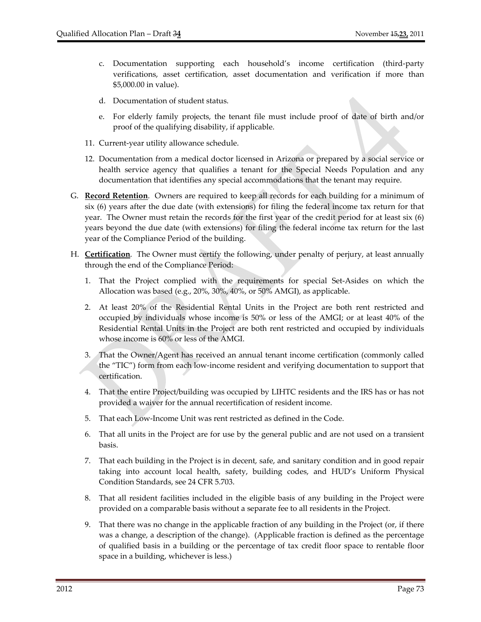- c. Documentation supporting each household's income certification (third‐party verifications, asset certification, asset documentation and verification if more than \$5,000.00 in value).
- d. Documentation of student status.
- e. For elderly family projects, the tenant file must include proof of date of birth and/or proof of the qualifying disability, if applicable.
- 11. Current‐year utility allowance schedule.
- 12. Documentation from a medical doctor licensed in Arizona or prepared by a social service or health service agency that qualifies a tenant for the Special Needs Population and any documentation that identifies any special accommodations that the tenant may require.
- G. **Record Retention**. Owners are required to keep all records for each building for a minimum of six (6) years after the due date (with extensions) for filing the federal income tax return for that year. The Owner must retain the records for the first year of the credit period for at least six (6) years beyond the due date (with extensions) for filing the federal income tax return for the last year of the Compliance Period of the building.
- H. **Certification**. The Owner must certify the following, under penalty of perjury, at least annually through the end of the Compliance Period:
	- 1. That the Project complied with the requirements for special Set‐Asides on which the Allocation was based (e.g., 20%, 30%, 40%, or 50% AMGI), as applicable.
	- 2. At least 20% of the Residential Rental Units in the Project are both rent restricted and occupied by individuals whose income is 50% or less of the AMGI; or at least 40% of the Residential Rental Units in the Project are both rent restricted and occupied by individuals whose income is 60% or less of the AMGI.
	- 3. That the Owner/Agent has received an annual tenant income certification (commonly called the "TIC") form from each low‐income resident and verifying documentation to support that certification.
	- 4. That the entire Project/building was occupied by LIHTC residents and the IRS has or has not provided a waiver for the annual recertification of resident income.
	- 5. That each Low‐Income Unit was rent restricted as defined in the Code.
	- 6. That all units in the Project are for use by the general public and are not used on a transient basis.
	- 7. That each building in the Project is in decent, safe, and sanitary condition and in good repair taking into account local health, safety, building codes, and HUD's Uniform Physical Condition Standards, see 24 CFR 5.703.
	- 8. That all resident facilities included in the eligible basis of any building in the Project were provided on a comparable basis without a separate fee to all residents in the Project.
	- 9. That there was no change in the applicable fraction of any building in the Project (or, if there was a change, a description of the change). (Applicable fraction is defined as the percentage of qualified basis in a building or the percentage of tax credit floor space to rentable floor space in a building, whichever is less.)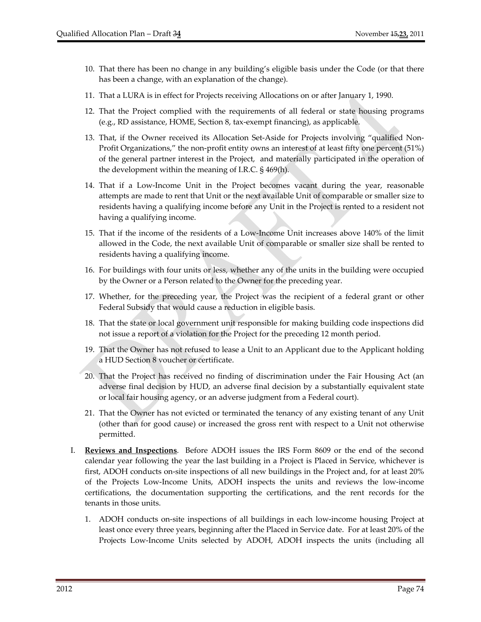- 10. That there has been no change in any building's eligible basis under the Code (or that there has been a change, with an explanation of the change).
- 11. That a LURA is in effect for Projects receiving Allocations on or after January 1, 1990.
- 12. That the Project complied with the requirements of all federal or state housing programs (e.g., RD assistance, HOME, Section 8, tax‐exempt financing), as applicable.
- 13. That, if the Owner received its Allocation Set-Aside for Projects involving "qualified Non-Profit Organizations," the non‐profit entity owns an interest of at least fifty one percent (51%) of the general partner interest in the Project, and materially participated in the operation of the development within the meaning of I.R.C. § 469(h).
- 14. That if a Low‐Income Unit in the Project becomes vacant during the year, reasonable attempts are made to rent that Unit or the next available Unit of comparable or smaller size to residents having a qualifying income before any Unit in the Project is rented to a resident not having a qualifying income.
- 15. That if the income of the residents of a Low‐Income Unit increases above 140% of the limit allowed in the Code, the next available Unit of comparable or smaller size shall be rented to residents having a qualifying income.
- 16. For buildings with four units or less, whether any of the units in the building were occupied by the Owner or a Person related to the Owner for the preceding year.
- 17. Whether, for the preceding year, the Project was the recipient of a federal grant or other Federal Subsidy that would cause a reduction in eligible basis.
- 18. That the state or local government unit responsible for making building code inspections did not issue a report of a violation for the Project for the preceding 12 month period.
- 19. That the Owner has not refused to lease a Unit to an Applicant due to the Applicant holding a HUD Section 8 voucher or certificate.
- 20. That the Project has received no finding of discrimination under the Fair Housing Act (an adverse final decision by HUD, an adverse final decision by a substantially equivalent state or local fair housing agency, or an adverse judgment from a Federal court).
- 21. That the Owner has not evicted or terminated the tenancy of any existing tenant of any Unit (other than for good cause) or increased the gross rent with respect to a Unit not otherwise permitted.
- I. **Reviews and Inspections**. Before ADOH issues the IRS Form 8609 or the end of the second calendar year following the year the last building in a Project is Placed in Service, whichever is first, ADOH conducts on‐site inspections of all new buildings in the Project and, for at least 20% of the Projects Low‐Income Units, ADOH inspects the units and reviews the low‐income certifications, the documentation supporting the certifications, and the rent records for the tenants in those units.
	- 1. ADOH conducts on‐site inspections of all buildings in each low‐income housing Project at least once every three years, beginning after the Placed in Service date. For at least 20% of the Projects Low‐Income Units selected by ADOH, ADOH inspects the units (including all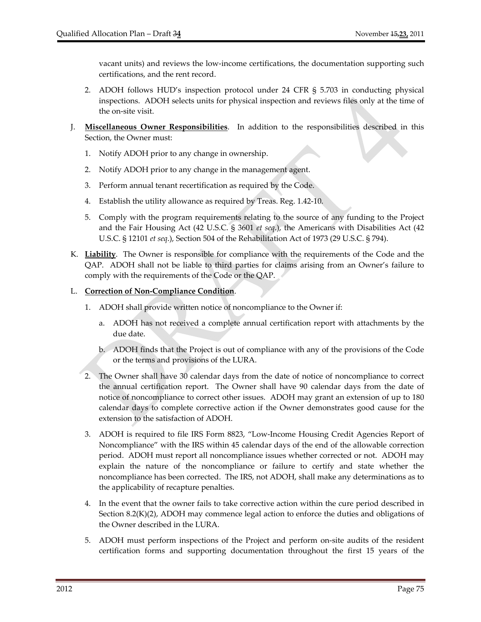vacant units) and reviews the low‐income certifications, the documentation supporting such certifications, and the rent record.

- 2. ADOH follows HUD's inspection protocol under 24 CFR § 5.703 in conducting physical inspections. ADOH selects units for physical inspection and reviews files only at the time of the on‐site visit.
- J. **Miscellaneous Owner Responsibilities**. In addition to the responsibilities described in this Section, the Owner must:
	- 1. Notify ADOH prior to any change in ownership.
	- 2. Notify ADOH prior to any change in the management agent.
	- 3. Perform annual tenant recertification as required by the Code.
	- 4. Establish the utility allowance as required by Treas. Reg. 1.42‐10.
	- 5. Comply with the program requirements relating to the source of any funding to the Project and the Fair Housing Act (42 U.S.C. § 3601 *et seq*.), the Americans with Disabilities Act (42 U.S.C. § 12101 *et seq*.), Section 504 of the Rehabilitation Act of 1973 (29 U.S.C. § 794).
- K. **Liability**. The Owner is responsible for compliance with the requirements of the Code and the QAP. ADOH shall not be liable to third parties for claims arising from an Owner's failure to comply with the requirements of the Code or the QAP.

## L. **Correction of Non‐Compliance Condition**.

- 1. ADOH shall provide written notice of noncompliance to the Owner if:
	- a. ADOH has not received a complete annual certification report with attachments by the due date.
	- b. ADOH finds that the Project is out of compliance with any of the provisions of the Code or the terms and provisions of the LURA.
- 2. The Owner shall have 30 calendar days from the date of notice of noncompliance to correct the annual certification report. The Owner shall have 90 calendar days from the date of notice of noncompliance to correct other issues. ADOH may grant an extension of up to 180 calendar days to complete corrective action if the Owner demonstrates good cause for the extension to the satisfaction of ADOH.
- 3. ADOH is required to file IRS Form 8823, "Low‐Income Housing Credit Agencies Report of Noncompliance" with the IRS within 45 calendar days of the end of the allowable correction period. ADOH must report all noncompliance issues whether corrected or not. ADOH may explain the nature of the noncompliance or failure to certify and state whether the noncompliance has been corrected. The IRS, not ADOH, shall make any determinations as to the applicability of recapture penalties.
- 4. In the event that the owner fails to take corrective action within the cure period described in Section 8.2(K)(2), ADOH may commence legal action to enforce the duties and obligations of the Owner described in the LURA.
- 5. ADOH must perform inspections of the Project and perform on‐site audits of the resident certification forms and supporting documentation throughout the first 15 years of the